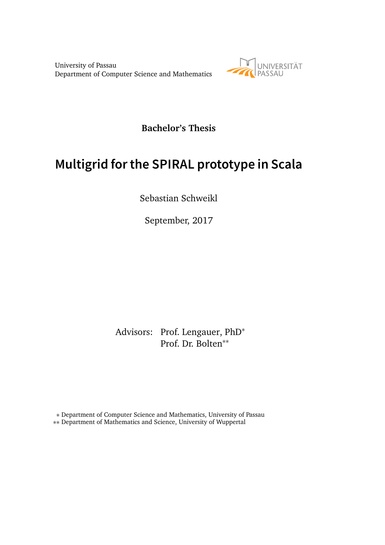University of Passau Department of Computer Science and Mathematics



**Bachelor's Thesis**

# **Multigrid for the SPIRAL prototype in Scala**

Sebastian Schweikl

September, 2017

Advisors: Prof. Lengauer, PhD<sup>∗</sup> Prof. Dr. Bolten∗∗

∗ Department of Computer Science and Mathematics, University of Passau ∗∗ Department of Mathematics and Science, University of Wuppertal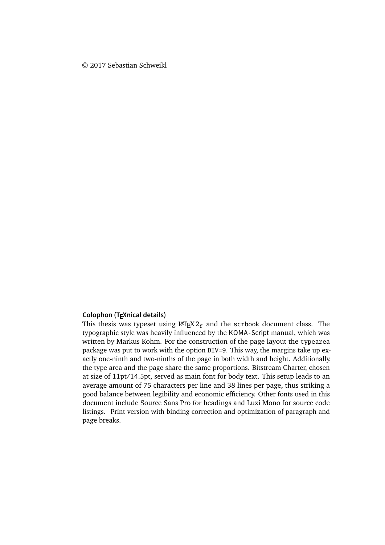#### © 2017 Sebastian Schweikl

#### **Colophon (TEXnical details)**

This thesis was typeset using  $L^{\text{th}}$ <sub>EX</sub> 2<sub> $\varepsilon$  and the scrbook document class. The</sub> typographic style was heavily influenced by the KOMA -Script manual, which was written by Markus Kohm. For the construction of the page layout the typearea package was put to work with the option DIV=9. This way, the margins take up exactly one-ninth and two-ninths of the page in both width and height. Additionally, the type area and the page share the same proportions. Bitstream Charter, chosen at size of 11pt/14.5pt, served as main font for body text. This setup leads to an average amount of 75 characters per line and 38 lines per page, thus striking a good balance between legibility and economic efficiency. Other fonts used in this document include Source Sans Pro for headings and Luxi Mono for source code listings. Print version with binding correction and optimization of paragraph and page breaks.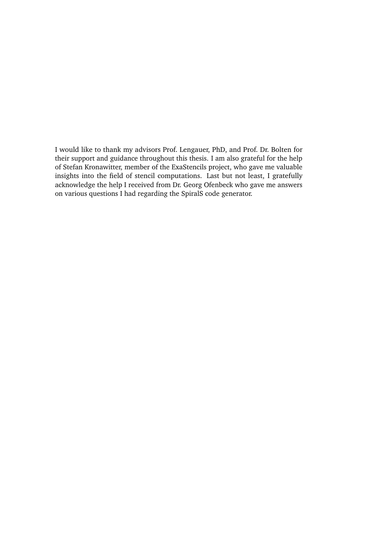I would like to thank my advisors Prof. Lengauer, PhD, and Prof. Dr. Bolten for their support and guidance throughout this thesis. I am also grateful for the help of Stefan Kronawitter, member of the ExaStencils project, who gave me valuable insights into the field of stencil computations. Last but not least, I gratefully acknowledge the help I received from Dr. Georg Ofenbeck who gave me answers on various questions I had regarding the SpiralS code generator.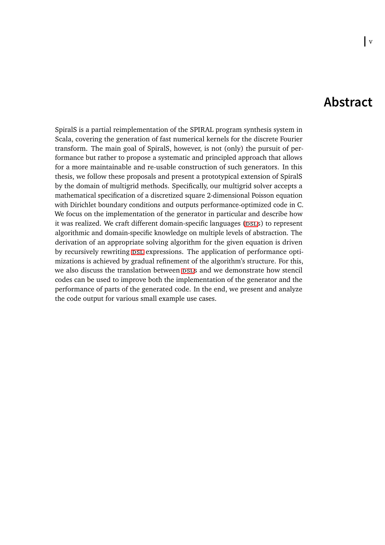### **Abstract**

SpiralS is a partial reimplementation of the SPIRAL program synthesis system in Scala, covering the generation of fast numerical kernels for the discrete Fourier transform. The main goal of SpiralS, however, is not (only) the pursuit of performance but rather to propose a systematic and principled approach that allows for a more maintainable and re-usable construction of such generators. In this thesis, we follow these proposals and present a prototypical extension of SpiralS by the domain of multigrid methods. Specifically, our multigrid solver accepts a mathematical specification of a discretized square 2-dimensional Poisson equation with Dirichlet boundary conditions and outputs performance-optimized code in C. We focus on the implementation of the generator in particular and describe how it was realized. We craft different domain-specific languages (DSLS) to represent algorithmic and domain-specific knowledge on multiple levels of abstraction. The derivation of an appropriate solving algorithm for the given equation is driven by recursively rewriting  $DSL$  expressions. The application of performance optimizations is achieved by gradual refinement of the algorithm's structure. For this, we also discuss the translation between psls and we demonstrate how stencil codes can be used to improve both the implementation of the generator and the performance of parts of the generated code. In the end, we present and analyze the code output for various small example use cases.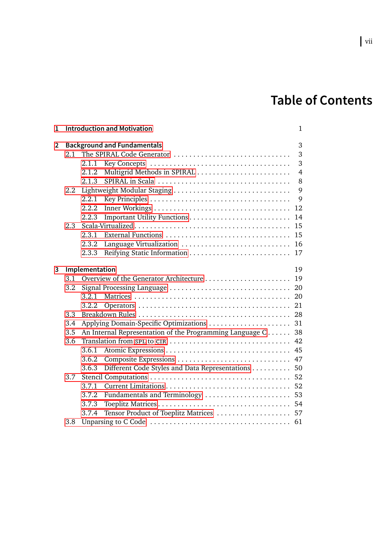# **Table of Contents**

| 1 |     | <b>Introduction and Motivation</b>                             | $\mathbf{1}$ |  |  |  |
|---|-----|----------------------------------------------------------------|--------------|--|--|--|
| 2 |     | <b>Background and Fundamentals</b>                             | 3            |  |  |  |
|   | 2.1 | The SPIRAL Code Generator                                      | 3            |  |  |  |
|   |     | 2.1.1                                                          | 3            |  |  |  |
|   |     | Multigrid Methods in SPIRAL<br>2.1.2                           | 4            |  |  |  |
|   |     | 2.1.3                                                          | 8            |  |  |  |
|   | 2.2 |                                                                |              |  |  |  |
|   |     | 2.2.1                                                          | 9            |  |  |  |
|   |     | 2.2.2<br>12                                                    |              |  |  |  |
|   |     | 2.2.3<br>14                                                    |              |  |  |  |
|   | 2.3 | 15                                                             |              |  |  |  |
|   |     | External Functions<br>2.3.1<br>15                              |              |  |  |  |
|   |     | Language Virtualization<br>2.3.2<br>16                         |              |  |  |  |
|   |     | 2.3.3<br>17                                                    |              |  |  |  |
| 3 |     | Implementation                                                 |              |  |  |  |
|   | 3.1 | 19<br>19                                                       |              |  |  |  |
|   | 3.2 | Signal Processing Language<br>20                               |              |  |  |  |
|   |     | 3.2.1<br>20                                                    |              |  |  |  |
|   |     | 21<br>3.2.2                                                    |              |  |  |  |
|   | 3.3 | 28                                                             |              |  |  |  |
|   | 3.4 | Applying Domain-Specific Optimizations<br>31                   |              |  |  |  |
|   | 3.5 | An Internal Representation of the Programming Language C<br>38 |              |  |  |  |
|   | 3.6 | Translation from spl to CIR<br>42                              |              |  |  |  |
|   |     | 3.6.1<br>45                                                    |              |  |  |  |
|   |     | Composite Expressions<br>47<br>3.6.2                           |              |  |  |  |
|   |     | Different Code Styles and Data Representations<br>3.6.3<br>50  |              |  |  |  |
|   | 3.7 | 52                                                             |              |  |  |  |
|   |     | 52<br>3.7.1                                                    |              |  |  |  |
|   |     | 3.7.2<br>Fundamentals and Terminology<br>53                    |              |  |  |  |
|   |     | 3.7.3<br>54                                                    |              |  |  |  |
|   |     | Tensor Product of Toeplitz Matrices  57<br>3.7.4               |              |  |  |  |
|   | 3.8 |                                                                |              |  |  |  |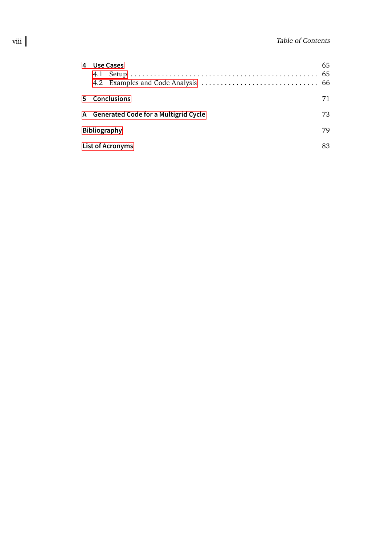| 4  | Use Cases                              |  | 65 |  |
|----|----------------------------------------|--|----|--|
| 5. | <b>Conclusions</b>                     |  | 71 |  |
|    | A Generated Code for a Multigrid Cycle |  | 73 |  |
|    | 79<br><b>Bibliography</b>              |  |    |  |
|    | <b>List of Acronyms</b><br>83          |  |    |  |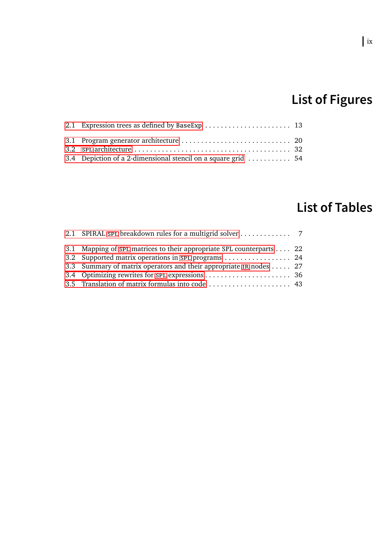# **List of Figures**

| 3.4 Depiction of a 2-dimensional stencil on a square grid  54 |  |
|---------------------------------------------------------------|--|

# **List of Tables**

| 3.1 Mapping of spl matrices to their appropriate SPL counterparts 22 |  |
|----------------------------------------------------------------------|--|
| 3.2 Supported matrix operations in spl programs  24                  |  |
| 3.3 Summary of matrix operators and their appropriate IR nodes  27   |  |
|                                                                      |  |
|                                                                      |  |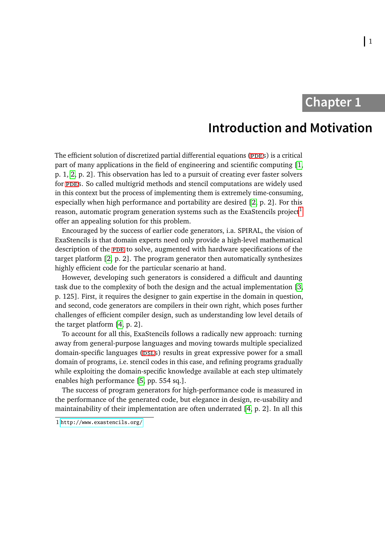# **Chapter 1**

## **Introduction and Motivation**

<span id="page-10-0"></span>The efficient solution of discretized partial differential equations (PDES) is a critical part of many applications in the field of engineering and scientific computing [\[1,](#page-88-1) p. 1, [2,](#page-88-2) p. 2]. This observation has led to a pursuit of creating ever faster solvers for ppes. So called multigrid methods and stencil computations are widely used in this context but the process of implementing them is extremely time-consuming, especially when high performance and portability are desired [\[2,](#page-88-2) p. 2]. For this reason, automatic program generation systems such as the ExaStencils project<sup>[1](#page-10-1)</sup> offer an appealing solution for this problem.

Encouraged by the success of earlier code generators, i.a. SPIRAL, the vision of ExaStencils is that domain experts need only provide a high-level mathematical description of the PDE to solve, augmented with hardware specifications of the target platform [\[2,](#page-88-2) p. 2]. The program generator then automatically synthesizes highly efficient code for the particular scenario at hand.

However, developing such generators is considered a difficult and daunting task due to the complexity of both the design and the actual implementation [\[3,](#page-88-3) p. 125]. First, it requires the designer to gain expertise in the domain in question, and second, code generators are compilers in their own right, which poses further challenges of efficient compiler design, such as understanding low level details of the target platform [\[4,](#page-88-4) p. 2].

To account for all this, ExaStencils follows a radically new approach: turning away from general-purpose languages and moving towards multiple specialized domain-specific languages (psls) results in great expressive power for a small domain of programs, i.e. stencil codes in this case, and refining programs gradually while exploiting the domain-specific knowledge available at each step ultimately enables high performance [\[5,](#page-88-5) pp. 554 sq.].

The success of program generators for high-performance code is measured in the performance of the generated code, but elegance in design, re-usability and maintainability of their implementation are often underrated [\[4,](#page-88-4) p. 2]. In all this

<span id="page-10-1"></span><sup>1</sup> <http://www.exastencils.org/>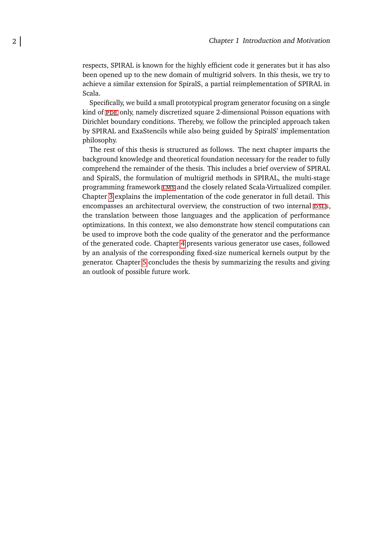respects, SPIRAL is known for the highly efficient code it generates but it has also been opened up to the new domain of multigrid solvers. In this thesis, we try to achieve a similar extension for SpiralS, a partial reimplementation of SPIRAL in Scala.

Specifically, we build a small prototypical program generator focusing on a single kind of PDE only, namely discretized square 2-dimensional Poisson equations with Dirichlet boundary conditions. Thereby, we follow the principled approach taken by SPIRAL and ExaStencils while also being guided by SpiralS' implementation philosophy.

The rest of this thesis is structured as follows. The next chapter imparts the background knowledge and theoretical foundation necessary for the reader to fully comprehend the remainder of the thesis. This includes a brief overview of SPIRAL and SpiralS, the formulation of multigrid methods in SPIRAL, the multi-stage programming framework [lms](#page-92-6) and the closely related Scala-Virtualized compiler. Chapter [3](#page-28-0) explains the implementation of the code generator in full detail. This encompasses an architectural overview, the construction of two internal psLs, the translation between those languages and the application of performance optimizations. In this context, we also demonstrate how stencil computations can be used to improve both the code quality of the generator and the performance of the generated code. Chapter [4](#page-74-0) presents various generator use cases, followed by an analysis of the corresponding fixed-size numerical kernels output by the generator. Chapter [5](#page-80-0) concludes the thesis by summarizing the results and giving an outlook of possible future work.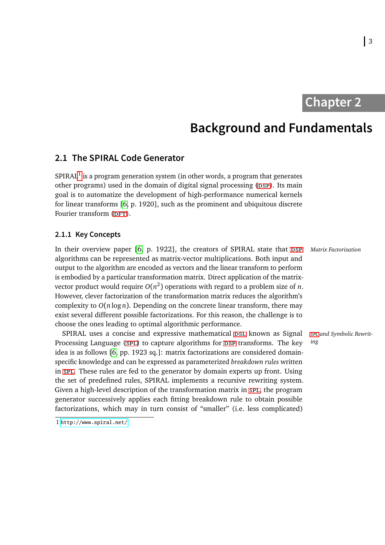**Chapter 2**

## **Background and Fundamentals**

### <span id="page-12-1"></span><span id="page-12-0"></span>**2.1 The SPIRAL Code Generator**

SPIRAL<sup>[1](#page-12-3)</sup> is a program generation system (in other words, a program that generates other programs) used in the domain of digital signal processing (DSP). Its main goal is to automatize the development of high-performance numerical kernels for linear transforms [\[6,](#page-89-0) p. 1920], such as the prominent and ubiquitous discrete Fourier transform (DFT).

#### <span id="page-12-2"></span>**2.1.1 Key Concepts**

In their overview paper [\[6,](#page-89-0) p. 1922], the creators of SPIRAL state that DSP Matrix Factorization algorithms can be represented as matrix-vector multiplications. Both input and output to the algorithm are encoded as vectors and the linear transform to perform is embodied by a particular transformation matrix. Direct application of the matrixvector product would require  $O(n^2)$  operations with regard to a problem size of *n*. However, clever factorization of the transformation matrix reduces the algorithm's complexity to  $O(n \log n)$ . Depending on the concrete linear transform, there may exist several different possible factorizations. For this reason, the challenge is to choose the ones leading to optimal algorithmic performance.

SPIRAL uses a concise and expressive mathematical psl known as Signal Processing Language (SPL) to capture algorithms for DSP transforms. The key idea is as follows [\[6,](#page-89-0) pp. 1923 sq.]: matrix factorizations are considered domainspecific knowledge and can be expressed as parameterized *breakdown rules* written in [spl](#page-92-1). These rules are fed to the generator by domain experts up front. Using the set of predefined rules, SPIRAL implements a recursive rewriting system. Given a high-level description of the transformation matrix in [spl](#page-92-1), the program generator successively applies each fitting breakdown rule to obtain possible factorizations, which may in turn consist of "smaller" (i.e. less complicated)

*[spl](#page-92-1) and Symbolic Rewriting*

<span id="page-12-3"></span><sup>1</sup> <http://www.spiral.net/>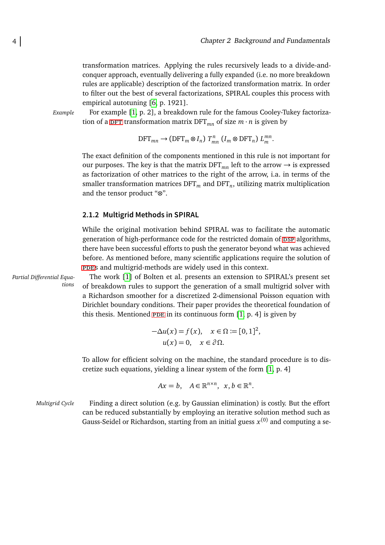transformation matrices. Applying the rules recursively leads to a divide-andconquer approach, eventually delivering a fully expanded (i.e. no more breakdown rules are applicable) description of the factorized transformation matrix. In order to filter out the best of several factorizations, SPIRAL couples this process with empirical autotuning [\[6,](#page-89-0) p. 1921].

*Example* For example [\[1,](#page-88-1) p. 2], a breakdown rule for the famous Cooley-Tukey factorization of a DFT transformation matrix DFT<sub>*mn*</sub> of size  $m \cdot n$  is given by

$$
\text{DFT}_{mn} \longrightarrow (\text{DFT}_m \otimes I_n) T^n_{mn} (I_m \otimes \text{DFT}_n) L^{mn}_m.
$$

The exact definition of the components mentioned in this rule is not important for our purposes. The key is that the matrix  $DFT_{mn}$  left to the arrow  $\rightarrow$  is expressed as factorization of other matrices to the right of the arrow, i.a. in terms of the smaller transformation matrices  $\mathrm{DFT}_m$  and  $\mathrm{DFT}_n$ , utilizing matrix multiplication and the tensor product "⊗".

#### <span id="page-13-0"></span>**2.1.2 Multigrid Methods in SPIRAL**

While the original motivation behind SPIRAL was to facilitate the automatic generation of high-performance code for the restricted domain of psp algorithms, there have been successful efforts to push the generator beyond what was achieved before. As mentioned before, many scientific applications require the solution of [pdes](#page-92-5) and multigrid-methods are widely used in this context.

*Partial Differential Equations*

The work [\[1\]](#page-88-1) of Bolten et al. presents an extension to SPIRAL's present set of breakdown rules to support the generation of a small multigrid solver with a Richardson smoother for a discretized 2-dimensional Poisson equation with Dirichlet boundary conditions. Their paper provides the theoretical foundation of this thesis. Mentioned  $PDE$  in its continuous form [\[1,](#page-88-1) p. 4] is given by

$$
-\Delta u(x) = f(x), \quad x \in \Omega := [0, 1]^2,
$$
  

$$
u(x) = 0, \quad x \in \partial \Omega.
$$

To allow for efficient solving on the machine, the standard procedure is to discretize such equations, yielding a linear system of the form [\[1,](#page-88-1) p. 4]

$$
Ax = b, \quad A \in \mathbb{R}^{n \times n}, \ \ x, b \in \mathbb{R}^n.
$$

*Multigrid Cycle* Finding a direct solution (e.g. by Gaussian elimination) is costly. But the effort can be reduced substantially by employing an iterative solution method such as Gauss-Seidel or Richardson, starting from an initial guess  $x^{(0)}$  and computing a se-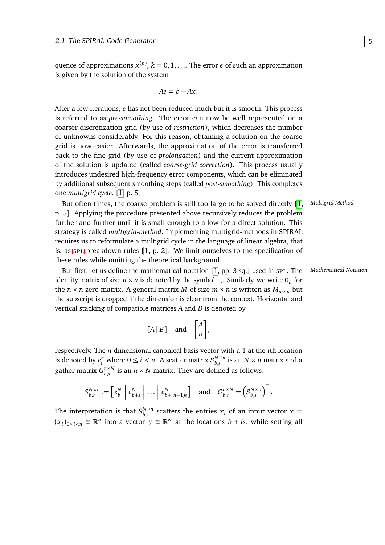quence of approximations  $x^{(k)}$ ,  $k = 0, 1, \ldots$  The error *e* of such an approximation is given by the solution of the system

$$
Ae = b - Ax.
$$

After a few iterations, *e* has not been reduced much but it is smooth. This process is referred to as *pre-smoothing*. The error can now be well represented on a coarser discretization grid (by use of *restriction*), which decreases the number of unknowns considerably. For this reason, obtaining a solution on the coarse grid is now easier. Afterwards, the approximation of the error is transferred back to the fine grid (by use of *prolongation*) and the current approximation of the solution is updated (called *coarse-grid correction*). This process usually introduces undesired high-frequency error components, which can be eliminated by additional subsequent smoothing steps (called *post-smoothing*). This completes one *multigrid cycle*. [\[1,](#page-88-1) p. 5]

But often times, the coarse problem is still too large to be solved directly [\[1,](#page-88-1) *Multigrid Method* p. 5]. Applying the procedure presented above recursively reduces the problem further and further until it is small enough to allow for a direct solution. This strategy is called *multigrid-method*. Implementing multigrid-methods in SPIRAL requires us to reformulate a multigrid cycle in the language of linear algebra, that is, as [spl](#page-92-1) breakdown rules [\[1,](#page-88-1) p. 2]. We limit ourselves to the specification of these rules while omitting the theoretical background.

But first, let us define the mathematical notation [\[1,](#page-88-1) pp. 3 sq.] used in [spl](#page-92-1). The *Mathematical Notation* identity matrix of size  $n \times n$  is denoted by the symbol  $I_n$ . Similarly, we write  $O_n$  for the *n* × *n* zero matrix. A general matrix *M* of size *m* × *n* is written as  $M_{m \times n}$  but the subscript is dropped if the dimension is clear from the context. Horizontal and vertical stacking of compatible matrices *A* and *B* is denoted by

$$
[A | B] \quad \text{and} \quad \begin{bmatrix} A \\ B \end{bmatrix},
$$

respectively. The *n*-dimensional canonical basis vector with a 1 at the *i*th location is denoted by  $e_i^n$  where  $0 \le i < n$ . A scatter matrix  $S_{b,s}^{N \times n}$  $_{b,s}^{N\times n}$  is an  $N\times n$  matrix and a gather matrix  $G_h^{n \times N}$  $\binom{n \times N}{b,s}$  is an  $n \times N$  matrix. They are defined as follows:

$$
S_{b,s}^{N \times n} := \begin{bmatrix} e_b^N & \cdots & \cdots & \cdots & \cdots & \cdots & \cdots & \cdots & \cdots & \cdots & \cdots & \cdots & \cdots & \cdots & \cdots & \cdots & \cdots & \cdots & \cdots & \cdots & \cdots & \cdots & \cdots & \cdots & \cdots & \cdots & \cdots & \cdots & \cdots & \cdots & \cdots & \cdots & \cdots & \cdots & \cdots & \cdots & \cdots & \cdots & \cdots & \cdots & \cdots & \cdots & \cdots & \cdots & \cdots & \cdots & \cdots & \cdots & \cdots & \cdots & \cdots & \cdots & \cdots & \cdots & \cdots & \cdots & \cdots & \cdots & \cdots & \cdots & \cdots & \cdots & \cdots & \cdots & \cdots & \cdots & \cdots & \cdots & \cdots & \cdots & \cdots & \cdots & \cdots & \cdots & \cdots & \cdots & \cdots & \cdots & \cdots & \cdots & \cdots & \cdots & \cdots & \cdots & \cdots & \cdots & \cdots & \cdots & \cdots & \cdots & \cdots & \cdots & \cdots & \cdots & \cdots & \cdots & \cdots & \cdots & \cdots & \cdots & \cdots & \cdots & \cdots & \cdots & \cdots & \cdots & \cdots & \cdots & \cdots & \cdots & \cdots & \cdots & \cdots & \cdots & \cdots & \cdots & \cdots & \cdots & \cdots & \cdots & \cdots & \cdots & \cdots & \cd
$$

The interpretation is that  $S_{h,s}^{N \times n}$  $\int_{b,s}^{N \times n}$  scatters the entries  $x_i$  of an input vector  $x =$  $(x_i)_{0 \le i \le n}$  ∈  $\mathbb{R}^n$  into a vector  $y \in \mathbb{R}^N$  at the locations  $b + i$ s, while setting all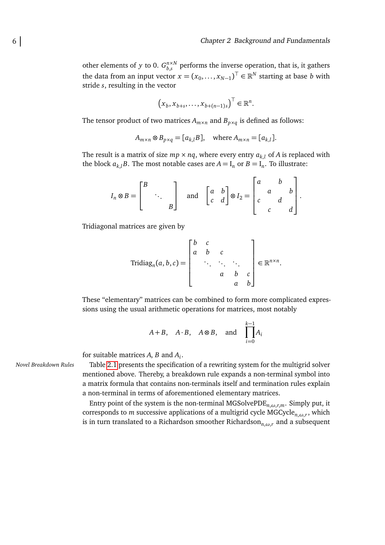other elements of *y* to 0.  $G_{h,s}^{n \times N}$  $\binom{n \times N}{b,s}$  performs the inverse operation, that is, it gathers the data from an input vector  $x = (x_0, \ldots, x_{N-1})^\top \in \mathbb{R}^N$  starting at base *b* with stride *s*, resulting in the vector

$$
(x_b, x_{b+s}, \ldots, x_{b+(n-1)s})^{\top} \in \mathbb{R}^n.
$$

The tensor product of two matrices  $A_{m \times n}$  and  $B_{p \times q}$  is defined as follows:

$$
A_{m \times n} \otimes B_{p \times q} = [a_{k,l}B], \quad \text{where } A_{m \times n} = [a_{k,l}].
$$

The result is a matrix of size  $mp \times nq$ , where every entry  $a_{k,l}$  of A is replaced with the block  $a_{k,l}B$ . The most notable cases are  $A = I_n$  or  $B = I_n$ . To illustrate:

$$
I_n \otimes B = \begin{bmatrix} B & & \\ & \ddots & \\ & & B \end{bmatrix} \quad \text{and} \quad \begin{bmatrix} a & b \\ c & d \end{bmatrix} \otimes I_2 = \begin{bmatrix} a & b & \\ c & d & b \\ c & d & d \end{bmatrix}.
$$

Tridiagonal matrices are given by

$$
\text{Tridiag}_n(a, b, c) = \begin{bmatrix} b & c & & \\ a & b & c & \\ & \ddots & \ddots & \ddots \\ & & a & b & c \\ & & & a & b \end{bmatrix} \in \mathbb{R}^{n \times n}.
$$

These "elementary" matrices can be combined to form more complicated expressions using the usual arithmetic operations for matrices, most notably

$$
A+B
$$
,  $A \cdot B$ ,  $A \otimes B$ , and  $\prod_{i=0}^{k-1} A_i$ 

for suitable matrices *A*, *B* and *A<sup>i</sup>* .

*Novel Breakdown Rules* Table [2.1](#page-16-0) presents the specification of a rewriting system for the multigrid solver mentioned above. Thereby, a breakdown rule expands a non-terminal symbol into a matrix formula that contains non-terminals itself and termination rules explain a non-terminal in terms of aforementioned elementary matrices.

> Entry point of the system is the non-terminal MGSolvePDE*n*,*ω*,*r*,*m*. Simply put, it corresponds to *m* successive applications of a multigrid cycle MGCycle*n*,*ω*,*<sup>r</sup>* , which is in turn translated to a Richardson smoother Richardson*n*,*ω*,*<sup>r</sup>* and a subsequent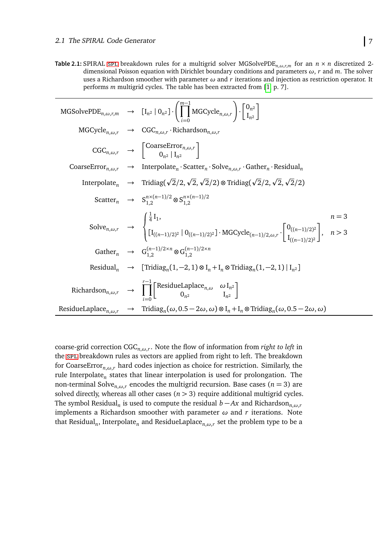<span id="page-16-0"></span>**Table 2.1:** SPIRAL [spl](#page-92-1) breakdown rules for a multigrid solver MGSolvePDE<sub>n, $\omega$ ,*r*,*m*</sub> for an  $n \times n$  discretized 2dimensional Poisson equation with Dirichlet boundary conditions and parameters *ω*, *r* and *m*. The solver uses a Richardson smoother with parameter *ω* and *r* iterations and injection as restriction operator. It performs *m* multigrid cycles. The table has been extracted from [\[1,](#page-88-1) p. 7].

|  | MGSolvePDE <sub>n,<math>\omega</math>,r,m <math>\rightarrow</math> <math>[I_{n^2}   0_{n^2}] \cdot \left( \prod_{n=1}^{n-1} MGCycle_{n,\omega,r} \right) \cdot \left[ \begin{array}{c} 0_{n^2} \\ I_{n^2} \end{array} \right]</math></sub>                                                                                                      |
|--|-------------------------------------------------------------------------------------------------------------------------------------------------------------------------------------------------------------------------------------------------------------------------------------------------------------------------------------------------|
|  | $MGCycle_{n,\omega,r} \rightarrow CGC_{n,\omega,r} \cdot Richardson_{n,\omega,r}$                                                                                                                                                                                                                                                               |
|  | $CGC_{n,\omega,r} \rightarrow \begin{bmatrix} \text{CoarseError}_{n,\omega,r} \\ 0_{n^2}  I_{n^2} \end{bmatrix}$                                                                                                                                                                                                                                |
|  | CoarseError <sub>n,<math>\omega</math>, <math>r \to</math> Interpolate<sub>n</sub> · Scatter<sub>n</sub> · Solve<sub>n,<math>\omega</math>, r · Gather<sub>n</sub> · Residual<sub>n</sub></sub></sub>                                                                                                                                           |
|  | Interpolate <sub>n</sub> $\rightarrow$ Tridiag( $\sqrt{2}/2$ , $\sqrt{2}$ , $\sqrt{2}/2$ ) $\otimes$ Tridiag( $\sqrt{2}/2$ , $\sqrt{2}$ , $\sqrt{2}/2$ )                                                                                                                                                                                        |
|  | Scatter $S_{1,2}^{n \times (n-1)/2} \otimes S_{1,2}^{n \times (n-1)/2}$                                                                                                                                                                                                                                                                         |
|  | $\text{Solve}_{n,\omega,r} \quad \rightarrow \quad \begin{cases} \frac{1}{4} \text{I}_1, \\ \left[\text{I}_{((n-1)/2)^2} \, \middle \vert \, \mathbf{0}_{((n-1)/2)^2} \right] \cdot \text{MGCycle}_{(n-1)/2,\omega,r} \cdot \left[ \begin{matrix} \mathbf{0}_{((n-1)/2)^2} \\ \text{I}_{((n-1)/2)^2} \end{matrix} \right], & n > 3 \end{cases}$ |
|  | Gather $G_1^{(n-1)/2 \times n} \otimes G_{1,2}^{(n-1)/2 \times n}$                                                                                                                                                                                                                                                                              |
|  | Residual <sub>n</sub> $\rightarrow$ [Tridiag <sub>n</sub> (1,-2, 1) $\otimes I_n + I_n \otimes$ Tridiag <sub>n</sub> (1,-2, 1)   I <sub>n</sub> 2]                                                                                                                                                                                              |
|  | Richardson <sub>n,<math>\omega</math>,<math>r \rightarrow \prod_{n=1}^{r-1} \begin{bmatrix} \text{ResidueLaplace}_{n,\omega} &amp; \omega I_{n^2} \\ 0_{n^2} &amp; I_{n^2} \end{bmatrix}</math></sub>                                                                                                                                           |
|  | ResidueLaplace $_{n,\omega,r} \rightarrow$ Tridiag <sub>n</sub> $(\omega, 0.5-2\omega, \omega) \otimes I_n + I_n \otimes$ Tridiag <sub>n</sub> $(\omega, 0.5-2\omega, \omega)$                                                                                                                                                                  |

coarse-grid correction CGC*n*,*ω*,*<sup>r</sup>* . Note the flow of information from *right to left* in the [spl](#page-92-1) breakdown rules as vectors are applied from right to left. The breakdown for CoarseError*n*,*ω*,*<sup>r</sup>* hard codes injection as choice for restriction. Similarly, the rule Interpolate<sub>n</sub> states that linear interpolation is used for prolongation. The non-terminal Solve<sub>n, $\omega$ ,*r*</sub> encodes the multigrid recursion. Base cases ( $n = 3$ ) are solved directly, whereas all other cases  $(n > 3)$  require additional multigrid cycles. The symbol Residual<sub>n</sub> is used to compute the residual *b* − *Ax* and Richardson<sub>*n*, $\omega$ ,*r*</sub> implements a Richardson smoother with parameter *ω* and *r* iterations. Note that Residual*<sup>n</sup>* , Interpolate*<sup>n</sup>* and ResidueLaplace*n*,*ω*,*<sup>r</sup>* set the problem type to be a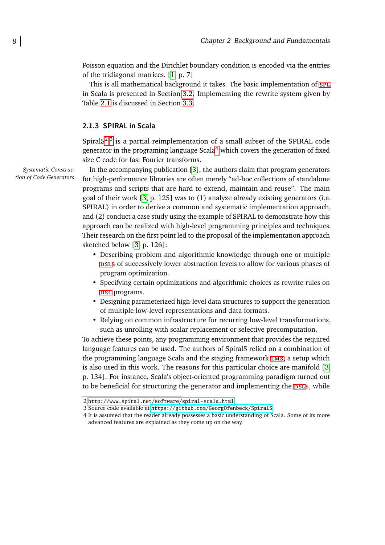Poisson equation and the Dirichlet boundary condition is encoded via the entries of the tridiagonal matrices. [\[1,](#page-88-1) p. 7]

This is all mathematical background it takes. The basic implementation of  $sPL$ in Scala is presented in Section [3.2.](#page-29-0) Implementing the rewrite system given by Table [2.1](#page-16-0) is discussed in Section [3.3.](#page-37-0)

#### <span id="page-17-0"></span>**2.1.3 SPIRAL in Scala**

Spiral $S^{2,3}$  $S^{2,3}$  $S^{2,3}$  $S^{2,3}$  is a partial reimplementation of a small subset of the SPIRAL code generator in the programing language  $Scala<sup>4</sup>$  $Scala<sup>4</sup>$  $Scala<sup>4</sup>$  which covers the generation of fixed size C code for fast Fourier transforms.

In the accompanying publication [\[3\]](#page-88-3), the authors claim that program generators for high-performance libraries are often merely "ad-hoc collections of standalone programs and scripts that are hard to extend, maintain and reuse". The main goal of their work [\[3,](#page-88-3) p. 125] was to (1) analyze already existing generators (i.a. SPIRAL) in order to derive a common and systematic implementation approach, and (2) conduct a case study using the example of SPIRAL to demonstrate how this approach can be realized with high-level programming principles and techniques. Their research on the first point led to the proposal of the implementation approach sketched below [\[3,](#page-88-3) p. 126]:

- Describing problem and algorithmic knowledge through one or multiple psls of successively lower abstraction levels to allow for various phases of program optimization.
- Specifying certain optimizations and algorithmic choices as rewrite rules on DSL programs.
- Designing parameterized high-level data structures to support the generation of multiple low-level representations and data formats.
- Relying on common infrastructure for recurring low-level transformations, such as unrolling with scalar replacement or selective precomputation.

To achieve these points, any programming environment that provides the required language features can be used. The authors of SpiralS relied on a combination of the programming language Scala and the staging framework [lms](#page-92-6), a setup which is also used in this work. The reasons for this particular choice are manifold [\[3,](#page-88-3) p. 134]. For instance, Scala's object-oriented programming paradigm turned out to be beneficial for structuring the generator and implementing the psls, while

*Systematic Construction of Code Generators*

<span id="page-17-1"></span><sup>2</sup> <http://www.spiral.net/software/spiral-scala.html>

<span id="page-17-2"></span><sup>3</sup> Source code available at <https://github.com/GeorgOfenbeck/SpiralS>

<span id="page-17-3"></span><sup>4</sup> It is assumed that the reader already possesses a basic understanding of Scala. Some of its more advanced features are explained as they come up on the way.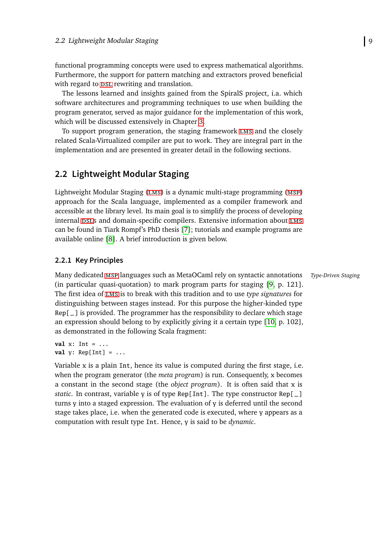functional programming concepts were used to express mathematical algorithms. Furthermore, the support for pattern matching and extractors proved beneficial with regard to DSL rewriting and translation.

The lessons learned and insights gained from the SpiralS project, i.a. which software architectures and programming techniques to use when building the program generator, served as major guidance for the implementation of this work, which will be discussed extensively in Chapter [3.](#page-28-0)

To support program generation, the staging framework [lms](#page-92-6) and the closely related Scala-Virtualized compiler are put to work. They are integral part in the implementation and are presented in greater detail in the following sections.

### <span id="page-18-0"></span>**2.2 Lightweight Modular Staging**

Lightweight Modular Staging ([lms](#page-92-6)) is a dynamic multi-stage programming ([msp](#page-92-9)) approach for the Scala language, implemented as a compiler framework and accessible at the library level. Its main goal is to simplify the process of developing internal DSLS and domain-specific compilers. Extensive information about LMS can be found in Tiark Rompf's PhD thesis [\[7\]](#page-89-1); tutorials and example programs are available online [\[8\]](#page-89-2). A brief introduction is given below.

#### <span id="page-18-1"></span>**2.2.1 Key Principles**

Many dedicated [msp](#page-92-9) languages such as MetaOCaml rely on syntactic annotations *Type-Driven Staging* (in particular quasi-quotation) to mark program parts for staging [\[9,](#page-89-3) p. 121]. The first idea of [lms](#page-92-6) is to break with this tradition and to use *type signatures* for distinguishing between stages instead. For this purpose the higher-kinded type Rep[\_] is provided. The programmer has the responsibility to declare which stage an expression should belong to by explicitly giving it a certain type [\[10,](#page-89-4) p. 102], as demonstrated in the following Scala fragment:

**val** x: Int = ... **val** y: Rep[Int] = ...

Variable x is a plain Int, hence its value is computed during the first stage, i.e. when the program generator (the *meta program*) is run. Consequently, x becomes a constant in the second stage (the *object program*). It is often said that x is *static*. In contrast, variable y is of type Rep[Int]. The type constructor  $Rep[-]$ turns y into a staged expression. The evaluation of y is deferred until the second stage takes place, i.e. when the generated code is executed, where y appears as a computation with result type Int. Hence, y is said to be *dynamic*.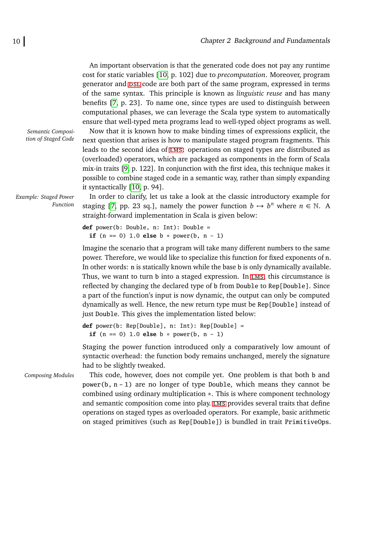An important observation is that the generated code does not pay any runtime cost for static variables [\[10,](#page-89-4) p. 102] due to *precomputation*. Moreover, program generator and DSL code are both part of the same program, expressed in terms of the same syntax. This principle is known as *linguistic reuse* and has many benefits [\[7,](#page-89-1) p. 23]. To name one, since types are used to distinguish between computational phases, we can leverage the Scala type system to automatically ensure that well-typed meta programs lead to well-typed object programs as well.

*Semantic Composition of Staged Code*

*Example: Staged Power*

*Function*

Now that it is known how to make binding times of expressions explicit, the next question that arises is how to manipulate staged program fragments. This leads to the second idea of [lms](#page-92-6): operations on staged types are distributed as (overloaded) operators, which are packaged as components in the form of Scala mix-in traits [\[9,](#page-89-3) p. 122]. In conjunction with the first idea, this technique makes it possible to combine staged code in a semantic way, rather than simply expanding it syntactically [\[10,](#page-89-4) p. 94].

In order to clarify, let us take a look at the classic introductory example for staging [\[7,](#page-89-1) pp. 23 sq.], namely the power function  $b \mapsto b^n$  where  $n \in \mathbb{N}$ . A straight-forward implementation in Scala is given below:

**def** power(b: Double, n: Int): Double = **if**  $(n == 0)$  1.0 **else** b  $*$  power $(b, n - 1)$ 

Imagine the scenario that a program will take many different numbers to the same power. Therefore, we would like to specialize this function for fixed exponents of n. In other words: n is statically known while the base b is only dynamically available. Thus, we want to turn b into a staged expression. In LMS, this circumstance is reflected by changing the declared type of b from Double to Rep[Double]. Since a part of the function's input is now dynamic, the output can only be computed dynamically as well. Hence, the new return type must be Rep[Double] instead of just Double. This gives the implementation listed below:

```
def power(b: Rep[Double], n: Int): Rep[Double] =
  if (n == 0) 1.0 else b * power(b, n - 1)
```
Staging the power function introduced only a comparatively low amount of syntactic overhead: the function body remains unchanged, merely the signature had to be slightly tweaked.

*Composing Modules* This code, however, does not compile yet. One problem is that both b and power(b,  $n - 1$ ) are no longer of type Double, which means they cannot be combined using ordinary multiplication  $\ast$ . This is where component technology and semantic composition come into play. [lms](#page-92-6) provides several traits that define operations on staged types as overloaded operators. For example, basic arithmetic on staged primitives (such as Rep[Double]) is bundled in trait PrimitiveOps.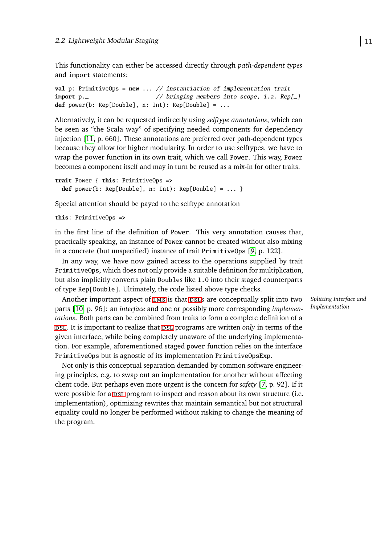This functionality can either be accessed directly through *path-dependent types* and import statements:

```
val p: PrimitiveOps = new ... // instantiation of implementation trait
import p._ // bringing members into scope, i.a. Rep[_]
def power(b: Rep[Double], n: Int): Rep[Double] = ...
```
Alternatively, it can be requested indirectly using *selftype annotations*, which can be seen as "the Scala way" of specifying needed components for dependency injection [\[11,](#page-89-5) p. 660]. These annotations are preferred over path-dependent types because they allow for higher modularity. In order to use selftypes, we have to wrap the power function in its own trait, which we call Power. This way, Power becomes a component itself and may in turn be reused as a mix-in for other traits.

```
trait Power { this: PrimitiveOps =>
 def power(b: Rep[Double], n: Int): Rep[Double] = ... }
```
Special attention should be payed to the selftype annotation

**this**: PrimitiveOps **=>**

in the first line of the definition of Power. This very annotation causes that, practically speaking, an instance of Power cannot be created without also mixing in a concrete (but unspecified) instance of trait PrimitiveOps [\[9,](#page-89-3) p. 122].

In any way, we have now gained access to the operations supplied by trait PrimitiveOps, which does not only provide a suitable definition for multiplication, but also implicitly converts plain Doubles like 1.0 into their staged counterparts of type Rep[Double]. Ultimately, the code listed above type checks.

Another important aspect of LMS is that DSLS are conceptually split into two parts [\[10,](#page-89-4) p. 96]: an *interface* and one or possibly more corresponding *implementations*. Both parts can be combined from traits to form a complete definition of a [dsl](#page-92-0). It is important to realize that [dsl](#page-92-0) programs are written *only* in terms of the given interface, while being completely unaware of the underlying implementation. For example, aforementioned staged power function relies on the interface PrimitiveOps but is agnostic of its implementation PrimitiveOpsExp.

Not only is this conceptual separation demanded by common software engineering principles, e.g. to swap out an implementation for another without affecting client code. But perhaps even more urgent is the concern for *safety* [\[7,](#page-89-1) p. 92]. If it were possible for a psl program to inspect and reason about its own structure (i.e. implementation), optimizing rewrites that maintain semantical but not structural equality could no longer be performed without risking to change the meaning of the program.

*Splitting Interface and Implementation*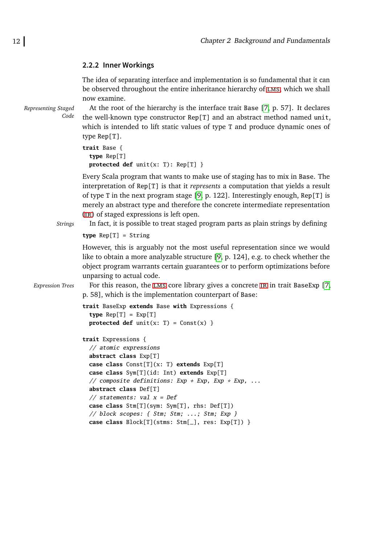#### <span id="page-21-0"></span>**2.2.2 Inner Workings**

The idea of separating interface and implementation is so fundamental that it can be observed throughout the entire inheritance hierarchy of [lms](#page-92-6), which we shall now examine.

*Representing Staged*

*Code*

At the root of the hierarchy is the interface trait Base [\[7,](#page-89-1) p. 57]. It declares the well-known type constructor Rep[T] and an abstract method named unit, which is intended to lift static values of type T and produce dynamic ones of type Rep[T].

```
trait Base {
  type Rep[T]
 protected def unit(x: T): Rep[T] }
```
Every Scala program that wants to make use of staging has to mix in Base. The interpretation of Rep[T] is that it *represents* a computation that yields a result of type T in the next program stage [\[9,](#page-89-3) p. 122]. Interestingly enough,  $Rep[T]$  is merely an abstract type and therefore the concrete intermediate representation ([ir](#page-92-4)) of staged expressions is left open.

*Strings* In fact, it is possible to treat staged program parts as plain strings by defining

**type** Rep[T] = String

However, this is arguably not the most useful representation since we would like to obtain a more analyzable structure [\[9,](#page-89-3) p. 124], e.g. to check whether the object program warrants certain guarantees or to perform optimizations before unparsing to actual code.

*Expression Trees* For this reason, the LMS core library gives a concrete IR in trait BaseExp [\[7,](#page-89-1) p. 58], which is the implementation counterpart of Base:

```
trait BaseExp extends Base with Expressions {
  type Rep[T] = Exp[T]protected def unit(x: T) = Const(x) }
```

```
trait Expressions {
  // atomic expressions
  abstract class Exp[T]
 case class Const[T](x: T) extends Exp[T]
 case class Sym[T](id: Int) extends Exp[T]
  // composite definitions: Exp + Exp, Exp * Exp, ...
 abstract class Def[T]
 // statements: val x = Defcase class Stm[T](sym: Sym[T], rhs: Def[T])
  // block scopes: { Stm; Stm; ...; Stm; Exp }
 case class Block[T](stms: Stm[_], res: Exp[T]) }
```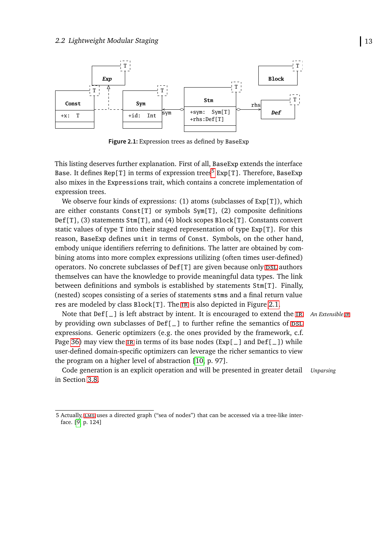<span id="page-22-0"></span>

**Figure 2.1:** Expression trees as defined by BaseExp

This listing deserves further explanation. First of all, BaseExp extends the interface Base. It defines Rep[T] in terms of expression trees<sup>[5](#page-22-1)</sup> Exp[T]. Therefore, BaseExp also mixes in the Expressions trait, which contains a concrete implementation of expression trees.

We observe four kinds of expressions: (1) atoms (subclasses of Exp[T]), which are either constants Const[T] or symbols  $Sym[T]$ , (2) composite definitions Def[T], (3) statements Stm[T], and (4) block scopes Block[T]. Constants convert static values of type T into their staged representation of type Exp[T]. For this reason, BaseExp defines unit in terms of Const. Symbols, on the other hand, embody unique identifiers referring to definitions. The latter are obtained by combining atoms into more complex expressions utilizing (often times user-defined) operators. No concrete subclasses of  $\text{Def}[T]$  are given because only psl authors themselves can have the knowledge to provide meaningful data types. The link between definitions and symbols is established by statements Stm[T]. Finally, (nested) scopes consisting of a series of statements stms and a final return value res are modeled by class Block[T]. The [ir](#page-92-4) is also depicted in Figure [2.1.](#page-22-0)

Note that Def[\_] is left abstract by intent. It is encouraged to extend the [ir](#page-92-4) *An Extensible [ir](#page-92-4)* by providing own subclasses of  $Def[\_]$  to further refine the semantics of  $DSL$ expressions. Generic optimizers (e.g. the ones provided by the framework, c.f. Page [36\)](#page-44-0) may view the IR in terms of its base nodes  $(Exp[-]$  and  $Def[-])$  while user-defined domain-specific optimizers can leverage the richer semantics to view the program on a higher level of abstraction [\[10,](#page-89-4) p. 97].

Code generation is an explicit operation and will be presented in greater detail *Unparsing* in Section [3.8.](#page-70-0)

<span id="page-22-1"></span><sup>5</sup> Actually, [lms](#page-92-6) uses a directed graph ("sea of nodes") that can be accessed via a tree-like interface. [\[9,](#page-89-3) p. 124]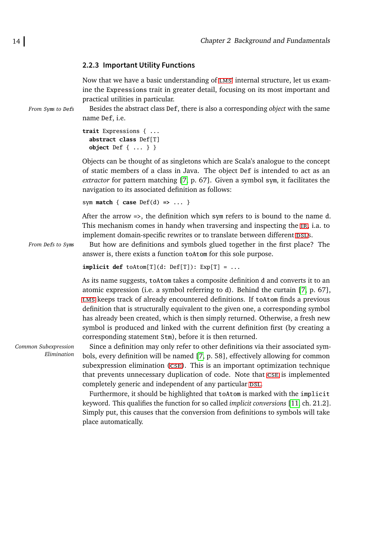#### <span id="page-23-0"></span>**2.2.3 Important Utility Functions**

Now that we have a basic understanding of LMS' internal structure, let us examine the Expressions trait in greater detail, focusing on its most important and practical utilities in particular.

*From* Sym*s to* Def*s* Besides the abstract class Def, there is also a corresponding *object* with the same name Def, i.e.

```
trait Expressions { ...
  abstract class Def[T]
 object Def { ... } }
```
Objects can be thought of as singletons which are Scala's analogue to the concept of static members of a class in Java. The object Def is intended to act as an *extractor* for pattern matching [\[7,](#page-89-1) p. 67]. Given a symbol sym, it facilitates the navigation to its associated definition as follows:

```
sym match { case Def(d) => ... }
```
After the arrow =>, the definition which sym refers to is bound to the name d. This mechanism comes in handy when traversing and inspecting the [ir](#page-92-4), i.a. to implement domain-specific rewrites or to translate between different DSLS.

*From* Def*s to* Sym*s* But how are definitions and symbols glued together in the first place? The answer is, there exists a function toAtom for this sole purpose.

```
implicit def toAtom[T](d: Def[T]): Exp[T] = ...
```
As its name suggests, toAtom takes a composite definition d and converts it to an atomic expression (i.e. a symbol referring to d). Behind the curtain [\[7,](#page-89-1) p. 67], [lms](#page-92-6) keeps track of already encountered definitions. If toAtom finds a previous definition that is structurally equivalent to the given one, a corresponding symbol has already been created, which is then simply returned. Otherwise, a fresh new symbol is produced and linked with the current definition first (by creating a corresponding statement Stm), before it is then returned.

*Common Subexpression Elimination*

Since a definition may only refer to other definitions via their associated symbols, every definition will be named [\[7,](#page-89-1) p. 58], effectively allowing for common subexpression elimination ([cse](#page-92-10)). This is an important optimization technique that prevents unnecessary duplication of code. Note that [cse](#page-92-10) is implemented completely generic and independent of any particular DSL.

Furthermore, it should be highlighted that toAtom is marked with the implicit keyword. This qualifies the function for so called *implicit conversions* [\[11,](#page-89-5) ch. 21.2]. Simply put, this causes that the conversion from definitions to symbols will take place automatically.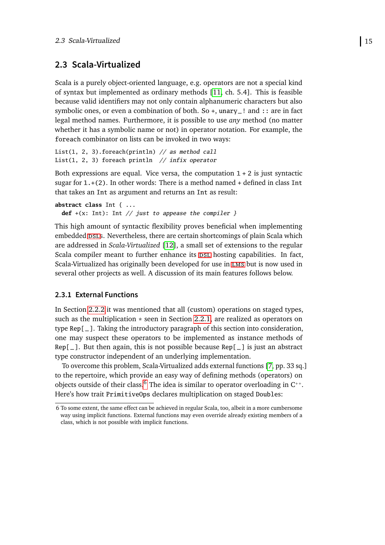### <span id="page-24-0"></span>**2.3 Scala-Virtualized**

Scala is a purely object-oriented language, e.g. operators are not a special kind of syntax but implemented as ordinary methods [\[11,](#page-89-5) ch. 5.4]. This is feasible because valid identifiers may not only contain alphanumeric characters but also symbolic ones, or even a combination of both. So +, unary\_! and :: are in fact legal method names. Furthermore, it is possible to use *any* method (no matter whether it has a symbolic name or not) in operator notation. For example, the foreach combinator on lists can be invoked in two ways:

List(1, 2, 3).foreach(println)  $//$  as method call List(1, 2, 3) foreach println  $//$  infix operator

Both expressions are equal. Vice versa, the computation  $1 + 2$  is just syntactic sugar for  $1.+$ (2). In other words: There is a method named  $+$  defined in class Int that takes an Int as argument and returns an Int as result:

```
abstract class Int { ...
 def +(x: Int): Int // just to appease the compiler }
```
This high amount of syntactic flexibility proves beneficial when implementing embedded DSLS. Nevertheless, there are certain shortcomings of plain Scala which are addressed in *Scala-Virtualized* [\[12\]](#page-89-6), a small set of extensions to the regular Scala compiler meant to further enhance its psl hosting capabilities. In fact, Scala-Virtualized has originally been developed for use in [lms](#page-92-6) but is now used in several other projects as well. A discussion of its main features follows below.

#### <span id="page-24-1"></span>**2.3.1 External Functions**

In Section [2.2.2](#page-21-0) it was mentioned that all (custom) operations on staged types, such as the multiplication  $*$  seen in Section [2.2.1,](#page-18-1) are realized as operators on type Rep[\_]. Taking the introductory paragraph of this section into consideration, one may suspect these operators to be implemented as instance methods of  $Rep[\_]$ . But then again, this is not possible because Rep $[\_]$  is just an abstract type constructor independent of an underlying implementation.

To overcome this problem, Scala-Virtualized adds external functions [\[7,](#page-89-1) pp. 33 sq.] to the repertoire, which provide an easy way of defining methods (operators) on objects outside of their class.<sup>[6](#page-24-2)</sup> The idea is similar to operator overloading in  $C^{+*}$ . Here's how trait PrimitiveOps declares multiplication on staged Doubles:

<span id="page-24-2"></span><sup>6</sup> To some extent, the same effect can be achieved in regular Scala, too, albeit in a more cumbersome way using implicit functions. External functions may even override already existing members of a class, which is not possible with implicit functions.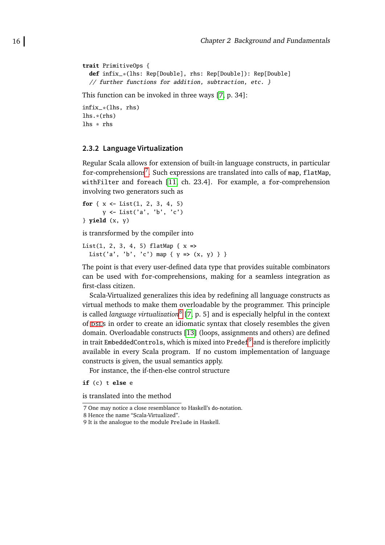```
trait PrimitiveOps {
 def infix_*(lhs: Rep[Double], rhs: Rep[Double]): Rep[Double]
 // further functions for addition, subtraction, etc. }
```
This function can be invoked in three ways [\[7,](#page-89-1) p. 34]:

infix\_\*(lhs, rhs) lhs.\*(rhs) lhs \* rhs

#### <span id="page-25-0"></span>**2.3.2 Language Virtualization**

Regular Scala allows for extension of built-in language constructs, in particular for-comprehensions<sup>[7](#page-25-1)</sup>. Such expressions are translated into calls of map, flatMap, withFilter and foreach [\[11,](#page-89-5) ch. 23.4]. For example, a for-comprehension involving two generators such as

```
for \{x \leftarrow \text{List}(1, 2, 3, 4, 5)\}y <- List('a', 'b', 'c')
} yield (x, y)
```
is tranrsformed by the compiler into

```
List(1, 2, 3, 4, 5) flatMap { x =>
 List('a', 'b', 'c') map { y => (x, y) } }
```
The point is that every user-defined data type that provides suitable combinators can be used with for-comprehensions, making for a seamless integration as first-class citizen.

Scala-Virtualized generalizes this idea by redefining all language constructs as virtual methods to make them overloadable by the programmer. This principle is called *language virtualization*[8](#page-25-2) [\[7,](#page-89-1) p. 5] and is especially helpful in the context of DSLS in order to create an idiomatic syntax that closely resembles the given domain. Overloadable constructs [\[13\]](#page-90-0) (loops, assignments and others) are defined in trait EmbeddedControls, which is mixed into <code>Predef $^9$  $^9$ </code> and is therefore implicitly available in every Scala program. If no custom implementation of language constructs is given, the usual semantics apply.

For instance, the if-then-else control structure

**if** (c) t **else** e

is translated into the method

<span id="page-25-1"></span>7 One may notice a close resemblance to Haskell's do-notation.

<span id="page-25-2"></span><sup>8</sup> Hence the name "Scala-Virtualized".

<span id="page-25-3"></span><sup>9</sup> It is the analogue to the module Prelude in Haskell.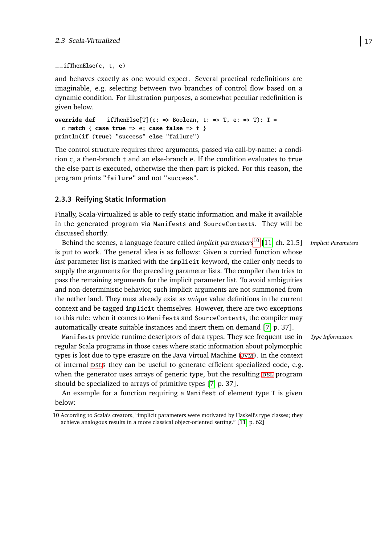```
_i _ifThenElse(c, t, e)
```
and behaves exactly as one would expect. Several practical redefinitions are imaginable, e.g. selecting between two branches of control flow based on a dynamic condition. For illustration purposes, a somewhat peculiar redefinition is given below.

```
override def _ _ifThenElse[T](c: => Boolean, t: => T, e: => T): T =
  c match { case true => e; case false => t }
println(if (true) "success" else "failure")
```
The control structure requires three arguments, passed via call-by-name: a condition c, a then-branch t and an else-branch e. If the condition evaluates to true the else-part is executed, otherwise the then-part is picked. For this reason, the program prints "failure" and not "success".

#### <span id="page-26-0"></span>**2.3.3 Reifying Static Information**

Finally, Scala-Virtualized is able to reify static information and make it available in the generated program via Manifests and SourceContexts. They will be discussed shortly.

Behind the scenes, a language feature called *implicit parameters*<sup>[10](#page-26-1)</sup> [\[11,](#page-89-5) ch. 21.5] *Implicit Parameters* is put to work. The general idea is as follows: Given a curried function whose *last* parameter list is marked with the implicit keyword, the caller only needs to supply the arguments for the preceding parameter lists. The compiler then tries to pass the remaining arguments for the implicit parameter list. To avoid ambiguities and non-deterministic behavior, such implicit arguments are not summoned from the nether land. They must already exist as *unique* value definitions in the current context and be tagged implicit themselves. However, there are two exceptions to this rule: when it comes to Manifests and SourceContexts, the compiler may automatically create suitable instances and insert them on demand [\[7,](#page-89-1) p. 37].

Manifests provide runtime descriptors of data types. They see frequent use in *Type Information* regular Scala programs in those cases where static information about polymorphic types is lost due to type erasure on the Java Virtual Machine (*JVM*). In the context of internal psls they can be useful to generate efficient specialized code, e.g. when the generator uses arrays of generic type, but the resulting DSL program should be specialized to arrays of primitive types [\[7,](#page-89-1) p. 37].

An example for a function requiring a Manifest of element type T is given below:

<span id="page-26-1"></span><sup>10</sup> According to Scala's creators, "implicit parameters were motivated by Haskell's type classes; they achieve analogous results in a more classical object-oriented setting." [\[11,](#page-89-5) p. 62]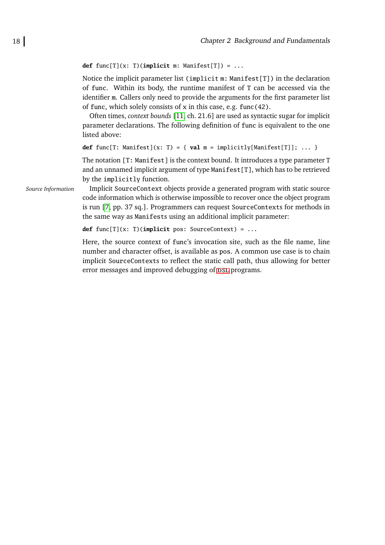```
def func[T](x: T)(implicit m: Manifest[T]) = ...
```
Notice the implicit parameter list (implicit m: Manifest[T]) in the declaration of func. Within its body, the runtime manifest of T can be accessed via the identifier m. Callers only need to provide the arguments for the first parameter list of func, which solely consists of x in this case, e.g. func(42).

Often times, *context bounds* [\[11,](#page-89-5) ch. 21.6] are used as syntactic sugar for implicit parameter declarations. The following definition of func is equivalent to the one listed above:

```
def func[T: Manifest](x: T) = { val m = implicitly[Manifest[T]]; ... }
```
The notation [T: Manifest] is the context bound. It introduces a type parameter T and an unnamed implicit argument of type Manifest  $[T]$ , which has to be retrieved by the implicitly function.

*Source Information* Implicit SourceContext objects provide a generated program with static source code information which is otherwise impossible to recover once the object program is run [\[7,](#page-89-1) pp. 37 sq.]. Programmers can request SourceContexts for methods in the same way as Manifests using an additional implicit parameter:

**def** func[T](x: T)(**implicit** pos: SourceContext) = ...

Here, the source context of func's invocation site, such as the file name, line number and character offset, is available as pos. A common use case is to chain implicit SourceContexts to reflect the static call path, thus allowing for better error messages and improved debugging of  $DSL$  programs.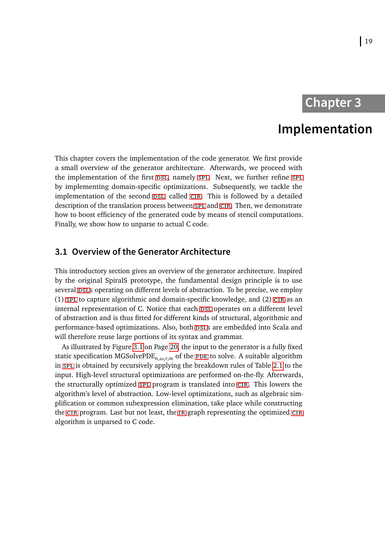### **Chapter 3**

## **Implementation**

<span id="page-28-0"></span>This chapter covers the implementation of the code generator. We first provide a small overview of the generator architecture. Afterwards, we proceed with the implementation of the first DSL, namely SPL. Next, we further refine SPL by implementing domain-specific optimizations. Subsequently, we tackle the implementation of the second DSL, called CIR. This is followed by a detailed description of the translation process between [spl](#page-92-1) and CIR. Then, we demonstrate how to boost efficiency of the generated code by means of stencil computations. Finally, we show how to unparse to actual C code.

### <span id="page-28-1"></span>**3.1 Overview of the Generator Architecture**

This introductory section gives an overview of the generator architecture. Inspired by the original SpiralS prototype, the fundamental design principle is to use several psls operating on different levels of abstraction. To be precise, we employ (1) SPL to capture algorithmic and domain-specific knowledge, and (2) CIR as an internal representation of C. Notice that each psl operates on a different level of abstraction and is thus fitted for different kinds of structural, algorithmic and performance-based optimizations. Also, both psing are embedded into Scala and will therefore reuse large portions of its syntax and grammar.

As illustrated by Figure [3.1](#page-29-2) on Page [20,](#page-29-2) the input to the generator is a fully fixed static specification MGSolvePDE $_{n,\omega,r,m}$  of the PDE to solve. A suitable algorithm in [spl](#page-92-1) is obtained by recursively applying the breakdown rules of Table [2.1](#page-16-0) to the input. High-level structural optimizations are performed on-the-fly. Afterwards, the structurally optimized [spl](#page-92-1) program is translated into [cir](#page-92-2). This lowers the algorithm's level of abstraction. Low-level optimizations, such as algebraic simplification or common subexpression elimination, take place while constructing the [cir](#page-92-2) program. Last but not least, the [ir](#page-92-4) graph representing the optimized [cir](#page-92-2) algorithm is unparsed to C code.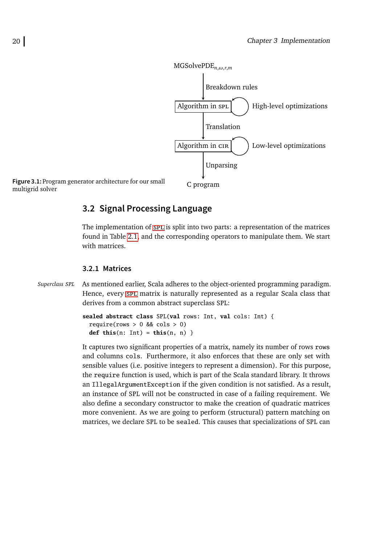<span id="page-29-2"></span>

### <span id="page-29-0"></span>**3.2 Signal Processing Language**

The implementation of [spl](#page-92-1) is split into two parts: a representation of the matrices found in Table [2.1,](#page-16-0) and the corresponding operators to manipulate them. We start with matrices.

#### <span id="page-29-1"></span>**3.2.1 Matrices**

*Superclass* SPL As mentioned earlier, Scala adheres to the object-oriented programming paradigm. Hence, every [spl](#page-92-1) matrix is naturally represented as a regular Scala class that derives from a common abstract superclass SPL:

```
sealed abstract class SPL(val rows: Int, val cols: Int) {
  require(rows > 0 && cols > 0)
 def this(n: Int) = this(n, n) }
```
It captures two significant properties of a matrix, namely its number of rows rows and columns cols. Furthermore, it also enforces that these are only set with sensible values (i.e. positive integers to represent a dimension). For this purpose, the require function is used, which is part of the Scala standard library. It throws an IllegalArgumentException if the given condition is not satisfied. As a result, an instance of SPL will not be constructed in case of a failing requirement. We also define a secondary constructor to make the creation of quadratic matrices more convenient. As we are going to perform (structural) pattern matching on matrices, we declare SPL to be sealed. This causes that specializations of SPL can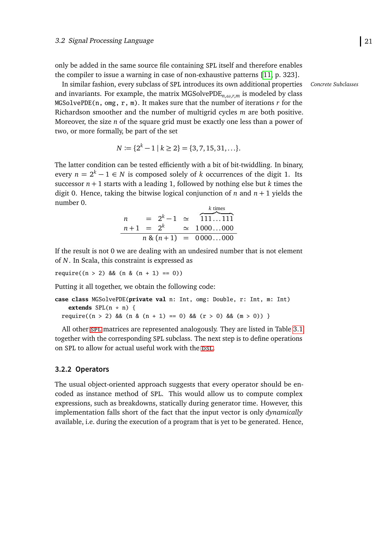only be added in the same source file containing SPL itself and therefore enables the compiler to issue a warning in case of non-exhaustive patterns [\[11,](#page-89-5) p. 323].

In similar fashion, every subclass of SPL introduces its own additional properties *Concrete Subclasses* and invariants. For example, the matrix MGSolvePDE*n*,*ω*,*r*,*<sup>m</sup>* is modeled by class MGSolvePDE(n, omg, r, m). It makes sure that the number of iterations *r* for the Richardson smoother and the number of multigrid cycles *m* are both positive. Moreover, the size *n* of the square grid must be exactly one less than a power of two, or more formally, be part of the set

$$
N := \{2^k - 1 \mid k \ge 2\} = \{3, 7, 15, 31, \ldots\}.
$$

The latter condition can be tested efficiently with a bit of bit-twiddling. In binary, every  $n = 2^k - 1 \in N$  is composed solely of *k* occurrences of the digit 1. Its successor  $n + 1$  starts with a leading 1, followed by nothing else but  $k$  times the digit 0. Hence, taking the bitwise logical conjunction of *n* and  $n + 1$  yields the number 0. *k* times

$$
n = 2k - 1 \approx \underbrace{111...111}_{n+1 = 2k}n \approx (n+1) = 0000...000n \approx (n+1) = 0000...000
$$

If the result is not 0 we are dealing with an undesired number that is not element of *N*. In Scala, this constraint is expressed as

require( $(n > 2)$  &&  $(n \& (n + 1) == 0)$ )

Putting it all together, we obtain the following code:

```
case class MGSolvePDE(private val n: Int, omg: Double, r: Int, m: Int)
   extends SPL(n * n) {
 require((n > 2) && (n & (n + 1) == 0) && (r > 0) && (m > 0)) }
```
All other [spl](#page-92-1) matrices are represented analogously. They are listed in Table [3.1](#page-31-0) together with the corresponding SPL subclass. The next step is to define operations on SPL to allow for actual useful work with the DSL.

#### <span id="page-30-0"></span>**3.2.2 Operators**

The usual object-oriented approach suggests that every operator should be encoded as instance method of SPL. This would allow us to compute complex expressions, such as breakdowns, statically during generator time. However, this implementation falls short of the fact that the input vector is only *dynamically* available, i.e. during the execution of a program that is yet to be generated. Hence,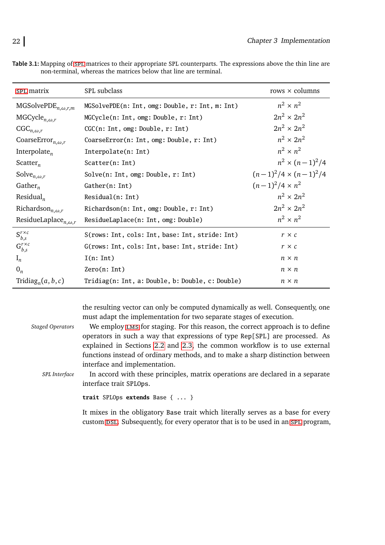| SPL matrix                                         | SPL subclass                                     | rows $\times$ columns        |
|----------------------------------------------------|--------------------------------------------------|------------------------------|
| MGSolvePDE <sub><math>n, \omega, r, m</math></sub> | MGSolvePDE(n: Int, omg: Double, r: Int, m: Int)  | $n^2 \times n^2$             |
| MGCycle <sub>n,<math>\omega</math>,r</sub>         | MGCycle(n: Int, omg: Double, r: Int)             | $2n^2 \times 2n^2$           |
| $CGC_{n,\omega,r}$                                 | CGC(n: Int, omg: Double, r: Int)                 | $2n^2 \times 2n^2$           |
| CoarseError <sub>n,<math>\omega</math>,r</sub>     | CoarseError(n: Int, omg: Double, r: Int)         | $n^2 \times 2n^2$            |
| Interpolate <sub>n</sub>                           | Interpolate(n: Int)                              | $n^2 \times n^2$             |
| Scatter <sub>n</sub>                               | Scatter(n: Int)                                  | $n^2 \times (n-1)^2/4$       |
| Solve <sub>n,<math>\omega</math>,r</sub>           | Solve(n: Int, omg: Double, r: Int)               | $(n-1)^2/4 \times (n-1)^2/4$ |
| Gather <sub>n</sub>                                | Gather(n: Int)                                   | $(n-1)^2/4 \times n^2$       |
| Residual <sub>n</sub>                              | Residual(n: Int)                                 | $n^2 \times 2n^2$            |
| Richardson <sub>n,<math>\omega</math>,r</sub>      | Richardson(n: Int, omg: Double, r: Int)          | $2n^2 \times 2n^2$           |
| ResidueLaplace <sub>n,<math>\omega</math>,r</sub>  | ResidueLaplace(n: Int, omg: Double)              | $n^2 \times n^2$             |
| $S_{b,s}^{r\times c}$                              | S(rows: Int, cols: Int, base: Int, stride: Int)  | $r \times c$                 |
| $G^{r \times c}_{b,s}$                             | G(rows: Int, cols: Int, base: Int, stride: Int)  | $r \times c$                 |
| $I_n$                                              | I(n: Int)                                        | $n \times n$                 |
| $0_n$                                              | Zero(n: Int)                                     | $n \times n$                 |
| Tridiag <sub>n</sub> $(a, b, c)$                   | Tridiag(n: Int, a: Double, b: Double, c: Double) | $n \times n$                 |

<span id="page-31-0"></span>**Table 3.1:** Mapping of [spl](#page-92-1) matrices to their appropriate SPL counterparts. The expressions above the thin line are non-terminal, whereas the matrices below that line are terminal.

the resulting vector can only be computed dynamically as well. Consequently, one must adapt the implementation for two separate stages of execution.

*Staged Operators* We employ [lms](#page-92-6) for staging. For this reason, the correct approach is to define operators in such a way that expressions of type Rep[SPL] are processed. As explained in Sections [2.2](#page-18-0) and [2.3,](#page-24-0) the common workflow is to use external functions instead of ordinary methods, and to make a sharp distinction between interface and implementation.

SPL *Interface* In accord with these principles, matrix operations are declared in a separate interface trait SPLOps.

**trait** SPLOps **extends** Base { ... }

It mixes in the obligatory Base trait which literally serves as a base for every custom DSL. Subsequently, for every operator that is to be used in an SPL program,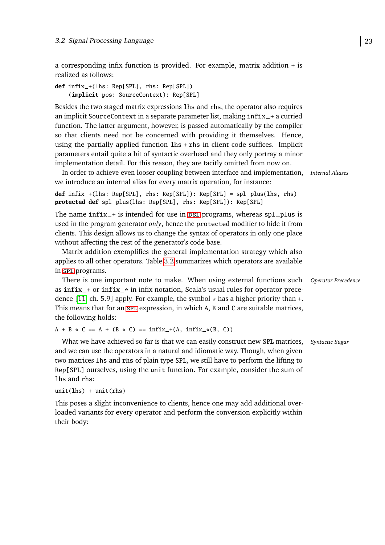a corresponding infix function is provided. For example, matrix addition + is realized as follows:

```
def infix_+(lhs: Rep[SPL], rhs: Rep[SPL])
    (implicit pos: SourceContext): Rep[SPL]
```
Besides the two staged matrix expressions lhs and rhs, the operator also requires an implicit SourceContext in a separate parameter list, making infix\_+ a curried function. The latter argument, however, is passed automatically by the compiler so that clients need not be concerned with providing it themselves. Hence, using the partially applied function lhs + rhs in client code suffices. Implicit parameters entail quite a bit of syntactic overhead and they only portray a minor implementation detail. For this reason, they are tacitly omitted from now on.

In order to achieve even looser coupling between interface and implementation, *Internal Aliases* we introduce an internal alias for every matrix operation, for instance:

```
def infix_+(lhs: Rep[SPL], rhs: Rep[SPL]): Rep[SPL] = spl_plus(lhs, rhs)
protected def spl_plus(lhs: Rep[SPL], rhs: Rep[SPL]): Rep[SPL]
```
The name  $infix_{-}$  is intended for use in DSL programs, whereas spl\_plus is used in the program generator *only*, hence the protected modifier to hide it from clients. This design allows us to change the syntax of operators in only one place without affecting the rest of the generator's code base.

Matrix addition exemplifies the general implementation strategy which also applies to all other operators. Table [3.2](#page-33-0) summarizes which operators are available in [spl](#page-92-1) programs.

There is one important note to make. When using external functions such *Operator Precedence* as infix\_+ or infix\_\* in infix notation, Scala's usual rules for operator precedence  $[11, ch. 5.9]$  $[11, ch. 5.9]$  apply. For example, the symbol  $*$  has a higher priority than  $*$ . This means that for an [spl](#page-92-1) expression, in which A, B and C are suitable matrices, the following holds:

 $A + B * C = A + (B * C) = \inf\{x_+(A, \inf\{x_*(B, C)\})\}$ 

What we have achieved so far is that we can easily construct new SPL matrices, *Syntactic Sugar* and we can use the operators in a natural and idiomatic way. Though, when given two matrices lhs and rhs of plain type SPL, we still have to perform the lifting to Rep[SPL] ourselves, using the unit function. For example, consider the sum of lhs and rhs:

```
unit(1hs) + unit(rhs)
```
This poses a slight inconvenience to clients, hence one may add additional overloaded variants for every operator and perform the conversion explicitly within their body: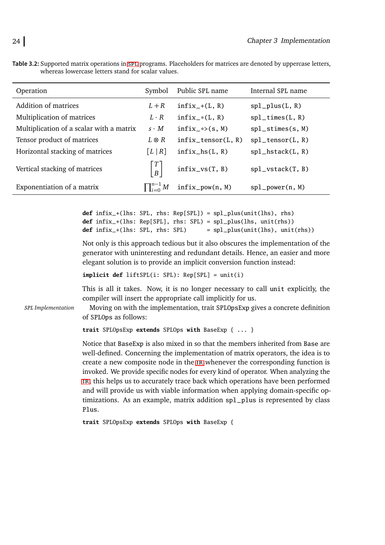<span id="page-33-0"></span>

|                                                    | Table 3.2: Supported matrix operations in spl programs. Placeholders for matrices are denoted by uppercase letters, |
|----------------------------------------------------|---------------------------------------------------------------------------------------------------------------------|
| whereas lowercase letters stand for scalar values. |                                                                                                                     |

| Operation                                | Symbol                                | Public SPL name           | Internal SPL name   |
|------------------------------------------|---------------------------------------|---------------------------|---------------------|
| Addition of matrices                     | $L + R$                               | $infix_{-}+(L, R)$        | $spl_plus(L, R)$    |
| Multiplication of matrices               | $L \cdot R$                           | $infix$ <sub>(L, R)</sub> | $spl_times(L, R)$   |
| Multiplication of a scalar with a matrix | $s \cdot M$                           | $infix-*>(s,M)$           | $spl\_stimes(s, M)$ |
| Tensor product of matrices               | $L \otimes R$                         | $infix_tensor(L, R)$      | $spl_tensor(L, R)$  |
| Horizontal stacking of matrices          | [L   R]                               | $infix_ls(L, R)$          | $spl_hstack(L, R)$  |
| Vertical stacking of matrices            | $\lceil T \rceil$<br>$\boldsymbol{B}$ | $infix_v(s(T, B))$        | $spl_vstack(T, B)$  |
| Exponentiation of a matrix               | $\prod_{i=0}^{n-1} M$                 | $infix\_pow(n, M)$        | $spl\_power(n, M)$  |

```
def infix_+(lhs: SPL, rhs: Rep[SPL]) = spl_plus(unit(lhs), rhs)
def infix_+(lhs: Rep[SPL], rhs: SPL) = spl_plus(lhs, unit(rhs))
def infix_+(lhs: SPL, rhs: SPL) = spl_plus(unit(lhs), unit(rhs))
```
Not only is this approach tedious but it also obscures the implementation of the generator with uninteresting and redundant details. Hence, an easier and more elegant solution is to provide an implicit conversion function instead:

**implicit def** liftSPL(i: SPL): Rep[SPL] = unit(i)

This is all it takes. Now, it is no longer necessary to call unit explicitly, the compiler will insert the appropriate call implicitly for us.

SPL *Implementation* Moving on with the implementation, trait SPLOpsExp gives a concrete definition of SPLOps as follows:

```
trait SPLOpsExp extends SPLOps with BaseExp { ... }
```
Notice that BaseExp is also mixed in so that the members inherited from Base are well-defined. Concerning the implementation of matrix operators, the idea is to create a new composite node in the [ir](#page-92-4) whenever the corresponding function is invoked. We provide specific nodes for every kind of operator. When analyzing the [ir](#page-92-4), this helps us to accurately trace back which operations have been performed and will provide us with viable information when applying domain-specific optimizations. As an example, matrix addition spl\_plus is represented by class Plus.

**trait** SPLOpsExp **extends** SPLOps **with** BaseExp {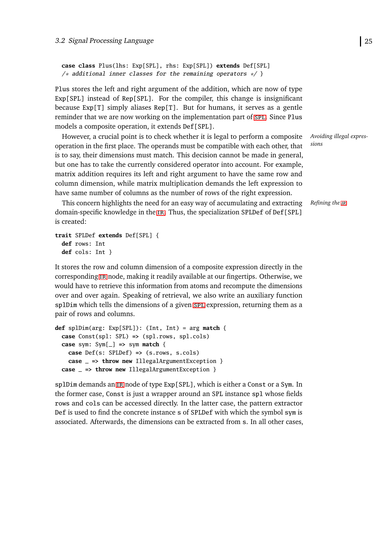```
case class Plus(lhs: Exp[SPL], rhs: Exp[SPL]) extends Def[SPL]
/* additional inner classes for the remaining operators */ }
```
Plus stores the left and right argument of the addition, which are now of type Exp[SPL] instead of Rep[SPL]. For the compiler, this change is insignificant because Exp[T] simply aliases Rep[T]. But for humans, it serves as a gentle reminder that we are now working on the implementation part of [spl](#page-92-1). Since Plus models a composite operation, it extends Def[SPL].

However, a crucial point is to check whether it is legal to perform a composite operation in the first place. The operands must be compatible with each other, that is to say, their dimensions must match. This decision cannot be made in general, but one has to take the currently considered operator into account. For example, matrix addition requires its left and right argument to have the same row and column dimension, while matrix multiplication demands the left expression to have same number of columns as the number of rows of the right expression.

This concern highlights the need for an easy way of accumulating and extracting *Refining the [ir](#page-92-4)* domain-specific knowledge in the [ir](#page-92-4). Thus, the specialization SPLDef of Def[SPL] is created:

```
trait SPLDef extends Def[SPL] {
 def rows: Int
 def cols: Int }
```
It stores the row and column dimension of a composite expression directly in the corresponding [ir](#page-92-4) node, making it readily available at our fingertips. Otherwise, we would have to retrieve this information from atoms and recompute the dimensions over and over again. Speaking of retrieval, we also write an auxiliary function [spl](#page-92-1)Dim which tells the dimensions of a given spl expression, returning them as a pair of rows and columns.

```
def splDim(arg: Exp[SPL]): (Int, Int) = arg match {
  case Const(spl: SPL) => (spl.rows, spl.cols)
  case sym: Sym[_] => sym match {
    case Def(s: SPLDef) => (s.rows, s.cols)
    case _ => throw new IllegalArgumentException }
  case _ => throw new IllegalArgumentException }
```
splDim demands an [ir](#page-92-4) node of type Exp[SPL], which is either a Const or a Sym. In the former case, Const is just a wrapper around an SPL instance spl whose fields rows and cols can be accessed directly. In the latter case, the pattern extractor Def is used to find the concrete instance s of SPLDef with which the symbol sym is associated. Afterwards, the dimensions can be extracted from s. In all other cases, *Avoiding illegal expressions*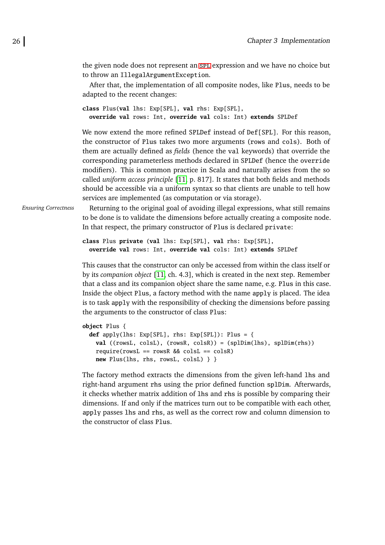the given node does not represent an [spl](#page-92-1) expression and we have no choice but to throw an IllegalArgumentException.

After that, the implementation of all composite nodes, like Plus, needs to be adapted to the recent changes:

```
class Plus(val lhs: Exp[SPL], val rhs: Exp[SPL],
  override val rows: Int, override val cols: Int) extends SPLDef
```
We now extend the more refined SPLDef instead of Def [SPL]. For this reason, the constructor of Plus takes two more arguments (rows and cols). Both of them are actually defined as *fields* (hence the val keywords) that override the corresponding parameterless methods declared in SPLDef (hence the override modifiers). This is common practice in Scala and naturally arises from the so called *uniform access principle* [\[11,](#page-89-5) p. 817]. It states that both fields and methods should be accessible via a uniform syntax so that clients are unable to tell how services are implemented (as computation or via storage).

*Ensuring Correctness* Returning to the original goal of avoiding illegal expressions, what still remains to be done is to validate the dimensions before actually creating a composite node. In that respect, the primary constructor of Plus is declared private:

```
class Plus private (val lhs: Exp[SPL], val rhs: Exp[SPL],
 override val rows: Int, override val cols: Int) extends SPLDef
```
This causes that the constructor can only be accessed from within the class itself or by its *companion object* [\[11,](#page-89-5) ch. 4.3], which is created in the next step. Remember that a class and its companion object share the same name, e.g. Plus in this case. Inside the object Plus, a factory method with the name apply is placed. The idea is to task apply with the responsibility of checking the dimensions before passing the arguments to the constructor of class Plus:

```
object Plus {
 def apply(lhs: Exp[SPL], rhs: Exp[SPL]): Plus = {
   val ((rowsL, colsL), (rowsR, colsR)) = (splDim(lhs), splDim(rhs))
   require(rowsL == rowsR && colsL == colsR)
   new Plus(lhs, rhs, rowsL, colsL) } }
```
The factory method extracts the dimensions from the given left-hand lhs and right-hand argument rhs using the prior defined function splDim. Afterwards, it checks whether matrix addition of lhs and rhs is possible by comparing their dimensions. If and only if the matrices turn out to be compatible with each other, apply passes lhs and rhs, as well as the correct row and column dimension to the constructor of class Plus.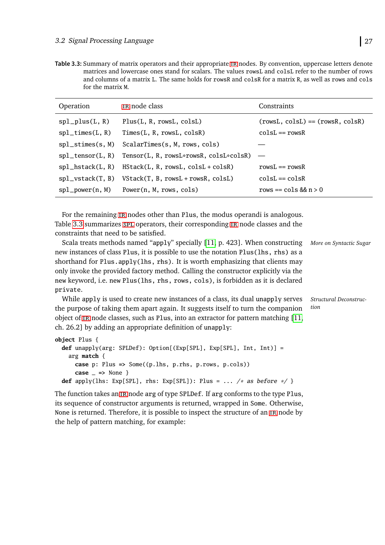<span id="page-36-0"></span>**Table 3.3:** Summary of matrix operators and their appropriate [ir](#page-92-0) nodes. By convention, uppercase letters denote matrices and lowercase ones stand for scalars. The values rowsL and colsL refer to the number of rows and columns of a matrix L. The same holds for rowsR and colsR for a matrix R, as well as rows and cols for the matrix M.

| Operation                       | IR node class                                            | Constraints                        |
|---------------------------------|----------------------------------------------------------|------------------------------------|
| $spl$ <sub>-plus</sub> $(L, R)$ | Plus(L, R, rowsL, colsL)                                 | $(rowsL, colsL) == (rowsR, colsR)$ |
| $spl_times(L, R)$               | Times(L, R, rowsL, colsR)                                | $colsL == rowsR$                   |
| $spl\_stimes(s, M)$             | ScalarTimes(s, M, rows, cols)                            |                                    |
|                                 | spl_tensor(L, R) Tensor(L, R, rowsL*rowsR, colsL*colsR)  |                                    |
|                                 | $spl_hstack(L, R)$ HStack(L, R, rowsL, colsL + colsR)    | $rowsL == rowsR$                   |
|                                 | $spl_vstack(T, B)$ VStack $(T, B, rowsL + rowsR, colsL)$ | $colsL == colsR$                   |
|                                 | $spl_power(n, M)$ Power $(n, M, rows, cols)$             | rows == $\cosh \theta$ n > 0       |

For the remaining IR nodes other than Plus, the modus operandi is analogous. Table [3.3](#page-36-0) summarizes [spl](#page-92-1) operators, the[ir](#page-92-0) corresponding IR node classes and the constraints that need to be satisfied.

Scala treats methods named "apply" specially [\[11,](#page-89-0) p. 423]. When constructing *More on Syntactic Sugar* new instances of class Plus, it is possible to use the notation Plus(lhs, rhs) as a shorthand for Plus.apply(lhs, rhs). It is worth emphasizing that clients may only invoke the provided factory method. Calling the constructor explicitly via the new keyword, i.e. new Plus(lhs, rhs, rows, cols), is forbidden as it is declared private.

*Structural Deconstruction* While apply is used to create new instances of a class, its dual unapply serves the purpose of taking them apart again. It suggests itself to turn the companion object of [ir](#page-92-0) node classes, such as Plus, into an extractor for pattern matching [\[11,](#page-89-0) ch. 26.2] by adding an appropriate definition of unapply:

```
object Plus {
  def unapply(arg: SPLDef): Option[(Exp[SPL], Exp[SPL], Int, Int)] =
    arg match {
      case p: Plus => Some((p.lhs, p.rhs, p.rows, p.cols))
      \text{case} \Rightarrow None \}def apply(lhs: Exp[SPL], rhs: Exp[SPL]): Plus = ... /* as before */ }
```
The function takes an [ir](#page-92-0) node arg of type SPLDef. If arg conforms to the type Plus, its sequence of constructor arguments is returned, wrapped in Some. Otherwise, None is returned. Therefore, it is possible to inspect the structure of an [ir](#page-92-0) node by the help of pattern matching, for example: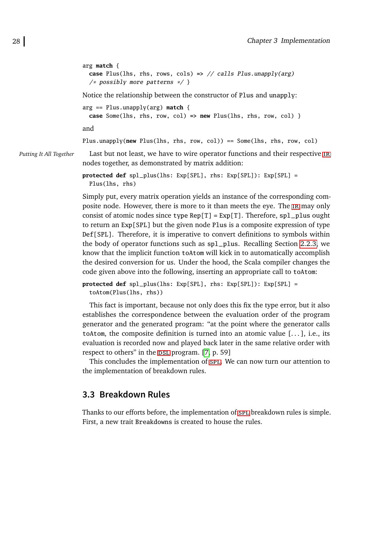```
arg match {
 case Plus(lhs, rhs, rows, cols) => // calls Plus.unapply(arg)
  /* possibly more patterns */ }
Notice the relationship between the constructor of Plus and unapply:
arg == Plus.unapply(arg) match {
 case Some(lhs, rhs, row, col) => new Plus(lhs, rhs, row, col) }
and
```
*Putting It All Together* Last but not least, we have to wire operator functions and their respective [ir](#page-92-0) nodes together, as demonstrated by matrix addition:

Plus.unapply(**new** Plus(lhs, rhs, row, col)) == Some(lhs, rhs, row, col)

```
protected def spl_plus(lhs: Exp[SPL], rhs: Exp[SPL]): Exp[SPL] =
 Plus(lhs, rhs)
```
Simply put, every matrix operation yields an instance of the corresponding composite node. However, there is more to it than meets the eye. The [ir](#page-92-0) may only consist of atomic nodes since type  $Rep[T] = Exp[T]$ . Therefore, sp1 plus ought to return an Exp[SPL] but the given node Plus is a composite expression of type Def[SPL]. Therefore, it is imperative to convert definitions to symbols within the body of operator functions such as spl\_plus. Recalling Section [2.2.3,](#page-23-0) we know that the implicit function toAtom will kick in to automatically accomplish the desired conversion for us. Under the hood, the Scala compiler changes the code given above into the following, inserting an appropriate call to toAtom:

```
protected def spl_plus(lhs: Exp[SPL], rhs: Exp[SPL]): Exp[SPL] =
  toAtom(Plus(lhs, rhs))
```
This fact is important, because not only does this fix the type error, but it also establishes the correspondence between the evaluation order of the program generator and the generated program: "at the point where the generator calls toAtom, the composite definition is turned into an atomic value  $[\dots]$ , i.e., its evaluation is recorded now and played back later in the same relative order with respect to others" in the DSL program. [\[7,](#page-89-1) p. 59]

This concludes the implementation of [spl](#page-92-1). We can now turn our attention to the implementation of breakdown rules.

# **3.3 Breakdown Rules**

Thanks to our efforts before, the implementation of  $SPL$  breakdown rules is simple. First, a new trait Breakdowns is created to house the rules.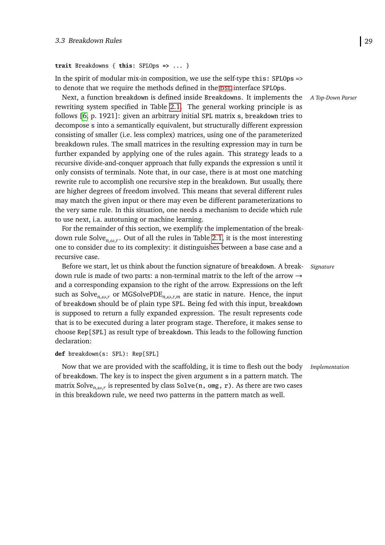#### **trait** Breakdowns { **this**: SPLOps **=>** ... }

In the spirit of modular mix-in composition, we use the self-type this: SPLOps => to denote that we require the methods defined in the DSL interface SPLOps.

Next, a function breakdown is defined inside Breakdowns. It implements the *A Top-Down Parser* rewriting system specified in Table [2.1.](#page-16-0) The general working principle is as follows [\[6,](#page-89-2) p. 1921]: given an arbitrary initial SPL matrix s, breakdown tries to decompose s into a semantically equivalent, but structurally different expression consisting of smaller (i.e. less complex) matrices, using one of the parameterized breakdown rules. The small matrices in the resulting expression may in turn be further expanded by applying one of the rules again. This strategy leads to a recursive divide-and-conquer approach that fully expands the expression s until it only consists of terminals. Note that, in our case, there is at most one matching rewrite rule to accomplish one recursive step in the breakdown. But usually, there are higher degrees of freedom involved. This means that several different rules may match the given input or there may even be different parameterizations to the very same rule. In this situation, one needs a mechanism to decide which rule to use next, i.a. autotuning or machine learning.

For the remainder of this section, we exemplify the implementation of the breakdown rule Solve*n*,*ω*,*<sup>r</sup>* . Out of all the rules in Table [2.1,](#page-16-0) it is the most interesting one to consider due to its complexity: it distinguishes between a base case and a recursive case.

Before we start, let us think about the function signature of breakdown. A break- *Signature* down rule is made of two parts: a non-terminal matrix to the left of the arrow  $\rightarrow$ and a corresponding expansion to the right of the arrow. Expressions on the left such as Solve*n*,*ω*,*<sup>r</sup>* or MGSolvePDE*n*,*ω*,*r*,*<sup>m</sup>* are static in nature. Hence, the input of breakdown should be of plain type SPL. Being fed with this input, breakdown is supposed to return a fully expanded expression. The result represents code that is to be executed during a later program stage. Therefore, it makes sense to choose Rep[SPL] as result type of breakdown. This leads to the following function declaration:

```
def breakdown(s: SPL): Rep[SPL]
```
Now that we are provided with the scaffolding, it is time to flesh out the body *Implementation* of breakdown. The key is to inspect the given argument s in a pattern match. The matrix Solve*n*,*ω*,*<sup>r</sup>* is represented by class Solve(n, omg, r). As there are two cases in this breakdown rule, we need two patterns in the pattern match as well.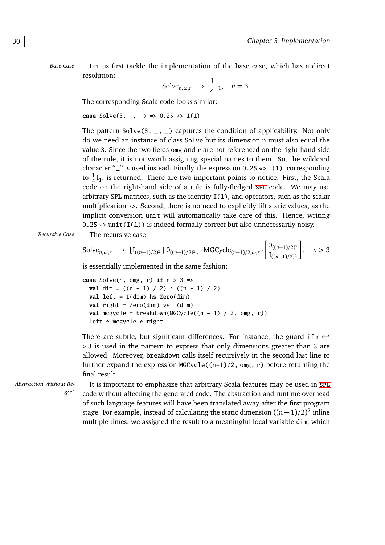*Base Case* Let us first tackle the implementation of the base case, which has a direct resolution:

Solve<sub>n,\omega,r</sub> 
$$
\rightarrow \frac{1}{4}I_1
$$
,  $n=3$ .

The corresponding Scala code looks similar:

**case** Solve(3, \_, \_) **=>** 0.25 \*> I(1)

The pattern Solve(3,  $\overline{z}$ ,  $\overline{z}$ ) captures the condition of applicability. Not only do we need an instance of class Solve but its dimension n must also equal the value 3. Since the two fields omg and  $r$  are not referenced on the right-hand side of the rule, it is not worth assigning special names to them. So, the wildcard character " $\Box$ " is used instead. Finally, the expression 0.25  $\ast$ > I(1), corresponding to  $\frac{1}{4}I_1$ , is returned. There are two important points to notice. First, the Scala code on the right-hand side of a rule is fully-fledged spL code. We may use arbitrary SPL matrices, such as the identity I(1), and operators, such as the scalar multiplication \*>. Second, there is no need to explicitly lift static values, as the implicit conversion unit will automatically take care of this. Hence, writing  $0.25 \rightarrow \text{unit}(I(1))$  is indeed formally correct but also unnecessarily noisy.

*Recursive Case* The recursive case

Solve<sub>n,\omega,r</sub> 
$$
\rightarrow [I_{((n-1)/2)^2} | 0_{((n-1)/2)^2}] \cdot MGCycle_{(n-1)/2,\omega,r} \cdot \begin{bmatrix} 0_{((n-1)/2)^2} \\ I_{((n-1)/2)^2} \end{bmatrix}
$$
,  $n > 3$ 

is essentially implemented in the same fashion:

```
case Solve(n, omg, r) if n > 3 =>
 val dim = ((n - 1) / 2) * ((n - 1) / 2)val left = I(dim) hs Zero(dim)
 val right = Zero(dim) vs I(dim)
 val mcgycle = breakdown(MGCycle((n - 1) / 2, omg, r))
 left * mcgycle * right
```
There are subtle, but significant differences. For instance, the guard if n ←*-* > 3 is used in the pattern to express that only dimensions greater than 3 are allowed. Moreover, breakdown calls itself recursively in the second last line to further expand the expression MGCycle((n-1)/2, omg, r) before returning the final result.

multiple times, we assigned the result to a meaningful local variable dim, which

*Abstraction Without Re-*

*gret* It is important to emphasize that arbitrary Scala features may be used in SPL code without affecting the generated code. The abstraction and runtime overhead of such language features will have been translated away after the first program stage. For example, instead of calculating the static dimension  $((n-1)/2)^2$  inline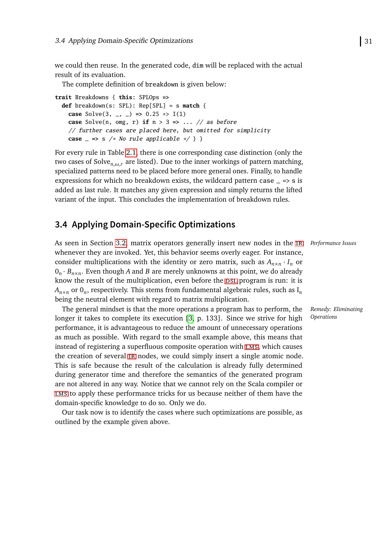we could then reuse. In the generated code, dim will be replaced with the actual result of its evaluation.

The complete definition of breakdown is given below:

**trait** Breakdowns { **this**: SPLOps **=> def** breakdown(s: SPL): Rep[SPL] = s **match** { **case** Solve(3, \_, \_)  $\Rightarrow$  0.25  $\Rightarrow$  I(1) **case** Solve(n, omg, r) **if** n > 3 **=>** ... // as before // further cases are placed here, but omitted for simplicity **case**  $\le$  **=>** s /\* No rule applicable \*/ } }

For every rule in Table [2.1,](#page-16-0) there is one corresponding case distinction (only the two cases of Solve*n*,*ω*,*<sup>r</sup>* are listed). Due to the inner workings of pattern matching, specialized patterns need to be placed before more general ones. Finally, to handle expressions for which no breakdown exists, the wildcard pattern case  $=$   $\Rightarrow$  s is added as last rule. It matches any given expression and simply returns the lifted variant of the input. This concludes the implementation of breakdown rules.

# <span id="page-40-0"></span>**3.4 Applying Domain-Specific Optimizations**

As seen in Section [3.2,](#page-29-0) matrix operators generally insert new nodes in the [ir](#page-92-0) *Performance Issues* whenever they are invoked. Yet, this behavior seems overly eager. For instance, consider multiplications with the identity or zero matrix, such as  $A_{n \times n} \cdot I_n$  or 0*n* · *Bn*×*<sup>n</sup>* . Even though *A* and *B* are merely unknowns at this point, we do already know the result of the multiplication, even before the DSL program is run: it is  $A_{n\times n}$  or  $0_n$ , respectively. This stems from fundamental algebraic rules, such as I<sub>n</sub> being the neutral element with regard to matrix multiplication.

The general mindset is that the more operations a program has to perform, the longer it takes to complete its execution [\[3,](#page-88-0) p. 133]. Since we strive for high performance, it is advantageous to reduce the amount of unnecessary operations as much as possible. With regard to the small example above, this means that instead of registering a superfluous composite operation with [lms](#page-92-3), which causes the creation of several [ir](#page-92-0) nodes, we could simply insert a single atomic node. This is safe because the result of the calculation is already fully determined during generator time and therefore the semantics of the generated program are not altered in any way. Notice that we cannot rely on the Scala compiler or [lms](#page-92-3) to apply these performance tricks for us because neither of them have the domain-specific knowledge to do so. Only we do.

Our task now is to identify the cases where such optimizations are possible, as outlined by the example given above.

*Remedy: Eliminating Operations*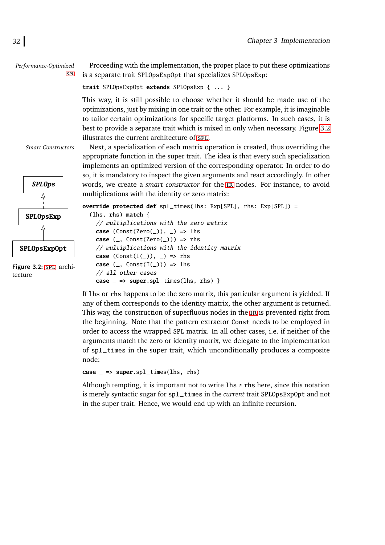*Performance-Optimized*

*[spl](#page-92-1)* Proceeding with the implementation, the proper place to put these optimizations is a separate trait SPLOpsExpOpt that specializes SPLOpsExp:

**trait** SPLOpsExpOpt **extends** SPLOpsExp { ... }

This way, it is still possible to choose whether it should be made use of the optimizations, just by mixing in one trait or the other. For example, it is imaginable to tailor certain optimizations for specific target platforms. In such cases, it is best to provide a separate trait which is mixed in only when necessary. Figure [3.2](#page-41-0) illustrates the current architecture of [spl](#page-92-1).

<span id="page-41-0"></span>

**Figure 3.2:** [spl](#page-92-1) architecture

*Smart Constructors* Next, a specialization of each matrix operation is created, thus overriding the appropriate function in the super trait. The idea is that every such specialization implements an optimized version of the corresponding operator. In order to do so, it is mandatory to inspect the given arguments and react accordingly. In other words, we create a *smart constructor* for the [ir](#page-92-0) nodes. For instance, to avoid multiplications with the identity or zero matrix:

```
override protected def spl_times(lhs: Exp[SPL], rhs: Exp[SPL]) =
  (lhs, rhs) match {
   // multiplications with the zero matrix
   case (Const(Zero(\_)), \_) => lhs
   case (_, Const(Zero(_))) => rhs
    // multiplications with the identity matrix
   case (Const(I(\_)), \_) => rhs
    case (_, Const(I(_))) => lhs
    // all other cases
   case _ => super.spl_times(lhs, rhs) }
```
If lhs or rhs happens to be the zero matrix, this particular argument is yielded. If any of them corresponds to the identity matrix, the other argument is returned. This way, the construction of superfluous nodes in the IR is prevented right from the beginning. Note that the pattern extractor Const needs to be employed in order to access the wrapped SPL matrix. In all other cases, i.e. if neither of the arguments match the zero or identity matrix, we delegate to the implementation of spl\_times in the super trait, which unconditionally produces a composite node:

```
case _ => super.spl_times(lhs, rhs)
```
Although tempting, it is important not to write  $\text{lns} * \text{rh}$  here, since this notation is merely syntactic sugar for spl\_times in the *current* trait SPLOpsExpOpt and not in the super trait. Hence, we would end up with an infinite recursion.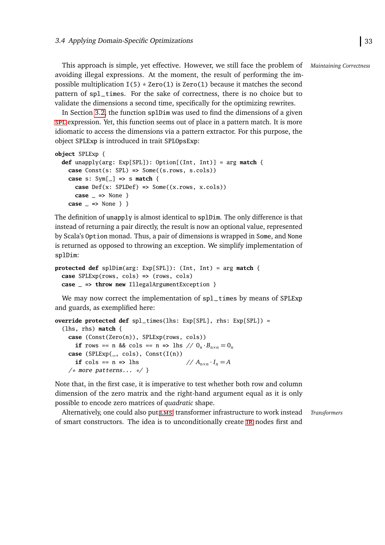This approach is simple, yet effective. However, we still face the problem of *Maintaining Correctness* avoiding illegal expressions. At the moment, the result of performing the impossible multiplication  $I(5) * Zero(1)$  is Zero(1) because it matches the second pattern of spl\_times. For the sake of correctness, there is no choice but to validate the dimensions a second time, specifically for the optimizing rewrites.

In Section [3.2,](#page-29-0) the function splDim was used to find the dimensions of a given [spl](#page-92-1) expression. Yet, this function seems out of place in a pattern match. It is more idiomatic to access the dimensions via a pattern extractor. For this purpose, the object SPLExp is introduced in trait SPLOpsExp:

```
object SPLExp {
 def unapply(arg: Exp[SPL]): Option[(Int, Int)] = arg match {
   case Const(s: SPL) => Some((s.rows, s.cols))
   case s: Sym[_] => s match {
     case Def(x: SPLDef) => Some((x.rows, x.cols))
      case _ => None }
   case _ => None } }
```
The definition of unapply is almost identical to splDim. The only difference is that instead of returning a pair directly, the result is now an optional value, represented by Scala's Option monad. Thus, a pair of dimensions is wrapped in Some, and None is returned as opposed to throwing an exception. We simplify implementation of splDim:

```
protected def splDim(arg: Exp[SPL]): (Int, Int) = arg match {
  case SPLExp(rows, cols) => (rows, cols)
  case _ => throw new IllegalArgumentException }
```
We may now correct the implementation of spl\_times by means of SPLExp and guards, as exemplified here:

```
override protected def spl_times(lhs: Exp[SPL], rhs: Exp[SPL]) =
  (lhs, rhs) match {
     case (Const(Zero(n)), SPLExp(rows, cols))
       if rows == n && cols == n => lhs // 0_n \cdot B_{n \times n} = 0_ncase (SPLExp(\_, cols), Const(I(n))if \ncols == n \Rightarrow \n  <i>h</i>\frac{1}{4} A_{n \times n} \cdot I_n = A/* more patterns... */ }
```
Note that, in the first case, it is imperative to test whether both row and column dimension of the zero matrix and the right-hand argument equal as it is only possible to encode zero matrices of *quadratic* shape.

Alternatively, one could also put [lms](#page-92-3)' transformer infrastructure to work instead *Transformers* of smart constructors. The idea is to unconditionally create [ir](#page-92-0) nodes first and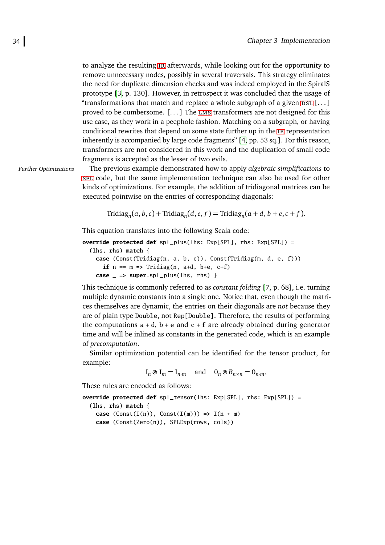to analyze the resulting [ir](#page-92-0) afterwards, while looking out for the opportunity to remove unnecessary nodes, possibly in several traversals. This strategy eliminates the need for duplicate dimension checks and was indeed employed in the SpiralS prototype [\[3,](#page-88-0) p. 130]. However, in retrospect it was concluded that the usage of "transformations that match and replace a whole subgraph of a given  $DSL$  [...] proved to be cumbersome. [. . . ] The [lms](#page-92-3) transformers are not designed for this use case, as they work in a peephole fashion. Matching on a subgraph, or having conditional rewrites that depend on some state further up in the [ir](#page-92-0) representation inherently is accompanied by large code fragments" [\[4,](#page-88-1) pp. 53 sq.]. For this reason, transformers are not considered in this work and the duplication of small code fragments is accepted as the lesser of two evils.

*Further Optimizations* The previous example demonstrated how to apply *algebraic simplifications* to [spl](#page-92-1) code, but the same implementation technique can also be used for other kinds of optimizations. For example, the addition of tridiagonal matrices can be executed pointwise on the entries of corresponding diagonals:

```
\text{Tridiag}_n(a, b, c) + \text{Tridiag}_n(d, e, f) = \text{Tridiag}_n(a + d, b + e, c + f).
```
This equation translates into the following Scala code:

```
override protected def spl_plus(lhs: Exp[SPL], rhs: Exp[SPL]) =
  (lhs, rhs) match {
   case (Const(Tridiag(n, a, b, c)), Const(Tridiag(m, d, e, f)))
      if n == m => Tridiag(n, a+d, b+e, c+f)
    case _ => super.spl_plus(lhs, rhs) }
```
This technique is commonly referred to as *constant folding* [\[7,](#page-89-1) p. 68], i.e. turning multiple dynamic constants into a single one. Notice that, even though the matrices themselves are dynamic, the entries on their diagonals are *not* because they are of plain type Double, not Rep[Double]. Therefore, the results of performing the computations  $a + d$ ,  $b + e$  and  $c + f$  are already obtained during generator time and will be inlined as constants in the generated code, which is an example of *precomputation*.

Similar optimization potential can be identified for the tensor product, for example:

 $I_n \otimes I_m = I_{n \cdot m}$  and  $0_n \otimes B_{n \times n} = 0_{n \cdot m}$ ,

These rules are encoded as follows:

**override protected def** spl\_tensor(lhs: Exp[SPL], rhs: Exp[SPL]) =

(lhs, rhs) **match** { **case**  $(Const(I(n)), Const(I(m))) \Rightarrow I(n * m)$ **case** (Const(Zero(n)), SPLExp(rows, cols))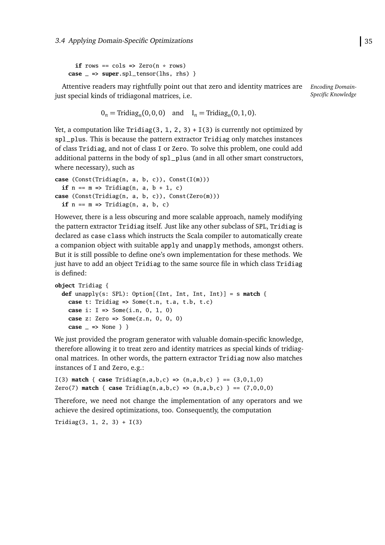**if** rows  $==$  cols  $=$  Zero( $n *$  rows) **case** \_ **=> super**.spl\_tensor(lhs, rhs) }

*Encoding Domain-*Attentive readers may rightfully point out that zero and identity matrices are just special kinds of tridiagonal matrices, i.e.

*Specific Knowledge*

```
0_n = \text{Tridiag}_n(0, 0, 0) and I_n = \text{Tridiag}_n(0, 1, 0).
```
Yet, a computation like Tridiag(3, 1, 2, 3) +  $I(3)$  is currently not optimized by spl\_plus. This is because the pattern extractor Tridiag only matches instances of class Tridiag, and not of class I or Zero. To solve this problem, one could add additional patterns in the body of spl\_plus (and in all other smart constructors, where necessary), such as

```
case (Const(Tridiag(n, a, b, c)), Const(I(m)))
  if n == m \Rightarrow \text{Tridiag}(n, a, b + 1, c)case (Const(Tridiag(n, a, b, c)), Const(Zero(m)))
  if n == m \Rightarrow \text{Tridiag}(n, a, b, c)
```
However, there is a less obscuring and more scalable approach, namely modifying the pattern extractor Tridiag itself. Just like any other subclass of SPL, Tridiag is declared as case class which instructs the Scala compiler to automatically create a companion object with suitable apply and unapply methods, amongst others. But it is still possible to define one's own implementation for these methods. We just have to add an object Tridiag to the same source file in which class Tridiag is defined:

```
object Tridiag {
  def unapply(s: SPL): Option[(Int, Int, Int, Int)] = s match {
    case t: Tridiag => Some(t.n, t.a, t.b, t.c)
    case i: I => Some(i.n, 0, 1, 0)
    case z: Zero => Some(z.n, 0, 0, 0)
    case _ => None } }
```
We just provided the program generator with valuable domain-specific knowledge, therefore allowing it to treat zero and identity matrices as special kinds of tridiagonal matrices. In other words, the pattern extractor Tridiag now also matches instances of I and Zero, e.g.:

```
I(3) match { case Tridiag(n, a, b, c) \implies (n, a, b, c) } == (3, 0, 1, 0)Zero(7) match { case Tridiag(n,a,b,c) => (n,a,b,c) } == (7,0,0,0)
```
Therefore, we need not change the implementation of any operators and we achieve the desired optimizations, too. Consequently, the computation

<span id="page-44-0"></span>Tridiag(3, 1, 2, 3) + I(3)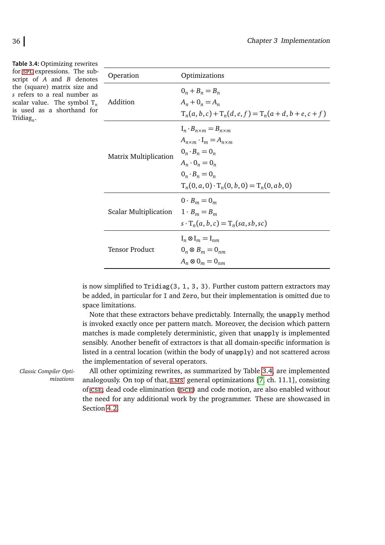**Table 3.4:** Optimizing rewrites for [spl](#page-92-1) expressions. The subscript of *A* and *B* denotes the (square) matrix size and *s* refers to a real number as scalar value. The symbol  $T_n$ is used as a shorthand for Tridiag*<sup>n</sup>* .

<span id="page-45-0"></span>

| Operation                    | Optimizations                                                                                                                                                                                                            |
|------------------------------|--------------------------------------------------------------------------------------------------------------------------------------------------------------------------------------------------------------------------|
| Addition                     | $0_n + B_n = B_n$<br>$A_n + 0_n = A_n$<br>$T_n(a, b, c) + T_n(d, e, f) = T_n(a + d, b + e, c + f)$                                                                                                                       |
| <b>Matrix Multiplication</b> | $I_n \cdot B_{n \times m} = B_{n \times m}$<br>$A_{n\times m} \cdot I_m = A_{n\times m}$<br>$0_n \cdot B_n = 0_n$<br>$A_n \cdot 0_n = 0_n$<br>$0_n \cdot B_n = 0_n$<br>$T_n(0, a, 0) \cdot T_n(0, b, 0) = T_n(0, ab, 0)$ |
| <b>Scalar Multiplication</b> | $0 \cdot B_m = 0_m$<br>$1 \cdot B_m = B_m$<br>$s \cdot T_n(a, b, c) = T_n(sa, sb, sc)$                                                                                                                                   |
| <b>Tensor Product</b>        | $I_n \otimes I_m = I_{nm}$<br>$0_n \otimes B_m = 0_{nm}$<br>$A_n \otimes 0_m = 0_{nm}$                                                                                                                                   |

is now simplified to Tridiag(3, 1, 3, 3). Further custom pattern extractors may be added, in particular for I and Zero, but their implementation is omitted due to space limitations.

Note that these extractors behave predictably. Internally, the unapply method is invoked exactly once per pattern match. Moreover, the decision which pattern matches is made completely deterministic, given that unapply is implemented sensibly. Another benefit of extractors is that all domain-specific information is listed in a central location (within the body of unapply) and not scattered across the implementation of several operators.

*Classic Compiler Optimizations*

All other optimizing rewrites, as summarized by Table [3.4,](#page-45-0) are implemented analogously. On top of that, [lms](#page-92-3)' general optimizations [\[7,](#page-89-1) ch. 11.1], consisting of [cse](#page-92-4), dead code elimination (DCE) and code motion, are also enabled without the need for any additional work by the programmer. These are showcased in Section [4.2.](#page-75-0)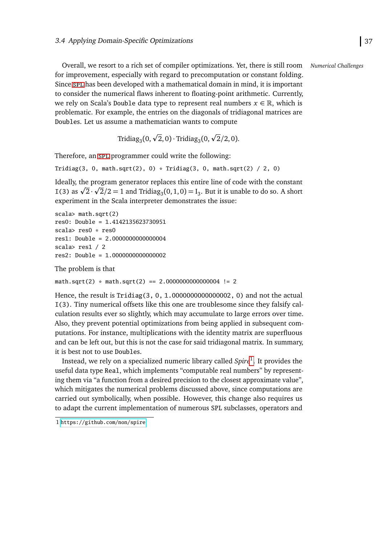Overall, we resort to a rich set of compiler optimizations. Yet, there is still room *Numerical Challenges* for improvement, especially with regard to precomputation or constant folding. Since [spl](#page-92-1) has been developed with a mathematical domain in mind, it is important to consider the numerical flaws inherent to floating-point arithmetic. Currently, we rely on Scala's Double data type to represent real numbers  $x \in \mathbb{R}$ , which is problematic. For example, the entries on the diagonals of tridiagonal matrices are Doubles. Let us assume a mathematician wants to compute

Tridiag<sub>3</sub>(0,  $\sqrt{2}$ ,0) · Tridiag<sub>3</sub>(0,  $\sqrt{2}/2$ ,0).

Therefore, an [spl](#page-92-1) programmer could write the following:

Tridiag(3, 0, math.sqrt(2), 0) \* Tridiag(3, 0, math.sqrt(2) / 2, 0)

Ideally, the program generator replaces this entire line of code with the constant p Ideally, the program generator replaces this entire line of code with the constant  $I(3)$  as  $\sqrt{2} \cdot \sqrt{2}/2 = 1$  and Tridiag<sub>3</sub>(0, 1, 0) = I<sub>3</sub>. But it is unable to do so. A short experiment in the Scala interpreter demonstrates the issue:

```
scala> math.sqrt(2)
res0: Double = 1.4142135623730951
scala> res0 * res0
res1: Double = 2.0000000000000004
scala> res1 / 2
res2: Double = 1.0000000000000002
```
The problem is that

 $math.sqrt(2) * math.sqrt(2) == 2.00000000000004 != 2$ 

Hence, the result is Tridiag(3, 0, 1.0000000000000002, 0) and not the actual I(3). Tiny numerical offsets like this one are troublesome since they falsify calculation results ever so slightly, which may accumulate to large errors over time. Also, they prevent potential optimizations from being applied in subsequent computations. For instance, multiplications with the identity matrix are superfluous and can be left out, but this is not the case for said tridiagonal matrix. In summary, it is best not to use Doubles.

Instead, we rely on a specialized numeric library called *Spire*[1](#page-46-0) . It provides the useful data type Real, which implements "computable real numbers" by representing them via "a function from a desired precision to the closest approximate value", which mitigates the numerical problems discussed above, since computations are carried out symbolically, when possible. However, this change also requires us to adapt the current implementation of numerous SPL subclasses, operators and

<span id="page-46-0"></span><sup>1</sup> <https://github.com/non/spire>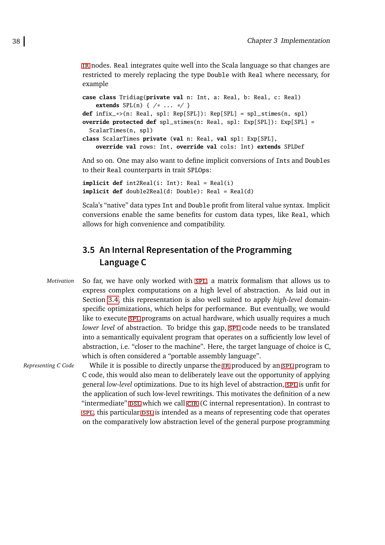[ir](#page-92-0) nodes. Real integrates quite well into the Scala language so that changes are restricted to merely replacing the type Double with Real where necessary, for example

```
case class Tridiag(private val n: Int, a: Real, b: Real, c: Real)
    extends SPL(n) { /* ... */}
def infix_*>(n: Real, spl: Rep[SPL]): Rep[SPL] = spl_stimes(n, spl)
override protected def spl_stimes(n: Real, spl: Exp[SPL]): Exp[SPL] =
  ScalarTimes(n, spl)
class ScalarTimes private (val n: Real, val spl: Exp[SPL],
   override val rows: Int, override val cols: Int) extends SPLDef
```
And so on. One may also want to define implicit conversions of Ints and Doubles to their Real counterparts in trait SPLOps:

**implicit def** int2Real(i: Int): Real = Real(i) **implicit def** double2Real(d: Double): Real = Real(d)

Scala's "native" data types Int and Double profit from literal value syntax. Implicit conversions enable the same benefits for custom data types, like Real, which allows for high convenience and compatibility.

# <span id="page-47-0"></span>**3.5 An Internal Representation of the Programming Language C**

*Motivation* So far, we have only worked with [spl](#page-92-1), a matrix formalism that allows us to express complex computations on a high level of abstraction. As laid out in Section [3.4,](#page-40-0) this representation is also well suited to apply *high-level* domainspecific optimizations, which helps for performance. But eventually, we would like to execute [spl](#page-92-1) programs on actual hardware, which usually requires a much *lower level* of abstraction. To bridge this gap, [spl](#page-92-1) code needs to be translated into a semantically equivalent program that operates on a sufficiently low level of abstraction, i.e. "closer to the machine". Here, the target language of choice is C, which is often considered a "portable assembly language".

*Representing C Code* While it is possible to d[ir](#page-92-0)ectly unparse the IR produced by an SPL program to C code, this would also mean to deliberately leave out the opportunity of applying general *low-level* optimizations. Due to its high level of abstraction, [spl](#page-92-1) is unfit for the application of such low-level rewritings. This motivates the definition of a new "intermediate" psl which we call CIR (C internal representation). In contrast to [spl](#page-92-1), this particular  $DSL$  is intended as a means of representing code that operates on the comparatively low abstraction level of the general purpose programming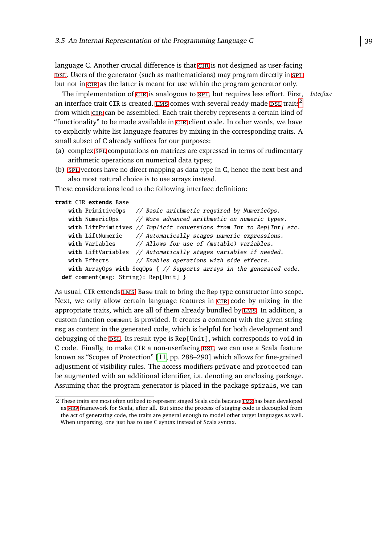language C. Another crucial difference is that [cir](#page-92-6) is not designed as user-facing psl. Users of the generator (such as mathematicians) may program directly in [spl](#page-92-1). but not in [cir](#page-92-6) as the latter is meant for use within the program generator only.

The implementation of CIR is analogous to SPL, but requires less effort. First, *Interface* an interface trait CIR is created. LMS comes with several ready-made DSL traits<sup>[2](#page-48-0)</sup> from which [cir](#page-92-6) can be assembled. Each trait thereby represents a certain kind of "functionality" to be made available in [cir](#page-92-6) client code. In other words, we have to explicitly white list language features by mixing in the corresponding traits. A small subset of C already suffices for our purposes:

- (a) complex [spl](#page-92-1) computations on matrices are expressed in terms of rudimentary arithmetic operations on numerical data types;
- (b) [spl](#page-92-1) vectors have no direct mapping as data type in C, hence the next best and also most natural choice is to use arrays instead.

These considerations lead to the following interface definition:

```
trait CIR extends Base
```

```
with PrimitiveOps // Basic arithmetic required by NumericOps.
 with NumericOps // More advanced arithmetic on numeric types.
 with LiftPrimitives // Implicit conversions from Int to Rep[Int] etc.
 with LiftNumeric // Automatically stages numeric expressions.
 with Variables // Allows for use of (mutable) variables.
 with LiftVariables // Automatically stages variables if needed.
 with Effects \frac{1}{2} Enables operations with side effects.
 with ArrayOps with SeqOps { // Supports arrays in the generated code.
def comment(msg: String): Rep[Unit] }
```
As usual, CIR extends [lms](#page-92-3)' Base trait to bring the Rep type constructor into scope. Next, we only allow certain language features in [cir](#page-92-6) code by mixing in the appropriate traits, which are all of them already bundled by [lms](#page-92-3). In addition, a custom function comment is provided. It creates a comment with the given string msg as content in the generated code, which is helpful for both development and debugging of the DSL. Its result type is  $Rep[Unit]$ , which corresponds to void in C code. Finally, to make CIR a non-userfacing DSL, we can use a Scala feature known as "Scopes of Protection" [\[11,](#page-89-0) pp. 288–290] which allows for fine-grained adjustment of visibility rules. The access modifiers private and protected can be augmented with an additional identifier, i.a. denoting an enclosing package. Assuming that the program generator is placed in the package spirals, we can

<span id="page-48-0"></span><sup>2</sup> These traits are most often utilized to represent staged Scala code because [lms](#page-92-3) has been developed as [msp](#page-92-7) framework for Scala, after all. But since the process of staging code is decoupled from the act of generating code, the traits are general enough to model other target languages as well. When unparsing, one just has to use C syntax instead of Scala syntax.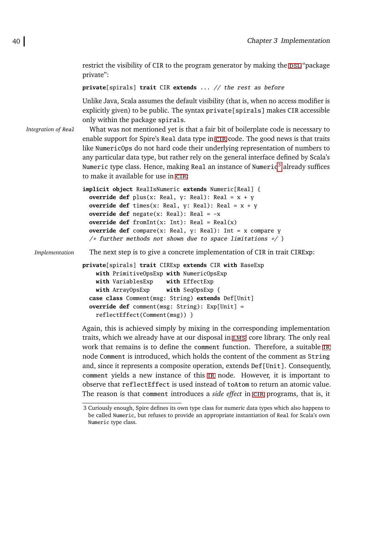restrict the visibility of CIR to the program generator by making the DSL "package" private":

```
private[spirals] trait CIR extends ... // the rest as before
```
Unlike Java, Scala assumes the default visibility (that is, when no access modifier is explicitly given) to be public. The syntax private [spirals] makes CIR accessible only within the package spirals.

*Integration of* Real What was not mentioned yet is that a fair bit of boilerplate code is necessary to enable support for Spire's Real data type in [cir](#page-92-6) code. The good news is that traits like NumericOps do not hard code their underlying representation of numbers to any particular data type, but rather rely on the general interface defined by Scala's Numeric type class. Hence, making Real an instance of Numeric $^3$  $^3$  already suffices to make it available for use in [cir](#page-92-6):

```
implicit object RealIsNumeric extends Numeric[Real] {
 override def plus(x: Real, y: Real): Real = x + yoverride def times(x: Real, y: Real): Real = x * yoverride def negate(x: Real): Real = -x
 override def fromInt(x: Int): Real = Real(x)override def compare(x: Real, y: Real): Int = x compare y
  /* further methods not shown due to space limitations */ }
```
*Implementation* The next step is to give a concrete implementation of CIR in trait CIRExp:

```
private[spirals] trait CIRExp extends CIR with BaseExp
   with PrimitiveOpsExp with NumericOpsExp
   with VariablesExp with EffectExp
   with ArrayOpsExp with SeqOpsExp {
 case class Comment(msg: String) extends Def[Unit]
 override def comment(msg: String): Exp[Unit] =
   reflectEffect(Comment(msg)) }
```
Again, this is achieved simply by mixing in the corresponding implementation traits, which we already have at our disposal in [lms](#page-92-3)' core library. The only real work that remains is to define the comment function. Therefore, a suitable [ir](#page-92-0) node Comment is introduced, which holds the content of the comment as String and, since it represents a composite operation, extends Def[Unit]. Consequently, comment yields a new instance of this [ir](#page-92-0) node. However, it is important to observe that reflectEffect is used instead of toAtom to return an atomic value. The reason is that comment introduces a *side effect* in [cir](#page-92-6) programs, that is, it

<span id="page-49-0"></span><sup>3</sup> Curiously enough, Spire defines its own type class for numeric data types which also happens to be called Numeric, but refuses to provide an appropriate instantiation of Real for Scala's own Numeric type class.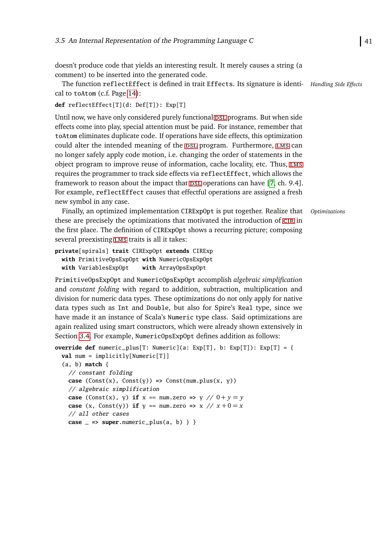doesn't produce code that yields an interesting result. It merely causes a string (a comment) to be inserted into the generated code.

The function reflectEffect is defined in trait Effects. Its signature is identi- *Handling Side Effects* cal to toAtom (c.f. Page [14\)](#page-23-1):

```
def reflectEffect[T](d: Def[T]): Exp[T]
```
Until now, we have only considered purely functional psl programs. But when side effects come into play, special attention must be paid. For instance, remember that toAtom eliminates duplicate code. If operations have side effects, this optimization could alter the intended meaning of the DSL program. Furthermore, LMS can no longer safely apply code motion, i.e. changing the order of statements in the object program to improve reuse of information, cache locality, etc. Thus, [lms](#page-92-3) requires the programmer to track side effects via reflectEffect, which allows the framework to reason about the impact that  $DSL$  operations can have [\[7,](#page-89-1) ch. 9.4]. For example, reflectEffect causes that effectful operations are assigned a fresh new symbol in any case.

Finally, an optimized implementation CIRExpOpt is put together. Realize that *Optimizations* these are precisely the optimizations that motivated the introduction of [cir](#page-92-6) in the first place. The definition of CIRExpOpt shows a recurring picture; composing several preexisting [lms](#page-92-3) traits is all it takes:

```
private[spirals] trait CIRExpOpt extends CIRExp
 with PrimitiveOpsExpOpt with NumericOpsExpOpt
 with VariablesExpOpt with ArrayOpsExpOpt
```
PrimitiveOpsExpOpt and NumericOpsExpOpt accomplish *algebraic simplification* and *constant folding* with regard to addition, subtraction, multiplication and division for numeric data types. These optimizations do not only apply for native data types such as Int and Double, but also for Spire's Real type, since we have made it an instance of Scala's Numeric type class. Said optimizations are again realized using smart constructors, which were already shown extensively in Section [3.4.](#page-40-0) For example, NumericOpsExpOpt defines addition as follows:

```
override def numeric_plus[T: Numeric](a: Exp[T], b: Exp[T]): Exp[T] = {
  val num = implicitly[Numeric[T]]
  (a, b) match {
     // constant folding
     case (Const(x), Const(y)) \Rightarrow Const(num.plus(x, y))// algebraic simplification
     case (Const(x), y) if x == num{\text{ .zero}} \Rightarrow y \text{ // } 0 + y = ycase (x, Const(y)) if y == num{\text{ .zero}} \Rightarrow x \text{ // } x + 0 = x// all other cases
     case \_ =\n  \n  <i>super</i>.<br/>\n  numeric<sub>-plus</sub>(a, b) \} \n  \n
```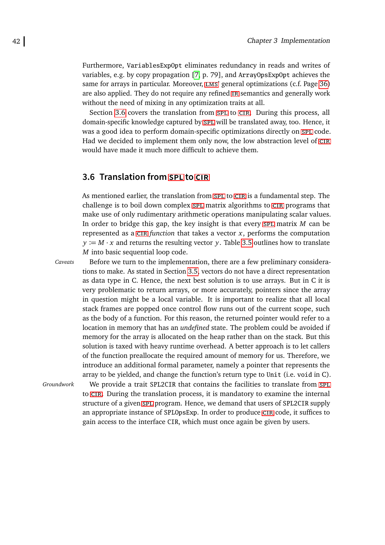Furthermore, VariablesExpOpt eliminates redundancy in reads and writes of variables, e.g. by copy propagation [\[7,](#page-89-1) p. 79], and ArrayOpsExpOpt achieves the same for arrays in particular. Moreover, LMS' general optimizations (c.f. Page [36\)](#page-44-0) are also applied. They do not require any refined [ir](#page-92-0) semantics and generally work without the need of mixing in any optimization traits at all.

Section [3.6](#page-51-0) covers the translation from [spl](#page-92-1) to CIR. During this process, all domain-specific knowledge captured by [spl](#page-92-1) will be translated away, too. Hence, it was a good idea to perform domain-specific optimizations directly on [spl](#page-92-1) code. Had we decided to implement them only now, the low abstraction level of [cir](#page-92-6) would have made it much more difficult to achieve them.

# <span id="page-51-0"></span>**3.6 Translation from [SPL](#page-92-1) to [CIR](#page-92-6)**

As mentioned earlier, the translation from [spl](#page-92-1) to CIR is a fundamental step. The challenge is to boil down complex [spl](#page-92-1) matrix algorithms to [cir](#page-92-6) programs that make use of only rudimentary arithmetic operations manipulating scalar values. In order to bridge this gap, the key insight is that every [spl](#page-92-1) matrix *M* can be represented as a  $CIR$  *function* that takes a vector  $x$ , performs the computation  $y := M \cdot x$  and returns the resulting vector *y*. Table [3.5](#page-52-0) outlines how to translate *M* into basic sequential loop code.

*Caveats* Before we turn to the implementation, there are a few preliminary considerations to make. As stated in Section [3.5,](#page-47-0) vectors do not have a direct representation as data type in C. Hence, the next best solution is to use arrays. But in C it is very problematic to return arrays, or more accurately, pointers since the array in question might be a local variable. It is important to realize that all local stack frames are popped once control flow runs out of the current scope, such as the body of a function. For this reason, the returned pointer would refer to a location in memory that has an *undefined* state. The problem could be avoided if memory for the array is allocated on the heap rather than on the stack. But this solution is taxed with heavy runtime overhead. A better approach is to let callers of the function preallocate the required amount of memory for us. Therefore, we introduce an additional formal parameter, namely a pointer that represents the array to be yielded, and change the function's return type to Unit (i.e. void in C).

*Groundwork* We provide a trait SPL2CIR that contains the facilities to translate from [spl](#page-92-1) to [cir](#page-92-6). During the translation process, it is mandatory to examine the internal structure of a given [spl](#page-92-1) program. Hence, we demand that users of SPL2CIR supply an appropriate instance of SPLOpsExp. In order to produce [cir](#page-92-6) code, it suffices to gain access to the interface CIR, which must once again be given by users.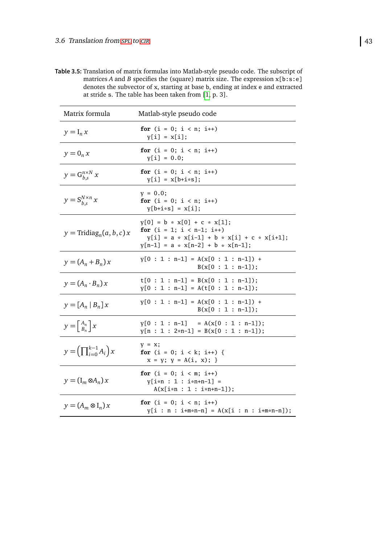**Table 3.5:** Translation of matrix formulas into Matlab-style pseudo code. The subscript of matrices *A* and *B* specifies the (square) matrix size. The expression x[b:s:e] denotes the subvector of x, starting at base b, ending at index e and extracted at stride s. The table has been taken from [\[1,](#page-88-2) p. 3].

<span id="page-52-0"></span>

| Matrix formula                                   | Matlab-style pseudo code                                                                                                                            |
|--------------------------------------------------|-----------------------------------------------------------------------------------------------------------------------------------------------------|
| $y = I_n x$                                      | for $(i = 0; i < n; i++)$<br>$y[i] = x[i];$                                                                                                         |
| $y=0_n x$                                        | for $(i = 0; i < n; i++)$<br>$y[i] = 0.0;$                                                                                                          |
| $y = G_{b,s}^{n \times N} x$                     | for $(i = 0; i < n; i++)$<br>$y[i] = x[b+i*s];$                                                                                                     |
| $y = S_{b,s}^{N \times n} x$                     | $y = 0.0;$<br>for $(i = 0; i < n; i++)$<br>$y[b+i*s] = x[i];$                                                                                       |
| $y = \text{Tridiag}_n(a, b, c)x$                 | $y[0] = b * x[0] + c * x[1];$<br>for $(i = 1; i < n-1; i++)$<br>$y[i] = a * x[i-1] + b * x[i] + c * x[i+1];$<br>$y[n-1] = a * x[n-2] + b * x[n-1];$ |
| $y = (A_n + B_n)x$                               | $y[0 : 1 : n-1] = A(x[0 : 1 : n-1]) +$<br>$B(x[0:1:n-1]);$                                                                                          |
| $y = (A_n \cdot B_n)x$                           | $t[0 : 1 : n-1] = B(x[0 : 1 : n-1]);$<br>$y[0 : 1 : n-1] = A(t[0 : 1 : n-1]);$                                                                      |
| $y = [A_n   B_n] x$                              | $y[0 : 1 : n-1] = A(x[0 : 1 : n-1]) +$<br>$B(x[0:1:n-1]);$                                                                                          |
| $y = \begin{bmatrix} A_n \\ B_n \end{bmatrix} x$ | $y[0 : 1 : n-1] = A(x[0 : 1 : n-1]);$<br>$y[n : 1 : 2*n-1] = B(x[0 : 1 : n-1]);$                                                                    |
| $y = \left(\prod_{i=0}^{k-1} A_i\right) x$       | $y = x;$<br>for $(i = 0; i < k; i++)$ {<br>$x = y$ ; $y = A(i, x)$ ; }                                                                              |
| $y = (\mathbf{I}_m \otimes A_n) x$               | for $(i = 0; i < m; i++)$<br>$y[i*n : 1 : i*n+n-1] =$<br>$A(x[i*n : 1 : i*n+n-1]);$                                                                 |
| $y = (A_m \otimes I_n)x$                         | for $(i = 0; i < n; i++)$<br>$y[i : n : i+m*n-n] = A(x[i : n : i+m*n-n]);$                                                                          |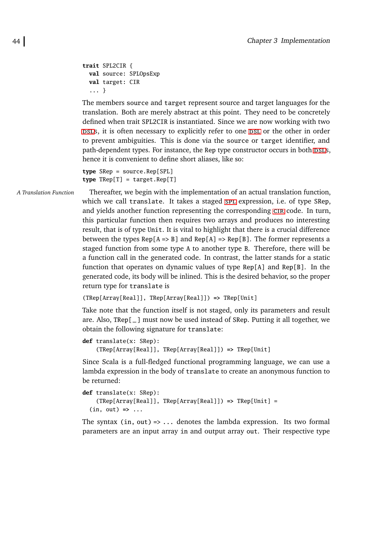```
trait SPL2CIR {
 val source: SPLOpsExp
 val target: CIR
  ... }
```
The members source and target represent source and target languages for the translation. Both are merely abstract at this point. They need to be concretely defined when trait SPL2CIR is instantiated. Since we are now working with two psls, it is often necessary to explicitly refer to one psl or the other in order to prevent ambiguities. This is done via the source or target identifier, and path-dependent types. For instance, the Rep type constructor occurs in both DSLS, hence it is convenient to define short aliases, like so:

```
type SRep = source.Rep[SPL]
type TRep[T] = target.Rep[T]
```
*A Translation Function* Thereafter, we begin with the implementation of an actual translation function, which we call translate. It takes a staged SPL expression, i.e. of type SRep, and yields another function representing the corresponding [cir](#page-92-6) code. In turn, this particular function then requires two arrays and produces no interesting result, that is of type Unit. It is vital to highlight that there is a crucial difference between the types  $Rep[A \Rightarrow B]$  and  $Rep[A] \Rightarrow Rep[B]$ . The former represents a staged function from some type A to another type B. Therefore, there will be a function call in the generated code. In contrast, the latter stands for a static function that operates on dynamic values of type Rep[A] and Rep[B]. In the generated code, its body will be inlined. This is the desired behavior, so the proper return type for translate is

```
(TRep[Array[Real]], TRep[Array[Real]]) => TRep[Unit]
```
Take note that the function itself is not staged, only its parameters and result are. Also, TRep[\_] must now be used instead of SRep. Putting it all together, we obtain the following signature for translate:

```
def translate(x: SRep):
    (TRep[Array[Real]], TRep[Array[Real]]) => TRep[Unit]
```
Since Scala is a full-fledged functional programming language, we can use a lambda expression in the body of translate to create an anonymous function to be returned:

```
def translate(x: SRep):
    (TRep[Array[Real]], TRep[Array[Real]]) => TRep[Unit] =
  (in, out) => ...
```
The syntax (in, out) => ... denotes the lambda expression. Its two formal parameters are an input array in and output array out. Their respective type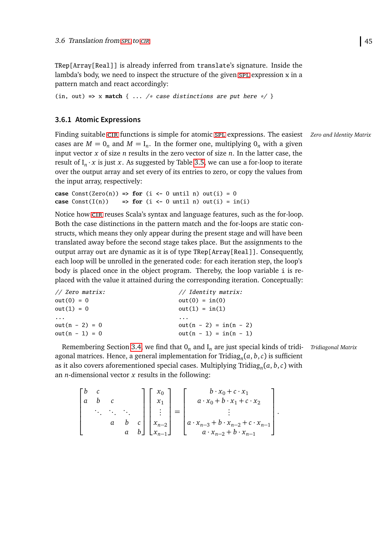TRep[Array[Real]] is already inferred from translate's signature. Inside the lambda's body, we need to inspect the structure of the given  $spt$  expression x in a pattern match and react accordingly:

```
(in, out) \Rightarrow x match { ... /* case distinctions are put here \angle }
```
# <span id="page-54-0"></span>**3.6.1 Atomic Expressions**

Finding suitable CIR functions is simple for atomic SPL expressions. The easiest *Zero and Identity Matrix* cases are  $M = 0_n$  and  $M = I_n$ . In the former one, multiplying  $0_n$  with a given input vector *x* of size *n* results in the zero vector of size *n*. In the latter case, the result of  $I_n \cdot x$  is just *x*. As suggested by Table [3.5,](#page-52-0) we can use a for-loop to iterate over the output array and set every of its entries to zero, or copy the values from the input array, respectively:

**case**  $Const(Zero(n)) \Rightarrow$  **for**  $(i \leftarrow 0 \text{ until } n) out(i) = 0$ **case**  $Const(I(n))$  **=> for**  $(i \le 0 \text{ until } n) out(i) = in(i)$ 

Notice how [cir](#page-92-6) reuses Scala's syntax and language features, such as the for-loop. Both the case distinctions in the pattern match and the for-loops are static constructs, which means they only appear during the present stage and will have been translated away before the second stage takes place. But the assignments to the output array out are dynamic as it is of type TRep[Array[Real]]. Consequently, each loop will be unrolled in the generated code: for each iteration step, the loop's body is placed once in the object program. Thereby, the loop variable i is replaced with the value it attained during the corresponding iteration. Conceptually:

| // Zero matrix:  | // Identity matrix:      |
|------------------|--------------------------|
| $out(0) = 0$     | $out(0) = in(0)$         |
| $out(1) = 0$     | $out(1) = in(1)$         |
|                  |                          |
| .                | .                        |
| $out(n - 2) = 0$ | out(n - 2) = $in(n - 2)$ |

Remembering Section [3.4,](#page-40-0) we find that  $O_n$  and  $I_n$  are just special kinds of tridi- Tridiagonal Matrix agonal matrices. Hence, a general implementation for Tridiag*<sup>n</sup>* (*a*, *b*,*c*) is sufficient as it also covers aforementioned special cases. Multiplying Tridiag*<sup>n</sup>* (*a*, *b*,*c*) with an *n*-dimensional vector *x* results in the following:

$$
\begin{bmatrix} b & c & & \\ a & b & c & \\ & \ddots & \ddots & \ddots & \\ & & a & b & c \\ & & & a & b \end{bmatrix} \begin{bmatrix} x_0 \\ x_1 \\ \vdots \\ x_{n-2} \\ x_{n-1} \end{bmatrix} = \begin{bmatrix} b \cdot x_0 + c \cdot x_1 \\ a \cdot x_0 + b \cdot x_1 + c \cdot x_2 \\ \vdots \\ a \cdot x_{n-3} + b \cdot x_{n-2} + c \cdot x_{n-1} \\ a \cdot x_{n-2} + b \cdot x_{n-1} \end{bmatrix}.
$$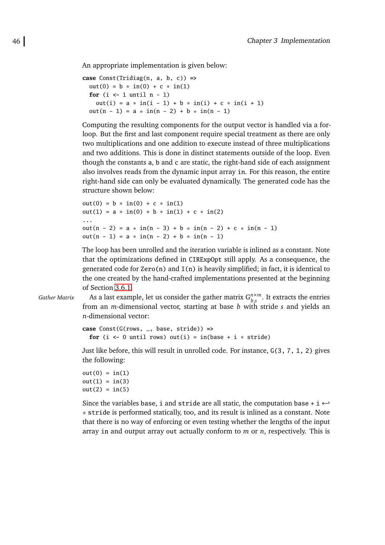An appropriate implementation is given below:

```
case Const(Tridiag(n, a, b, c)) =>
  out(0) = b * in(0) + c * in(1)for (i \leq 1 \text{ until } n-1)out(i) = a * in(i - 1) + b * in(i) + c * in(i + 1)out(n - 1) = a * in(n - 2) + b * in(n - 1)
```
Computing the resulting components for the output vector is handled via a forloop. But the first and last component require special treatment as there are only two multiplications and one addition to execute instead of three multiplications and two additions. This is done in distinct statements outside of the loop. Even though the constants a, b and c are static, the right-hand side of each assignment also involves reads from the dynamic input array in. For this reason, the entire right-hand side can only be evaluated dynamically. The generated code has the structure shown below:

```
out(0) = b * in(0) + c * in(1)out(1) = a * in(0) + b * in(1) + c * in(2)...
out(n - 2) = a * in(n - 3) + b * in(n - 2) + c * in(n - 1)
out(n - 1) = a * in(n - 2) + b * in(n - 1)
```
The loop has been unrolled and the iteration variable is inlined as a constant. Note that the optimizations defined in CIRExpOpt still apply. As a consequence, the generated code for  $Zero(n)$  and  $I(n)$  is heavily simplified; in fact, it is identical to the one created by the hand-crafted implementations presented at the beginning of Section [3.6.1.](#page-54-0)

*Gather Matrix* As a last example, let us consider the gather matrix  $G_{h,s}^{n \times m}$  $_{b,s}^{n\times m}$ . It extracts the entries from an *m*-dimensional vector, starting at base *b* with stride *s* and yields an *n*-dimensional vector:

```
case Const(G(rows, _, base, stride)) =>
  for (i \leftarrow 0 until rows) out(i) = in(base + i * stride)
```
Just like before, this will result in unrolled code. For instance, G(3, 7, 1, 2) gives the following:

```
out(0) = in(1)out(1) = in(3)out(2) = in(5)
```
Since the variables base, i and stride are all static, the computation base + i  $\leftrightarrow$ \* stride is performed statically, too, and its result is inlined as a constant. Note that there is no way of enforcing or even testing whether the lengths of the input array in and output array out actually conform to *m* or *n*, respectively. This is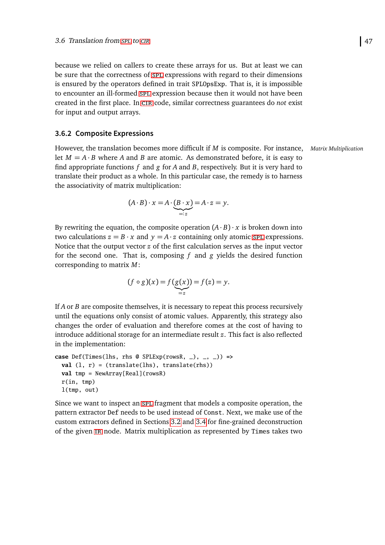because we relied on callers to create these arrays for us. But at least we can be sure that the correctness of [spl](#page-92-1) expressions with regard to their dimensions is ensured by the operators defined in trait SPLOpsExp. That is, it is impossible to encounter an ill-formed [spl](#page-92-1) expression because then it would not have been created in the first place. In [cir](#page-92-6) code, similar correctness guarantees do *not* exist for input and output arrays.

#### <span id="page-56-0"></span>**3.6.2 Composite Expressions**

However, the translation becomes more difficult if *M* is composite. For instance, *Matrix Multiplication* let  $M = A \cdot B$  where A and B are atomic. As demonstrated before, it is easy to find appropriate functions *f* and *g* for *A* and *B*, respectively. But it is very hard to translate their product as a whole. In this particular case, the remedy is to harness the associativity of matrix multiplication:

$$
(A \cdot B) \cdot x = A \cdot \underbrace{(B \cdot x)}_{=:z} = A \cdot z = y.
$$

By rewriting the equation, the composite operation  $(A \cdot B) \cdot x$  is broken down into two calculations  $z = B \cdot x$  and  $y = A \cdot z$  containing only atomic [spl](#page-92-1) expressions. Notice that the output vector *z* of the first calculation serves as the input vector for the second one. That is, composing *f* and *g* yields the desired function corresponding to matrix *M*:

$$
(f \circ g)(x) = f(g(x)) = f(z) = y.
$$

If *A* or *B* are composite themselves, it is necessary to repeat this process recursively until the equations only consist of atomic values. Apparently, this strategy also changes the order of evaluation and therefore comes at the cost of having to introduce additional storage for an intermediate result *z*. This fact is also reflected in the implementation:

```
case Def(Times(lhs, rhs @ SPLExp(rowsR, _), _, _)) =>
  val (l, r) = (translate(lhs), translate(rhs))val tmp = NewArray[Real](rowsR)
  r(in, tmp)
  l(tmp, out)
```
Since we want to inspect an [spl](#page-92-1) fragment that models a composite operation, the pattern extractor Def needs to be used instead of Const. Next, we make use of the custom extractors defined in Sections [3.2](#page-29-0) and [3.4](#page-40-0) for fine-grained deconstruction of the given [ir](#page-92-0) node. Matrix multiplication as represented by Times takes two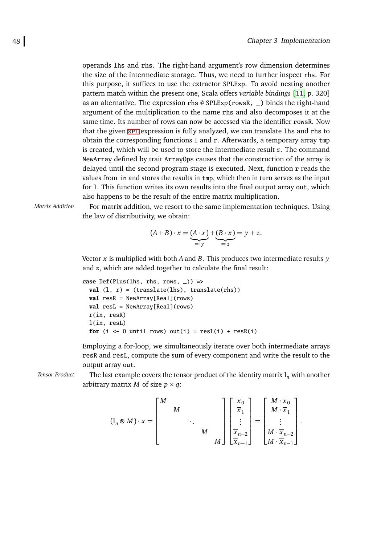operands lhs and rhs. The right-hand argument's row dimension determines the size of the intermediate storage. Thus, we need to further inspect rhs. For this purpose, it suffices to use the extractor SPLExp. To avoid nesting another pattern match within the present one, Scala offers *variable bindings* [\[11,](#page-89-0) p. 320] as an alternative. The expression rhs @ SPLExp(rowsR, \_) binds the right-hand argument of the multiplication to the name rhs and also decomposes it at the same time. Its number of rows can now be accessed via the identifier rowsR. Now that the given [spl](#page-92-1) expression is fully analyzed, we can translate lhs and rhs to obtain the corresponding functions l and r. Afterwards, a temporary array tmp is created, which will be used to store the intermediate result *z*. The command NewArray defined by trait ArrayOps causes that the construction of the array is delayed until the second program stage is executed. Next, function r reads the values from in and stores the results in tmp, which then in turn serves as the input for l. This function writes its own results into the final output array out, which also happens to be the result of the entire matrix multiplication.

*Matrix Addition* For matrix addition, we resort to the same implementation techniques. Using the law of distributivity, we obtain:

$$
(A+B)\cdot x = \underbrace{(A\cdot x)}_{=:y} + \underbrace{(B\cdot x)}_{=:z} = y+z.
$$

Vector *x* is multiplied with both *A* and *B*. This produces two intermediate results *y* and *z*, which are added together to calculate the final result:

```
case Def(Plus(lhs, rhs, rows, _)) =>
 val (l, r) = (translate(lhs), translate(rhs))
 val resR = NewArray[Real](rows)
 val resL = NewArray[Real](rows)
 r(in, resR)
 l(in, resL)
  for (i \leftarrow 0 until rows) out(i) = resL(i) + resR(i)
```
Employing a for-loop, we simultaneously iterate over both intermediate arrays resR and resL, compute the sum of every component and write the result to the output array out.

*Tensor Product* The last example covers the tensor product of the identity matrix  $I_n$  with another arbitrary matrix *M* of size  $p \times q$ :

$$
(\mathbf{I}_n \otimes M) \cdot x = \begin{bmatrix} M \\ & M \\ && \ddots \\ &&& M \\ &&& M \end{bmatrix} \begin{bmatrix} \overline{x}_0 \\ \overline{x}_1 \\ \vdots \\ \overline{x}_{n-2} \\ \overline{x}_{n-1} \end{bmatrix} = \begin{bmatrix} M \cdot \overline{x}_0 \\ M \cdot \overline{x}_1 \\ \vdots \\ M \cdot \overline{x}_{n-2} \\ M \cdot \overline{x}_{n-1} \end{bmatrix}.
$$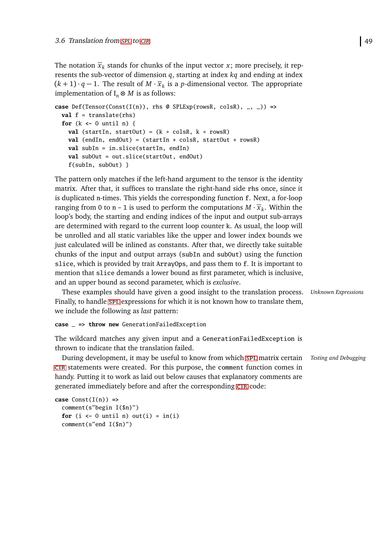The notation  $\overline{x}_k$  stands for chunks of the input vector  $x$ ; more precisely, it represents the sub-vector of dimension *q*, starting at index *kq* and ending at index  $(k + 1) \cdot q - 1$ . The result of  $M \cdot \overline{x}_k$  is a *p*-dimensional vector. The appropriate implementation of  $I_n \otimes M$  is as follows:

```
case Def(Tensor(Const(I(n)), rhs @ SPLEXp(rowsR, colspan], -) \Rightarrowval f = translate(rhs)
  for (k <- 0 until n) {
    val (startIn, startOut) = (k * \text{colsR}, k * \text{rowsR})val (endIn, endOut) = (startIn + colsR, startOut + rowsR)
    val subIn = in.slice(startIn, endIn)
    val subOut = out.slice(startOut, endOut)
    f(subIn, subOut) }
```
The pattern only matches if the left-hand argument to the tensor is the identity matrix. After that, it suffices to translate the right-hand side rhs once, since it is duplicated n-times. This yields the corresponding function f. Next, a for-loop ranging from 0 to n – 1 is used to perform the computations  $M \cdot \overline{x}_k$ . Within the loop's body, the starting and ending indices of the input and output sub-arrays are determined with regard to the current loop counter k. As usual, the loop will be unrolled and all static variables like the upper and lower index bounds we just calculated will be inlined as constants. After that, we directly take suitable chunks of the input and output arrays (subIn and subOut) using the function slice, which is provided by trait ArrayOps, and pass them to f. It is important to mention that slice demands a lower bound as first parameter, which is inclusive, and an upper bound as second parameter, which is *exclusive*.

These examples should have given a good insight to the translation process. *Unknown Expressions* Finally, to handle [spl](#page-92-1) expressions for which it is not known how to translate them, we include the following as *last* pattern:

**case** \_ **=> throw new** GenerationFailedException

The wildcard matches any given input and a GenerationFailedException is thrown to indicate that the translation failed.

During development, it may be useful to know from which [spl](#page-92-1) matrix certain *Testing and Debugging* [cir](#page-92-6) statements were created. For this purpose, the comment function comes in handy. Putting it to work as laid out below causes that explanatory comments are generated immediately before and after the corresponding [cir](#page-92-6) code:

```
\text{case} \text{Const}(I(n)) \Rightarrowcomment(s"begin I($n)")
  for (i \leftarrow 0 \text{ until } n) out(i) = in(i)comment(s"end I($n)")
```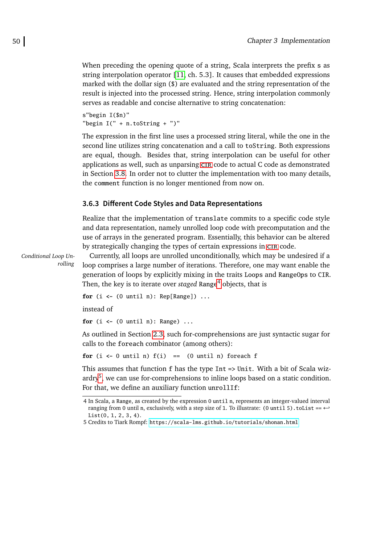When preceding the opening quote of a string, Scala interprets the prefix s as string interpolation operator [\[11,](#page-89-0) ch. 5.3]. It causes that embedded expressions marked with the dollar sign (\$) are evaluated and the string representation of the result is injected into the processed string. Hence, string interpolation commonly serves as readable and concise alternative to string concatenation:

s"begin I(\$n)" "begin I(" + n.toString + ")"

The expression in the first line uses a processed string literal, while the one in the second line utilizes string concatenation and a call to toString. Both expressions are equal, though. Besides that, string interpolation can be useful for other applications as well, such as unparsing [cir](#page-92-6) code to actual C code as demonstrated in Section [3.8.](#page-70-0) In order not to clutter the implementation with too many details, the comment function is no longer mentioned from now on.

### **3.6.3 Different Code Styles and Data Representations**

Realize that the implementation of translate commits to a specific code style and data representation, namely unrolled loop code with precomputation and the use of arrays in the generated program. Essentially, this behavior can be altered by strategically changing the types of certain expressions in [cir](#page-92-6) code.

*Conditional Loop Unrolling*

Currently, all loops are unrolled unconditionally, which may be undesired if a loop comprises a large number of iterations. Therefore, one may want enable the generation of loops by explicitly mixing in the traits Loops and RangeOps to CIR. Then, the key is to iterate over *staged* Range<sup>[4](#page-59-0)</sup> objects, that is

**for** (i **<-** (0 until n): Rep[Range]) ...

instead of

**for** (i **<-** (0 until n): Range) ...

As outlined in Section [2.3,](#page-24-0) such for-comprehensions are just syntactic sugar for calls to the foreach combinator (among others):

**for** (i  $\leq$  0 until n)  $f(i)$  == (0 until n) foreach f

This assumes that function f has the type Int => Unit. With a bit of Scala wiz-ardry<sup>[5](#page-59-1)</sup>, we can use for-comprehensions to inline loops based on a static condition. For that, we define an auxiliary function unrollIf:

<span id="page-59-0"></span><sup>4</sup> In Scala, a Range, as created by the expression 0 until n, represents an integer-valued interval ranging from 0 until n, exclusively, with a step size of 1. To illustrate: (0 until 5).toList ==  $\leftrightarrow$ List(0, 1, 2, 3, 4).

<span id="page-59-1"></span><sup>5</sup> Credits to Tiark Rompf: <https://scala-lms.github.io/tutorials/shonan.html>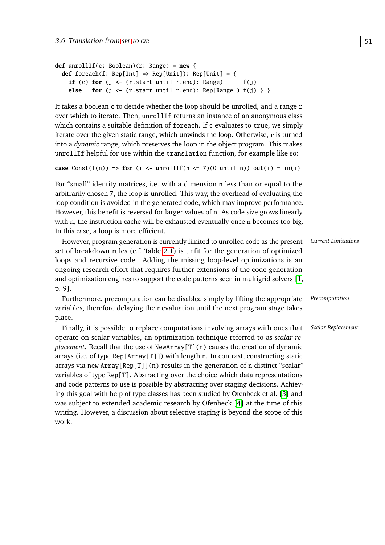```
def unrollIf(c: Boolean)(r: Range) = new {
 def foreach(f: Rep[Int] => Rep[Unit]): Rep[Unit] = {
   if (c) for (j \leftarrow (r.start until r.end): Range) f(j)else for (j <- (r.start until r.end): Rep[Range]) f(j) } }
```
It takes a boolean c to decide whether the loop should be unrolled, and a range r over which to iterate. Then, unrollIf returns an instance of an anonymous class which contains a suitable definition of foreach. If c evaluates to true, we simply iterate over the given static range, which unwinds the loop. Otherwise, r is turned into a *dynamic* range, which preserves the loop in the object program. This makes unrollIf helpful for use within the translation function, for example like so:

```
case Const(I(n)) \Rightarrow for (i \leftarrow unrollIf(n \leftarrow 7)(0 until n)) out(i) = in(i)
```
For "small" identity matrices, i.e. with a dimension n less than or equal to the arbitrarily chosen 7, the loop is unrolled. This way, the overhead of evaluating the loop condition is avoided in the generated code, which may improve performance. However, this benefit is reversed for larger values of n. As code size grows linearly with n, the instruction cache will be exhausted eventually once n becomes too big. In this case, a loop is more efficient.

However, program generation is currently limited to unrolled code as the present *Current Limitations* set of breakdown rules (c.f. Table [2.1\)](#page-16-0) is unfit for the generation of optimized loops and recursive code. Adding the missing loop-level optimizations is an ongoing research effort that requires further extensions of the code generation and optimization engines to support the code patterns seen in multigrid solvers [\[1,](#page-88-2) p. 9].

Furthermore, precomputation can be disabled simply by lifting the appropriate *Precomputation* variables, therefore delaying their evaluation until the next program stage takes place.

Finally, it is possible to replace computations involving arrays with ones that *Scalar Replacement* operate on scalar variables, an optimization technique referred to as *scalar replacement*. Recall that the use of NewArray[T](n) causes the creation of dynamic arrays (i.e. of type Rep[Array[T]]) with length n. In contrast, constructing static arrays via new  $Array[Rep[T]](n)$  results in the generation of n distinct "scalar" variables of type Rep[T]. Abstracting over the choice which data representations and code patterns to use is possible by abstracting over staging decisions. Achieving this goal with help of type classes has been studied by Ofenbeck et al. [\[3\]](#page-88-0) and was subject to extended academic research by Ofenbeck [\[4\]](#page-88-1) at the time of this writing. However, a discussion about selective staging is beyond the scope of this work.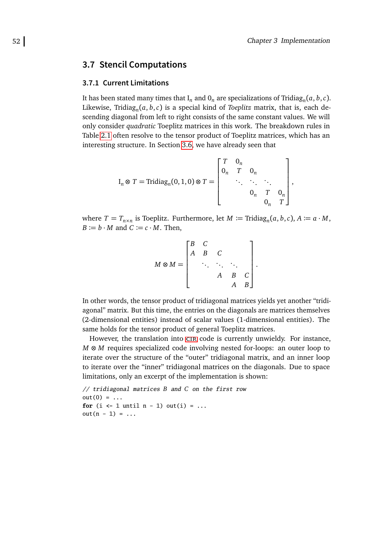# **3.7 Stencil Computations**

#### <span id="page-61-0"></span>**3.7.1 Current Limitations**

It has been stated many times that  $I_n$  and  $O_n$  are specializations of Tridia $g_n(a, b, c)$ . Likewise, Tridiag*<sup>n</sup>* (*a*, *b*,*c*) is a special kind of *Toeplitz* matrix, that is, each descending diagonal from left to right consists of the same constant values. We will only consider *quadratic* Toeplitz matrices in this work. The breakdown rules in Table [2.1](#page-16-0) often resolve to the tensor product of Toeplitz matrices, which has an interesting structure. In Section [3.6,](#page-51-0) we have already seen that

$$
I_n \otimes T = \text{Tridiag}_n(0, 1, 0) \otimes T = \begin{bmatrix} T & 0_n \\ 0_n & T & 0_n \\ & \ddots & \ddots & \ddots \\ & & 0_n & T & 0_n \\ & & & 0_n & T \end{bmatrix},
$$

where  $T = T_{n \times n}$  is Toeplitz. Furthermore, let  $M := \text{Tridiag}_n(a, b, c)$ ,  $A := a \cdot M$ ,  $B := b \cdot M$  and  $C := c \cdot M$ . Then,

$$
M \otimes M = \begin{bmatrix} B & C & & \\ A & B & C & \\ & \ddots & \ddots & \ddots & \\ & & A & B & C \\ & & & A & B \end{bmatrix}.
$$

In other words, the tensor product of tridiagonal matrices yields yet another "tridiagonal" matrix. But this time, the entries on the diagonals are matrices themselves (2-dimensional entities) instead of scalar values (1-dimensional entities). The same holds for the tensor product of general Toeplitz matrices.

However, the translation into CIR code is currently unwieldy. For instance, *M* ⊗ *M* requires specialized code involving nested for-loops: an outer loop to iterate over the structure of the "outer" tridiagonal matrix, and an inner loop to iterate over the "inner" tridiagonal matrices on the diagonals. Due to space limitations, only an excerpt of the implementation is shown:

// tridiagonal matrices *B* and *C* on the first row  $out(0) = ...$ **for** (i  $\leftarrow$  1 until n - 1) out(i) = ...  $out(n - 1) = ...$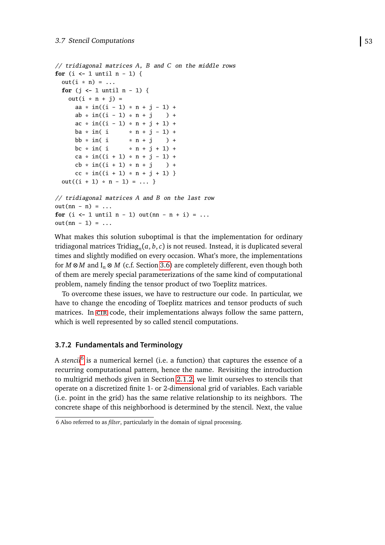```
// tridiagonal matrices A, B and C on the middle rows
for (i \leftarrow 1 until n - 1) {
 out(i * n) = ...for (j <- 1 until n - 1) {
   out(i * n + j) =
     aa * in((i - 1) * n + j - 1) +
     ab * in((i - 1) * n + j ) +
     ac * in((i - 1) * n + j + 1) +ba * in( i * n + j - 1) +bb * in( i * n + j ) +
     bc * in( i * n + j + 1) +
     ca * in((i + 1) * n + j - 1) +cb * in((i + 1) * n + j) +cc * in((i + 1) * n + j + 1) }
 out((i + 1) * n - 1) = ...
```

```
// tridiagonal matrices A and B on the last row
out(nn - n) = ...for (i \leq 1 \text{ until } n - 1) out(nn - n + i) = ...out(nn - 1) = ...
```
What makes this solution suboptimal is that the implementation for ordinary tridiagonal matrices Tridiag*<sup>n</sup>* (*a*, *b*,*c*) is not reused. Instead, it is duplicated several times and slightly modified on every occasion. What's more, the implementations for  $M \otimes M$  and  $I_n \otimes M$  (c.f. Section [3.6\)](#page-51-0) are completely different, even though both of them are merely special parameterizations of the same kind of computational problem, namely finding the tensor product of two Toeplitz matrices.

To overcome these issues, we have to restructure our code. In particular, we have to change the encoding of Toeplitz matrices and tensor products of such matrices. In [cir](#page-92-6) code, their implementations always follow the same pattern, which is well represented by so called stencil computations.

# **3.7.2 Fundamentals and Terminology**

A *stencil*[6](#page-62-0) is a numerical kernel (i.e. a function) that captures the essence of a recurring computational pattern, hence the name. Revisiting the introduction to multigrid methods given in Section [2.1.2,](#page-13-0) we limit ourselves to stencils that operate on a discretized finite 1- or 2-dimensional grid of variables. Each variable (i.e. point in the grid) has the same relative relationship to its neighbors. The concrete shape of this neighborhood is determined by the stencil. Next, the value

<span id="page-62-0"></span><sup>6</sup> Also referred to as *filter*, particularly in the domain of signal processing.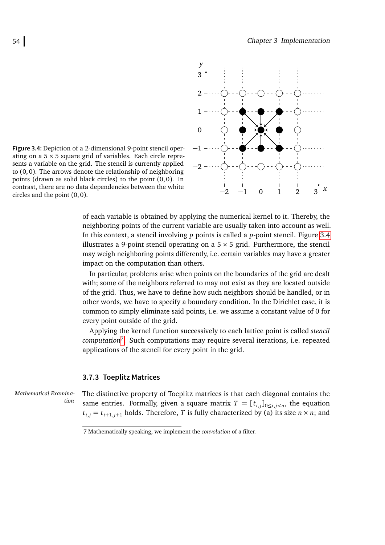<span id="page-63-0"></span>

**Figure 3.4:** Depiction of a 2-dimensional 9-point stencil operating on a  $5 \times 5$  square grid of variables. Each circle represents a variable on the grid. The stencil is currently applied to (0,0). The arrows denote the relationship of neighboring points (drawn as solid black circles) to the point (0,0). In contrast, there are no data dependencies between the white circles and the point (0, 0).

of each variable is obtained by applying the numerical kernel to it. Thereby, the neighboring points of the current variable are usually taken into account as well. In this context, a stencil involving *p* points is called a *p*-point stencil. Figure [3.4](#page-63-0) illustrates a 9-point stencil operating on a  $5 \times 5$  grid. Furthermore, the stencil may weigh neighboring points differently, i.e. certain variables may have a greater impact on the computation than others.

In particular, problems arise when points on the boundaries of the grid are dealt with; some of the neighbors referred to may not exist as they are located outside of the grid. Thus, we have to define how such neighbors should be handled, or in other words, we have to specify a boundary condition. In the Dirichlet case, it is common to simply eliminate said points, i.e. we assume a constant value of 0 for every point outside of the grid.

Applying the kernel function successively to each lattice point is called *stencil computation*[7](#page-63-1) . Such computations may require several iterations, i.e. repeated applications of the stencil for every point in the grid.

#### **3.7.3 Toeplitz Matrices**

*Mathematical Examination*

The distinctive property of Toeplitz matrices is that each diagonal contains the same entries. Formally, given a square matrix  $T = [t_{i,j}]_{0 \le i,j \le n}$ , the equation  $t_{i,j} = t_{i+1,j+1}$  holds. Therefore, *T* is fully characterized by (a) its size  $n \times n$ ; and

<span id="page-63-1"></span><sup>7</sup> Mathematically speaking, we implement the *convolution* of a filter.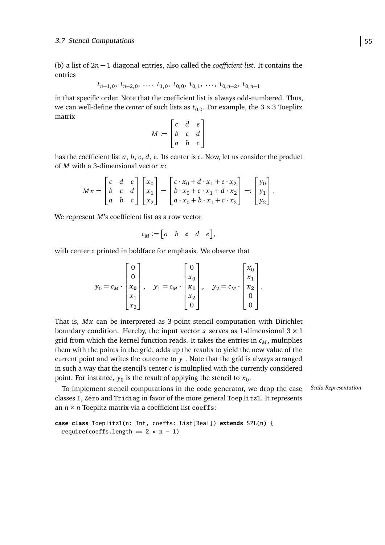(b) a list of 2*n* − 1 diagonal entries, also called the *coefficient list*. It contains the entries

$$
t_{n-1,0}, t_{n-2,0}, \ldots, t_{1,0}, t_{0,0}, t_{0,1}, \ldots, t_{0,n-2}, t_{0,n-1}
$$

in that specific order. Note that the coefficient list is always odd-numbered. Thus, we can well-define the *center* of such lists as  $t_{0,0}$ . For example, the 3  $\times$  3 Toeplitz matrix

$$
M := \begin{bmatrix} c & d & e \\ b & c & d \\ a & b & c \end{bmatrix}
$$

has the coefficient list *a*, *b*, *c*, *d*, *e*. Its center is *c*. Now, let us consider the product of *M* with a 3-dimensional vector *x*:

$$
Mx = \begin{bmatrix} c & d & e \\ b & c & d \\ a & b & c \end{bmatrix} \begin{bmatrix} x_0 \\ x_1 \\ x_2 \end{bmatrix} = \begin{bmatrix} c \cdot x_0 + d \cdot x_1 + e \cdot x_2 \\ b \cdot x_0 + c \cdot x_1 + d \cdot x_2 \\ a \cdot x_0 + b \cdot x_1 + c \cdot x_2 \end{bmatrix} =: \begin{bmatrix} y_0 \\ y_1 \\ y_2 \end{bmatrix}.
$$

We represent *M*'s coefficient list as a row vector

$$
c_M := [a \quad b \quad c \quad d \quad e],
$$

with center *c* printed in boldface for emphasis. We observe that

$$
y_0 = c_M \cdot \begin{bmatrix} 0 \\ 0 \\ x_0 \\ x_1 \\ x_2 \end{bmatrix}, \quad y_1 = c_M \cdot \begin{bmatrix} 0 \\ x_0 \\ x_1 \\ x_2 \\ 0 \end{bmatrix}, \quad y_2 = c_M \cdot \begin{bmatrix} x_0 \\ x_1 \\ x_2 \\ 0 \\ 0 \end{bmatrix}.
$$

That is, Mx can be interpreted as 3-point stencil computation with Dirichlet boundary condition. Hereby, the input vector *x* serves as 1-dimensional  $3 \times 1$ grid from which the kernel function reads. It takes the entries in  $c_M$ , multiplies them with the points in the grid, adds up the results to yield the new value of the current point and writes the outcome to *y* . Note that the grid is always arranged in such a way that the stencil's center *c* is multiplied with the currently considered point. For instance,  $y_0$  is the result of applying the stencil to  $x_0$ .

To implement stencil computations in the code generator, we drop the case *Scala Representation* classes I, Zero and Tridiag in favor of the more general Toeplitz1. It represents an *n* × *n* Toeplitz matrix via a coefficient list coeffs:

```
case class Toeplitz1(n: Int, coeffs: List[Real]) extends SPL(n) {
  require(coeffs.length == 2 * n - 1)
```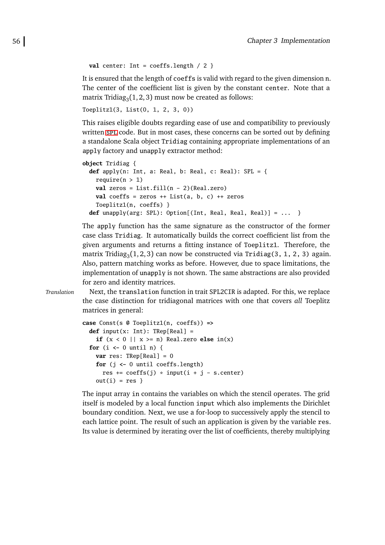```
val center: Int = coefficients.length / 2
```
It is ensured that the length of coeffs is valid with regard to the given dimension n. The center of the coefficient list is given by the constant center. Note that a matrix Tridia $g_3(1, 2, 3)$  must now be created as follows:

```
Toeplitz1(3, List(0, 1, 2, 3, 0))
```
This raises eligible doubts regarding ease of use and compatibility to previously written [spl](#page-92-1) code. But in most cases, these concerns can be sorted out by defining a standalone Scala object Tridiag containing appropriate implementations of an apply factory and unapply extractor method:

```
object Tridiag {
 def apply(n: Int, a: Real, b: Real, c: Real): SPL = \{require(n > 1)
   val zeros = List.fill(n - 2)(Real.zero)
   val coeffs = zeros ++ List(a, b, c) ++ zeros
    Toeplitz1(n, coeffs) }
 def unapply(arg: SPL): Option[(Int, Real, Real, Real)] = ... }
```
The apply function has the same signature as the constructor of the former case class Tridiag. It automatically builds the correct coefficient list from the given arguments and returns a fitting instance of Toeplitz1. Therefore, the matrix Tridia $g_3(1,2,3)$  can now be constructed via Tridiag(3, 1, 2, 3) again. Also, pattern matching works as before. However, due to space limitations, the implementation of unapply is not shown. The same abstractions are also provided for zero and identity matrices.

*Translation* Next, the translation function in trait SPL2CIR is adapted. For this, we replace the case distinction for tridiagonal matrices with one that covers *all* Toeplitz matrices in general:

```
case Const(s @ Toeplitz1(n, coeffs)) =>
 def input(x: Int): TRep[Real] =
   if (x < 0 | x > = n) Real.zero else in(x)for (i <- 0 until n) {
   var res: TRep[Real] = 0
   for (j <- 0 until coeffs.length)
     res += coeffs(j) * input(i + j - s.center)
   out(i) = res}
```
The input array in contains the variables on which the stencil operates. The grid itself is modeled by a local function input which also implements the Dirichlet boundary condition. Next, we use a for-loop to successively apply the stencil to each lattice point. The result of such an application is given by the variable res. Its value is determined by iterating over the list of coefficients, thereby multiplying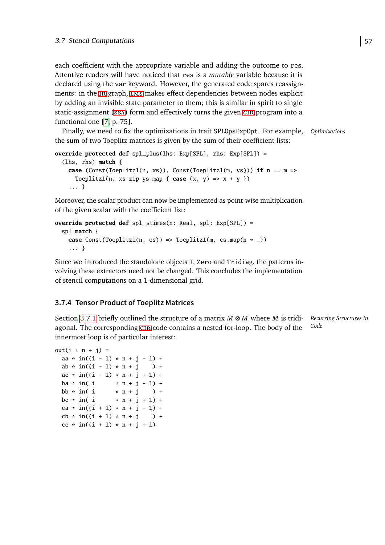each coefficient with the appropriate variable and adding the outcome to res. Attentive readers will have noticed that res is a *mutable* variable because it is declared using the var keyword. However, the generated code spares reassignments: in the IR graph, LMS makes effect dependencies between nodes explicit by adding an invisible state parameter to them; this is similar in spirit to single static-assignment ([ssa](#page-92-8)) form and effectively turns the given [cir](#page-92-6) program into a functional one [\[7,](#page-89-1) p. 75].

Finally, we need to fix the optimizations in trait SPLOpsExpOpt. For example, *Optimizations* the sum of two Toeplitz matrices is given by the sum of their coefficient lists:

```
override protected def spl_plus(lhs: Exp[SPL], rhs: Exp[SPL]) =
  (lhs, rhs) match {
    case (Const(Toeplitz1(n, xs)), Const(Toeplitz1(m, ys))) if n == m =>
      Toeplitz1(n, xs zip ys map { \textbf{case} \ (x, y) \implies x + y \ })
    ... }
```
Moreover, the scalar product can now be implemented as point-wise multiplication of the given scalar with the coefficient list:

```
override protected def spl_stimes(n: Real, spl: Exp[SPL]) =
  spl match {
    case Const(Toeplitz1(n, cs)) => Toeplitz1(m, cs.map(n * _))
    ... }
```
Since we introduced the standalone objects I, Zero and Tridiag, the patterns involving these extractors need not be changed. This concludes the implementation of stencil computations on a 1-dimensional grid.

# **3.7.4 Tensor Product of Toeplitz Matrices**

*Recurring Structures in* Section [3.7.1](#page-61-0) briefly outlined the structure of a matrix *M* ⊗ *M* where *M* is tridi-*Code* agonal. The corresponding [cir](#page-92-6) code contains a nested for-loop. The body of the innermost loop is of particular interest:

```
out(i * n + j) =
 aa * in((i - 1) * n + j - 1) +
 ab * in((i - 1) * n + j ) +
 ac * in((i - 1) * n + j + 1) +ba * in(i * n + j - 1) +bb * in( i * n + j ) +
 bc * in( i * n + j + 1) +
 ca * in((i + 1) * n + j - 1) +cb * in((i + 1) * n + j) +cc * in((i + 1) * n + j + 1)
```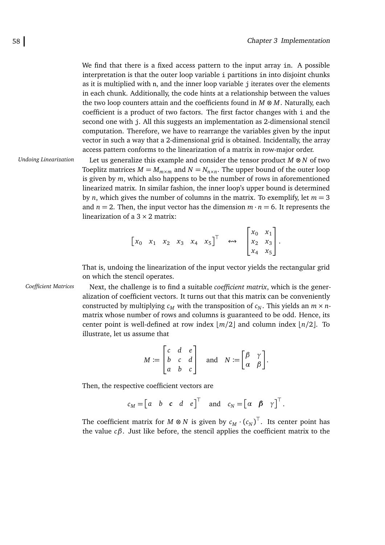We find that there is a fixed access pattern to the input array in. A possible interpretation is that the outer loop variable i partitions in into disjoint chunks as it is multiplied with n, and the inner loop variable j iterates over the elements in each chunk. Additionally, the code hints at a relationship between the values the two loop counters attain and the coefficients found in *M* ⊗ *M*. Naturally, each coefficient is a product of two factors. The first factor changes with i and the second one with j. All this suggests an implementation as 2-dimensional stencil computation. Therefore, we have to rearrange the variables given by the input vector in such a way that a 2-dimensional grid is obtained. Incidentally, the array access pattern conforms to the linearization of a matrix in row-major order.

*Undoing Linearization* Let us generalize this example and consider the tensor product *M* ⊗ *N* of two Toeplitz matrices  $M = M_{m \times m}$  and  $N = N_{n \times n}$ . The upper bound of the outer loop is given by *m*, which also happens to be the number of rows in aforementioned linearized matrix. In similar fashion, the inner loop's upper bound is determined by *n*, which gives the number of columns in the matrix. To exemplify, let  $m = 3$ and  $n = 2$ . Then, the input vector has the dimension  $m \cdot n = 6$ . It represents the linearization of a  $3 \times 2$  matrix:

$$
\begin{bmatrix} x_0 & x_1 & x_2 & x_3 & x_4 & x_5 \end{bmatrix}^T
$$
  $\begin{bmatrix} x_0 & x_1 \\ x_2 & x_3 \\ x_4 & x_5 \end{bmatrix}$ .

That is, undoing the linearization of the input vector yields the rectangular grid on which the stencil operates.

*Coefficient Matrices* Next, the challenge is to find a suitable *coefficient matrix*, which is the generalization of coefficient vectors. It turns out that this matrix can be conveniently constructed by multiplying  $c_M$  with the transposition of  $c_N$ . This yields an  $m \times n$ matrix whose number of rows and columns is guaranteed to be odd. Hence, its center point is well-defined at row index  $\lfloor m/2 \rfloor$  and column index  $\lfloor n/2 \rfloor$ . To illustrate, let us assume that

$$
M \coloneqq \begin{bmatrix} c & d & e \\ b & c & d \\ a & b & c \end{bmatrix} \quad \text{and} \quad N \coloneqq \begin{bmatrix} \beta & \gamma \\ \alpha & \beta \end{bmatrix}.
$$

Then, the respective coefficient vectors are

$$
c_M = [a \ b \ c \ d \ e]^T
$$
 and  $c_N = [a \ \beta \ \gamma]^T$ .

The coefficient matrix for  $M \otimes N$  is given by  $c_M \cdot \left( c_N \right)^\top$ . Its center point has the value *cβ*. Just like before, the stencil applies the coefficient matrix to the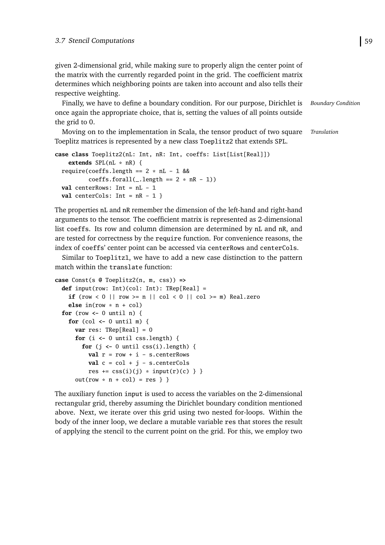given 2-dimensional grid, while making sure to properly align the center point of the matrix with the currently regarded point in the grid. The coefficient matrix determines which neighboring points are taken into account and also tells their respective weighting.

Finally, we have to define a boundary condition. For our purpose, Dirichlet is *Boundary Condition* once again the appropriate choice, that is, setting the values of all points outside the grid to 0.

Moving on to the implementation in Scala, the tensor product of two square *Translation* Toeplitz matrices is represented by a new class Toeplitz2 that extends SPL.

```
case class Toeplitz2(nL: Int, nR: Int, coeffs: List[List[Real]])
    extends SPL(nL * nR) {
  require(coeffs.length == 2 * nL - 1 &&
          coeffs.forall(\_.length == 2 * nR - 1))val centerRows: Int = nL - 1
  val centerCols: Int = nR - 1 }
```
The properties nL and nR remember the dimension of the left-hand and right-hand arguments to the tensor. The coefficient matrix is represented as 2-dimensional list coeffs. Its row and column dimension are determined by nL and nR, and are tested for correctness by the require function. For convenience reasons, the index of coeffs' center point can be accessed via centerRows and centerCols.

Similar to Toeplitz1, we have to add a new case distinction to the pattern match within the translate function:

```
case Const(s @ Toeplitz2(n, m, css)) =>
  def input(row: Int)(col: Int): TRep[Real] =
    if (row < 0 || row >= n || col < 0 || col >= m) Real.zero
    else in(row * n + col)
  for (row <- 0 until n) {
    for (col <- 0 until m) {
      var res: TRep[Real] = 0
      for (i \leftarrow 0 until css.length) {
        for (j \leftarrow 0 until \text{css}(i).length) {
          val r = row + i - s.centerRows
          val c = col + j - s.centerColsres += \text{css}(i)(j) * input(r)(c) \}out(row * n + col) = res } }
```
The auxiliary function input is used to access the variables on the 2-dimensional rectangular grid, thereby assuming the Dirichlet boundary condition mentioned above. Next, we iterate over this grid using two nested for-loops. Within the body of the inner loop, we declare a mutable variable res that stores the result of applying the stencil to the current point on the grid. For this, we employ two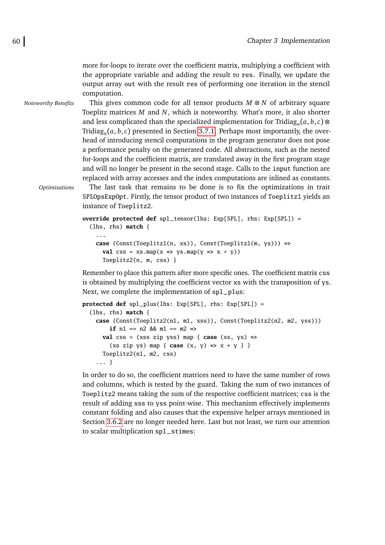more for-loops to iterate over the coefficient matrix, multiplying a coefficient with the appropriate variable and adding the result to res. Finally, we update the output array out with the result res of performing one iteration in the stencil computation.

*Noteworthy Benefits* This gives common code for all tensor products *M* ⊗ *N* of arbitrary square Toeplitz matrices *M* and *N*, which is noteworthy. What's more, it also shorter and less complicated than the specialized implementation for Tridia $g_n(a, b, c)$ Tridiag*<sup>n</sup>* (*a*, *b*,*c*) presented in Section [3.7.1.](#page-61-0) Perhaps most importantly, the overhead of introducing stencil computations in the program generator does not pose a performance penalty on the generated code. All abstractions, such as the nested for-loops and the coefficient matrix, are translated away in the first program stage and will no longer be present in the second stage. Calls to the input function are replaced with array accesses and the index computations are inlined as constants.

*Optimizations* The last task that remains to be done is to fix the optimizations in trait SPLOpsExpOpt. Firstly, the tensor product of two instances of Toeplitz1 yields an instance of Toeplitz2.

```
override protected def spl_tensor(lhs: Exp[SPL], rhs: Exp[SPL]) =
  (lhs, rhs) match {
    ...
    case (Const(Toeplitz1(n, xs)), Const(Toeplitz1(m, ys))) =>
      val css = xs.png(x \Rightarrow ys.png(y \Rightarrow x * y)
```
Toeplitz2(n, m, css) }

Remember to place this pattern after more specific ones. The coefficient matrix css is obtained by multiplying the coefficient vector xs with the transposition of ys. Next, we complete the implementation of spl\_plus:

```
protected def spl_plus(lhs: Exp[SPL], rhs: Exp[SPL]) =
  (lhs, rhs) match {
   case (Const(Toeplitz2(n1, m1, xss)), Const(Toeplitz2(n2, m2, yss)))
        if n1 == n2 && m1 == m2 =>
     val css = (xss zip yss) map { case (xs, ys) =>
        (xs zip ys) map { case (x, y) => x + y } }
     Toeplitz2(n1, m2, css)
    ... }
```
In order to do so, the coefficient matrices need to have the same number of rows and columns, which is tested by the guard. Taking the sum of two instances of Toeplitz2 means taking the sum of the respective coefficient matrices; css is the result of adding xss to yss point-wise. This mechanism effectively implements constant folding and also causes that the expensive helper arrays mentioned in Section [3.6.2](#page-56-0) are no longer needed here. Last but not least, we turn our attention to scalar multiplication spl\_stimes: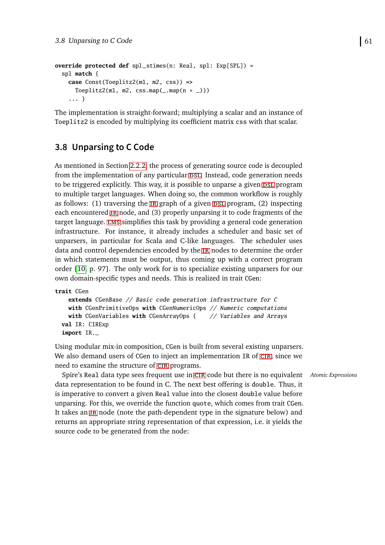```
override protected def spl_stimes(n: Real, spl: Exp[SPL]) =
  spl match {
   case Const(Toeplitz2(m1, m2, css)) =>
      Toeplitz2(m1, m2, css.map(_.map(n * \_)))
    ... }
```
The implementation is straight-forward; multiplying a scalar and an instance of Toeplitz2 is encoded by multiplying its coefficient matrix css with that scalar.

# <span id="page-70-0"></span>**3.8 Unparsing to C Code**

As mentioned in Section [2.2.2,](#page-21-0) the process of generating source code is decoupled from the implementation of any particular DSL. Instead, code generation needs to be triggered explicitly. This way, it is possible to unparse a given psl program to multiple target languages. When doing so, the common workflow is roughly as follows:  $(1)$  traversing the  $i$ r graph of a given  $DSL$  program,  $(2)$  inspecting each encountered [ir](#page-92-0) node, and (3) properly unparsing it to code fragments of the target language. LMS simplifies this task by providing a general code generation infrastructure. For instance, it already includes a scheduler and basic set of unparsers, in particular for Scala and C-like languages. The scheduler uses data and control dependencies encoded by the [ir](#page-92-0) nodes to determine the order in which statements must be output, thus coming up with a correct program order [\[10,](#page-89-3) p. 97]. The only work for is to specialize existing unparsers for our own domain-specific types and needs. This is realized in trait CGen:

```
trait CGen
   extends CGenBase // Basic code generation infrastructure for C
   with CGenPrimitiveOps with CGenNumericOps // Numeric computations
   with CGenVariables with CGenArrayOps { // Variables and Arrays
 val IR: CIRExp
 import IR._
```
Using modular mix-in composition, CGen is built from several existing unparsers. We also demand users of CGen to inject an implementation IR of CIR, since we need to examine the structure of CIR programs.

Spire's Real data type sees frequent use in [cir](#page-92-6) code but there is no equivalent *Atomic Expressions* data representation to be found in C. The next best offering is double. Thus, it is imperative to convert a given Real value into the closest double value before unparsing. For this, we override the function quote, which comes from trait CGen. It takes an [ir](#page-92-0) node (note the path-dependent type in the signature below) and returns an appropriate string representation of that expression, i.e. it yields the source code to be generated from the node: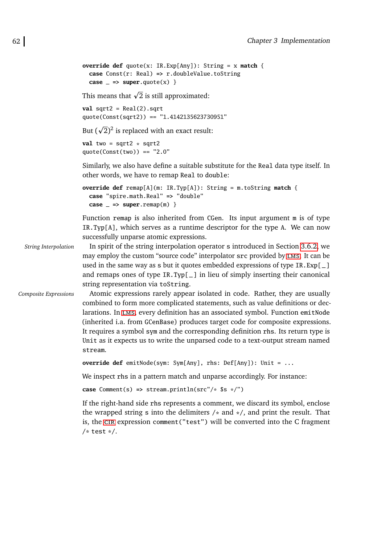```
override def quote(x: IR.Exp[Any]): String = x match {
 case Const(r: Real) => r.doubleValue.toString
 case \leq => super.guote(x) \}
```
This means that  $\sqrt{2}$  is still approximated:

 $val$  sqrt2 =  $Real(2).sqrt$ quote(Const(sqrt2)) ==  $"1.4142135623730951"$ 

But  $(\sqrt{2})^2$  is replaced with an exact result: p

```
val two = sqrt{2} * sqrt2
quote(Const(two)) == "2.0"
```
Similarly, we also have define a suitable substitute for the Real data type itself. In other words, we have to remap Real to double:

```
override def remap[A](m: IR.Typ[A]): String = m.toString match {
  case "spire.math.Real" => "double"
  case \_ \Rightarrow super.remap(m) \}
```
Function remap is also inherited from CGen. Its input argument m is of type IR.Typ[A], which serves as a runtime descriptor for the type A. We can now successfully unparse atomic expressions.

*String Interpolation* In spirit of the string interpolation operator s introduced in Section [3.6.2,](#page-56-0) we may employ the custom "source code" interpolator src provided by [lms](#page-92-3). It can be used in the same way as s but it quotes embedded expressions of type IR.Exp[\_] and remaps ones of type IR.Typ[ $\Box$ ] in lieu of simply inserting their canonical string representation via toString.

*Composite Expressions* Atomic expressions rarely appear isolated in code. Rather, they are usually combined to form more complicated statements, such as value definitions or declarations. In [lms](#page-92-3), every definition has an associated symbol. Function emitNode (inherited i.a. from GCenBase) produces target code for composite expressions. It requires a symbol sym and the corresponding definition rhs. Its return type is Unit as it expects us to write the unparsed code to a text-output stream named stream.

**override def** emitNode(sym: Sym[Any], rhs: Def[Any]): Unit = ...

We inspect rhs in a pattern match and unparse accordingly. For instance:

**case** Comment(s) **=>** stream.println(src"/\* \$s \*/")

If the right-hand side rhs represents a comment, we discard its symbol, enclose the wrapped string s into the delimiters  $/*$  and  $*/$ , and print the result. That is, the [cir](#page-92-6) expression comment("test") will be converted into the C fragment  $/*$  test  $*/.$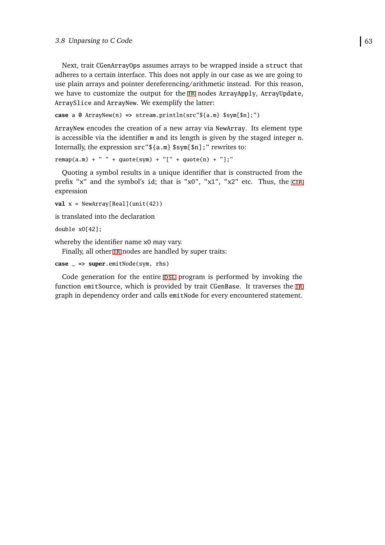Next, trait CGenArrayOps assumes arrays to be wrapped inside a struct that adheres to a certain interface. This does not apply in our case as we are going to use plain arrays and pointer dereferencing/arithmetic instead. For this reason, we have to customize the output for the [ir](#page-92-0) nodes ArrayApply, ArrayUpdate, ArraySlice and ArrayNew. We exemplify the latter:

```
case a @ ArrayNew(n) => stream.println(src"${a.m} $sym[$n];")
```
ArrayNew encodes the creation of a new array via NewArray. Its element type is accessible via the identifier m and its length is given by the staged integer n. Internally, the expression src"\${a.m} \$sym[\$n];" rewrites to:

```
r{emap(a.m)} + " " + quote(sym) + "[' + quote(n) + "];"
```
Quoting a symbol results in a unique identifier that is constructed from the prefix "x" and the symbol's id; that is "x0", "x1", "x2" etc. Thus, the CIR expression

```
val x = NewArray[Real](unit(42))
```
is translated into the declaration

double x0[42];

whereby the identifier name x0 may vary.

Finally, all other IR nodes are handled by super traits:

```
case _ => super.emitNode(sym, rhs)
```
Code generation for the entire psl program is performed by invoking the function emitSource, which is provided by trait CGenBase. It traverses the [ir](#page-92-0) graph in dependency order and calls emitNode for every encountered statement.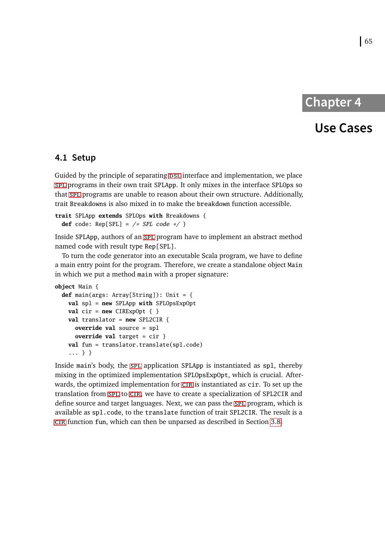# **Chapter 4**

### **Use Cases**

#### <span id="page-74-0"></span>**4.1 Setup**

Guided by the principle of separating psl interface and implementation, we place [spl](#page-92-3) programs in their own trait SPLApp. It only mixes in the interface SPLOps so that [spl](#page-92-3) programs are unable to reason about their own structure. Additionally, trait Breakdowns is also mixed in to make the breakdown function accessible.

```
trait SPLApp extends SPLOps with Breakdowns {
  def code: Rep[SPL] = \n\begin{bmatrix}\n\ast & SPL & code & \ast \\
\end{bmatrix}
```
Inside SPLApp, authors of an [spl](#page-92-3) program have to implement an abstract method named code with result type Rep[SPL].

To turn the code generator into an executable Scala program, we have to define a main entry point for the program. Therefore, we create a standalone object Main in which we put a method main with a proper signature:

```
object Main {
 def main(args: Array[String]): Unit = {
   val spl = new SPLApp with SPLOpsExpOpt
   val cir = new CIRExpOpt \{ \}val translator = new SPL2CIR {
     override val source = spl
     override val target = cir }
   val fun = translator.translate(spl.code)
    ... } }
```
Inside main's body, the [spl](#page-92-3) application SPLApp is instantiated as spl, thereby mixing in the optimized implementation SPLOpsExpOpt, which is crucial. Afterwards, the optimized implementation for [cir](#page-92-1) is instantiated as cir. To set up the translation from [spl](#page-92-3) to [cir](#page-92-1), we have to create a specialization of SPL2CIR and define source and target languages. Next, we can pass the [spl](#page-92-3) program, which is available as spl.code, to the translate function of trait SPL2CIR. The result is a [cir](#page-92-1) function fun, which can then be unparsed as described in Section [3.8.](#page-70-0)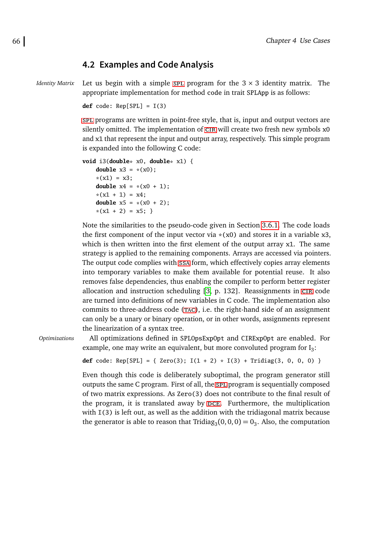#### <span id="page-75-0"></span>**4.2 Examples and Code Analysis**

*Identity Matrix* Let us begin with a simple [spl](#page-92-3) program for the  $3 \times 3$  identity matrix. The appropriate implementation for method code in trait SPLApp is as follows:

**def** code: Rep[SPL] = I(3)

[spl](#page-92-3) programs are written in point-free style, that is, input and output vectors are silently omitted. The implementation of  $CIR$  will create two fresh new symbols x0 and x1 that represent the input and output array, respectively. This simple program is expanded into the following C code:

```
void i3(double* x0, double* x1) {
   double x3 = x(x0);
    *(x1) = x3;double x4 = *(x0 + 1);*(x1 + 1) = x4;double x5 = * (x0 + 2);
    *(x1 + 2) = x5;
```
Note the similarities to the pseudo-code given in Section [3.6.1.](#page-54-0) The code loads the first component of the input vector via  $*(x0)$  and stores it in a variable  $x3$ , which is then written into the first element of the output array x1. The same strategy is applied to the remaining components. Arrays are accessed via pointers. The output code complies with [ssa](#page-92-4) form, which effectively copies array elements into temporary variables to make them available for potential reuse. It also removes false dependencies, thus enabling the compiler to perform better register allocation and instruction scheduling [\[3,](#page-88-0) p. 132]. Reassignments in [cir](#page-92-1) code are turned into definitions of new variables in C code. The implementation also commits to three-address code (TAC), i.e. the right-hand side of an assignment can only be a unary or binary operation, or in other words, assignments represent the linearization of a syntax tree.

*Optimizations* All optimizations defined in SPLOpsExpOpt and CIRExpOpt are enabled. For example, one may write an equivalent, but more convoluted program for  $I_3$ :

**def** code:  $Rep[SPL] = \{ Zero(3); I(1 + 2) * I(3) + Tridiag(3, 0, 0, 0) \}$ 

Even though this code is deliberately suboptimal, the program generator still outputs the same C program. First of all, the [spl](#page-92-3) program is sequentially composed of two matrix expressions. As Zero(3) does not contribute to the final result of the program, it is translated away by [dce](#page-92-6). Furthermore, the multiplication with  $I(3)$  is left out, as well as the addition with the tridiagonal matrix because the generator is able to reason that Tridia $g_3(0,0,0) = 0_3$ . Also, the computation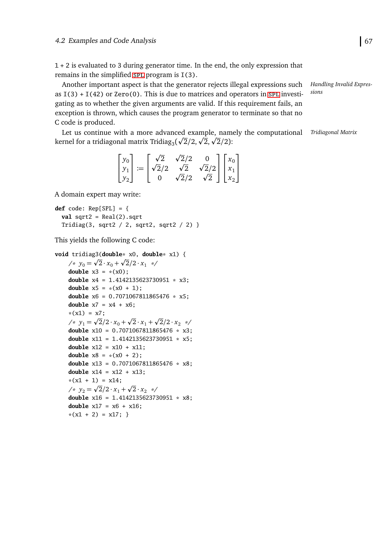1 + 2 is evaluated to 3 during generator time. In the end, the only expression that remains in the simplified [spl](#page-92-3) program is  $I(3)$ .

Another important aspect is that the generator rejects illegal expressions such as  $I(3) + I(42)$  or Zero(0). This is due to matrices and operators in [spl](#page-92-3) investigating as to whether the given arguments are valid. If this requirement fails, an exception is thrown, which causes the program generator to terminate so that no C code is produced.

Let us continue with a more advanced example, namely the computational Tridiagonal Matrix Let us continue with a more advanced example, nam<br>kernel for a tridiagonal matrix Tridiag<sub>3</sub>( $\sqrt{2}/2$ ,  $\sqrt{2}$ ,  $\sqrt{2}/2$ ):

|  | $\begin{bmatrix} y_0 \\ y_1 \\ y_2 \end{bmatrix} := \begin{bmatrix} \sqrt{2} & \sqrt{2}/2 & 0 \\ \sqrt{2}/2 & \sqrt{2} & \sqrt{2}/2 \\ 0 & \sqrt{2}/2 & \sqrt{2} \end{bmatrix} \begin{bmatrix} x_0 \\ x_1 \\ x_2 \end{bmatrix}$ |  |  |
|--|---------------------------------------------------------------------------------------------------------------------------------------------------------------------------------------------------------------------------------|--|--|

A domain expert may write:

```
def code: Rep[SPL] = {
  val sqrt2 = Real(2).sqrt
  Tridiag(3, sqrt2 / 2, sqrt2, sqrt2 / 2) }
```
This yields the following C code:

```
void tridiag3(double* x0, double* x1) {
p
p
     \sqrt{x} y_0 = \sqrt{2} \cdot x_0 + \sqrt{2}/2 \cdot x_1 */
    double x3 = * (x0);
    double x4 = 1.4142135623730951 * x3;
    double x5 = x(x0 + 1);
    double x6 = 0.7071067811865476 * x5;
    double x7 = x4 + x6:
     *(x1) = x7;\frac{x}{y_1} = \frac{\sqrt{2}}{2} \cdot x_0 +p
                             \overline{2} \cdot x_1 +p
                                       \frac{2}{2}/2 · x_2 */
    double x10 = 0.7071067811865476 * x3;
    double x11 = 1.4142135623730951 * x5;
    double x12 = x10 + x11;
    double x8 = x(x0 + 2);
    double x13 = 0.7071067811865476 * x8;
    double x14 = x12 + x13;
     *(x1 + 1) = x14;\sqrt{x} y_2 = \sqrt{2}/2 \cdot x_1 + \sqrt{2} \cdot x_2 */
                          p
    double x16 = 1.4142135623730951 * x8;
    double x17 = x6 + x16;
    *(x1 + 2) = x17;
```
*Handling Invalid Expressions*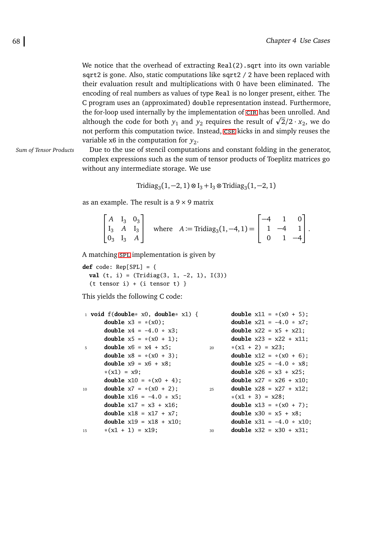We notice that the overhead of extracting Real(2).sqrt into its own variable sqrt2 is gone. Also, static computations like sqrt2 / 2 have been replaced with their evaluation result and multiplications with 0 have been eliminated. The encoding of real numbers as values of type Real is no longer present, either. The C program uses an (approximated) double representation instead. Furthermore, the for-loop used internally by the implementation of [cir](#page-92-1) has been unrolled. And the for-loop used internally by the implementation of CIR has been unrolled. And although the code for both  $y_1$  and  $y_2$  requires the result of  $\sqrt{2}/2 \cdot x_2$ , we do not perform this computation twice. Instead, [cse](#page-92-7) kicks in and simply reuses the variable x6 in the computation for  $y_2$ .

*Sum of Tensor Products* Due to the use of stencil computations and constant folding in the generator, complex expressions such as the sum of tensor products of Toeplitz matrices go without any intermediate storage. We use

$$
Tridiag_3(1, -2, 1) \otimes I_3 + I_3 \otimes Tridiag_3(1, -2, 1)
$$

as an example. The result is a  $9 \times 9$  matrix

|  |  | $\begin{bmatrix} A & I_3 & 0_3 \\ I_3 & A & I_3 \\ 0_3 & I_3 & A \end{bmatrix}$ where $A := \text{Tridiag}_3(1, -4, 1) = \begin{bmatrix} -4 & 1 & 0 \\ 1 & -4 & 1 \\ 0 & 1 & -4 \end{bmatrix}$ . |  |  |
|--|--|--------------------------------------------------------------------------------------------------------------------------------------------------------------------------------------------------|--|--|

A matching [spl](#page-92-3) implementation is given by

**def** code: Rep[SPL] = { **val** (t, i) = (Tridiag(3, 1, -2, 1), I(3))  $(t$  tensor i) +  $(i$  tensor t) }

This yields the following C code:

|    | 1 void $f(double* x0, double* x1)$ {  |    | <b>double</b> $x11 = x(x0 + 5)$ ;  |
|----|---------------------------------------|----|------------------------------------|
|    | <b>double</b> $x3 = x(x0)$ ;          |    | <b>double</b> $x21 = -4.0 * x7$ ;  |
|    | <b>double</b> $x4 = -4.0 \times x3$ ; |    | <b>double</b> $x22 = x5 + x21$ ;   |
|    | <b>double</b> $x5 = x(x0 + 1)$ ;      |    | <b>double</b> $x23 = x22 + x11$ ;  |
| 5  | <b>double</b> $x6 = x4 + x5$ ;        | 20 | $*(x1 + 2) = x23;$                 |
|    | <b>double</b> $x8 = x(x0 + 3)$ ;      |    | <b>double</b> $x12 = x(x0 + 6)$ ;  |
|    | <b>double</b> $x9 = x6 + x8$ ;        |    | <b>double</b> $x25 = -4.0 * x8$ ;  |
|    | $*(x1) = x9$ ;                        |    | <b>double</b> $x26 = x3 + x25$ ;   |
|    | <b>double</b> $x10 = x(x0 + 4)$ ;     |    | <b>double</b> $x27 = x26 + x10$ ;  |
| 10 | <b>double</b> $x7 = x(x0 + 2)$ ;      | 25 | <b>double</b> $x28 = x27 + x12$ ;  |
|    | <b>double</b> $x16 = -4.0 * x5$ ;     |    | $*(x1 + 3) = x28$ ;                |
|    | <b>double</b> $x17 = x3 + x16$ ;      |    | <b>double</b> $x13 = x(x0 + 7)$ ;  |
|    | <b>double</b> $x18 = x17 + x7$ ;      |    | <b>double</b> $x30 = x5 + x8$ ;    |
|    | <b>double</b> $x19 = x18 + x10$ ;     |    | <b>double</b> $x31 = -4.0 * x10$ ; |
| 15 | $*(x1 + 1) = x19;$                    | 30 | <b>double</b> $x32 = x30 + x31$ ;  |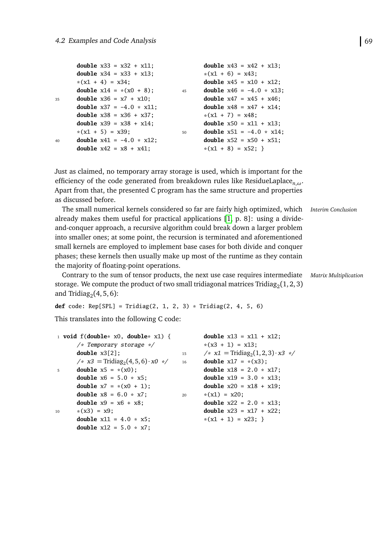|    | <b>double</b> $x43 = x42 + x13$ ;       |
|----|-----------------------------------------|
|    | $*(x1 + 6) = x43;$                      |
|    | <b>double</b> $x45 = x10 + x12$ ;       |
| 45 | <b>double</b> $x46 = -4.0 * x13$ ;      |
|    | <b>double</b> $x47 = x45 + x46$ ;       |
|    | <b>double</b> $x48 = x47 + x14$ ;       |
|    | $*(x1 + 7) = x48$ ;                     |
|    | <b>double</b> $x50 = x11 + x13$ ;       |
| 50 | <b>double</b> $x51 = -4.0 \times x14$ ; |
|    | <b>double</b> $x52 = x50 + x51$ ;       |
|    | $*(x1 + 8) = x52;$                      |
|    |                                         |

Just as claimed, no temporary array storage is used, which is important for the efficiency of the code generated from breakdown rules like ResidueLaplace*n*,*ω*. Apart from that, the presented C program has the same structure and properties as discussed before.

The small numerical kernels considered so far are fairly high optimized, which *Interim Conclusion* already makes them useful for practical applications [\[1,](#page-88-1) p. 8]: using a divideand-conquer approach, a recursive algorithm could break down a larger problem into smaller ones; at some point, the recursion is terminated and aforementioned small kernels are employed to implement base cases for both divide and conquer phases; these kernels then usually make up most of the runtime as they contain the majority of floating-point operations.

Contrary to the sum of tensor products, the next use case requires intermediate *Matrix Multiplication* storage. We compute the product of two small tridiagonal matrices Tridia $\rm g_2(1,2,3)$ and Tridia $g_2(4,5,6)$ :

**def** code: Rep[SPL] = Tridiag(2, 1, 2, 3) \* Tridiag(2, 4, 5, 6)

This translates into the following C code:

|                | 1 void $f(double* x0, double* x1)$ {                         |    | <b>double</b> $x13 = x11 + x12$ ;               |
|----------------|--------------------------------------------------------------|----|-------------------------------------------------|
|                | $/*$ Temporary storage $*/$                                  |    | $*(x3 + 1) = x13$ ;                             |
|                | double $x3[2]$ ;                                             | 15 | /* $x1 = \text{Tridiag}_2(1, 2, 3) \cdot x3$ */ |
|                | $\frac{x}{3}$ = Tridiag <sub>2</sub> (4, 5, 6) · <i>x0 *</i> | 16 | <b>double</b> $x17 = x(x3)$ ;                   |
| 5 <sup>7</sup> | <b>double</b> $x5 = * (x0)$ ;                                |    | <b>double</b> $x18 = 2.0 * x17$ ;               |
|                | <b>double</b> $x6 = 5.0 * x5$ ;                              |    | <b>double</b> $x19 = 3.0 * x13$ ;               |
|                | <b>double</b> $x7 = x(x0 + 1)$ ;                             |    | <b>double</b> $x20 = x18 + x19$ ;               |
|                | <b>double</b> $x8 = 6.0 * x7$ ;                              | 20 | $*(x1) = x20;$                                  |
|                | <b>double</b> $x9 = x6 + x8$ ;                               |    | <b>double</b> $x22 = 2.0 * x13$ ;               |
| 10             | $*(x3) = x9;$                                                |    | <b>double</b> $x23 = x17 + x22$ ;               |
|                | <b>double</b> $x11 = 4.0 * x5$ ;                             |    | $*(x1 + 1) = x23;$                              |
|                | <b>double</b> $x12 = 5.0 * x7$ ;                             |    |                                                 |
|                |                                                              |    |                                                 |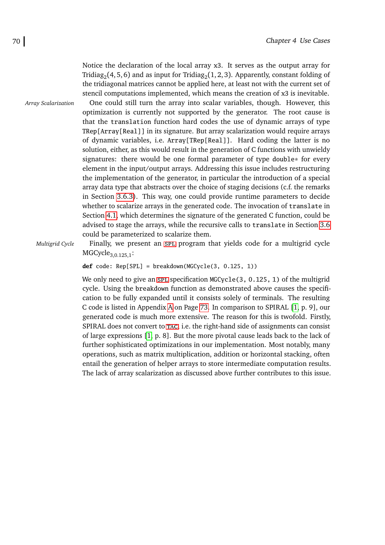Notice the declaration of the local array x3. It serves as the output array for Tridia $g_{2}(4,5,6)$  and as input for Tridia $g_{2}(1,2,3)$ . Apparently, constant folding of the tridiagonal matrices cannot be applied here, at least not with the current set of stencil computations implemented, which means the creation of x3 is inevitable. *Array Scalarization* One could still turn the array into scalar variables, though. However, this optimization is currently not supported by the generator. The root cause is that the translation function hard codes the use of dynamic arrays of type TRep[Array[Real]] in its signature. But array scalarization would require arrays of dynamic variables, i.e. Array[TRep[Real]]. Hard coding the latter is no solution, either, as this would result in the generation of C functions with unwieldy signatures: there would be one formal parameter of type double\* for every element in the input/output arrays. Addressing this issue includes restructuring the implementation of the generator, in particular the introduction of a special array data type that abstracts over the choice of staging decisions (c.f. the remarks in Section [3.6.3\)](#page-59-0). This way, one could provide runtime parameters to decide whether to scalarize arrays in the generated code. The invocation of translate in Section [4.1,](#page-74-0) which determines the signature of the generated C function, could be advised to stage the arrays, while the recursive calls to translate in Section [3.6](#page-51-0) could be parameterized to scalarize them.

*Multigrid Cycle* Finally, we present an [spl](#page-92-3) program that yields code for a multigrid cycle  $MGCycle_{3.0.125,1}$ :

**def** code: Rep[SPL] = breakdown(MGCycle(3, 0.125, 1))

We only need to give an [spl](#page-92-3) specification  $MGV$ cle(3, 0.125, 1) of the multigrid cycle. Using the breakdown function as demonstrated above causes the specification to be fully expanded until it consists solely of terminals. The resulting C code is listed in Appendix [A](#page-82-0) on Page [73.](#page-82-0) In comparison to SPIRAL [\[1,](#page-88-1) p. 9], our generated code is much more extensive. The reason for this is twofold. Firstly, SPIRAL does not convert to [tac](#page-92-5), i.e. the right-hand side of assignments can consist of large expressions [\[1,](#page-88-1) p. 8]. But the more pivotal cause leads back to the lack of further sophisticated optimizations in our implementation. Most notably, many operations, such as matrix multiplication, addition or horizontal stacking, often entail the generation of helper arrays to store intermediate computation results. The lack of array scalarization as discussed above further contributes to this issue.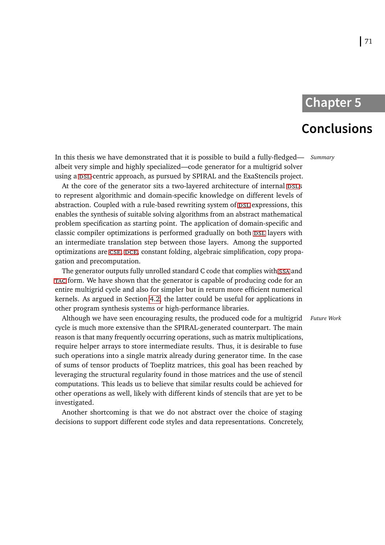### **Chapter 5**

### **Conclusions**

In this thesis we have demonstrated that it is possible to build a fully-fledged— *Summary* albeit very simple and highly specialized—code generator for a multigrid solver using a [dsl](#page-92-2)-centric approach, as pursued by SPIRAL and the ExaStencils project.

At the core of the generator sits a two-layered architecture of internal DSLS to represent algorithmic and domain-specific knowledge on different levels of abstraction. Coupled with a rule-based rewriting system of DSL expressions, this enables the synthesis of suitable solving algorithms from an abstract mathematical problem specification as starting point. The application of domain-specific and classic compiler optimizations is performed gradually on both psl layers with an intermediate translation step between those layers. Among the supported optimizations are [cse](#page-92-7), [dce](#page-92-6), constant folding, algebraic simplification, copy propagation and precomputation.

The generator outputs fully unrolled standard C code that complies with [ssa](#page-92-4) and [tac](#page-92-5) form. We have shown that the generator is capable of producing code for an entire multigrid cycle and also for simpler but in return more efficient numerical kernels. As argued in Section [4.2,](#page-75-0) the latter could be useful for applications in other program synthesis systems or high-performance libraries.

Although we have seen encouraging results, the produced code for a multigrid *Future Work* cycle is much more extensive than the SPIRAL-generated counterpart. The main reason is that many frequently occurring operations, such as matrix multiplications, require helper arrays to store intermediate results. Thus, it is desirable to fuse such operations into a single matrix already during generator time. In the case of sums of tensor products of Toeplitz matrices, this goal has been reached by leveraging the structural regularity found in those matrices and the use of stencil computations. This leads us to believe that similar results could be achieved for other operations as well, likely with different kinds of stencils that are yet to be investigated.

Another shortcoming is that we do not abstract over the choice of staging decisions to support different code styles and data representations. Concretely,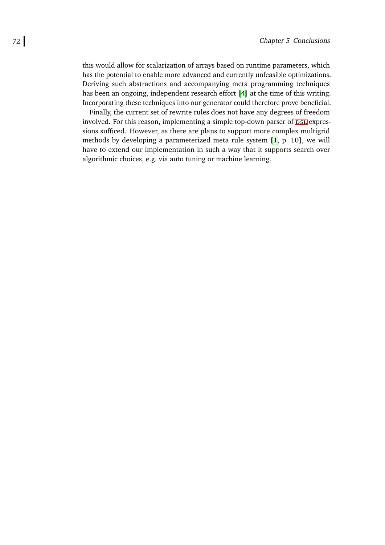this would allow for scalarization of arrays based on runtime parameters, which has the potential to enable more advanced and currently unfeasible optimizations. Deriving such abstractions and accompanying meta programming techniques has been an ongoing, independent research effort [\[4\]](#page-88-2) at the time of this writing. Incorporating these techniques into our generator could therefore prove beneficial.

Finally, the current set of rewrite rules does not have any degrees of freedom involved. For this reason, implementing a simple top-down parser of DSL expressions sufficed. However, as there are plans to support more complex multigrid methods by developing a parameterized meta rule system [\[1,](#page-88-1) p. 10], we will have to extend our implementation in such a way that it supports search over algorithmic choices, e.g. via auto tuning or machine learning.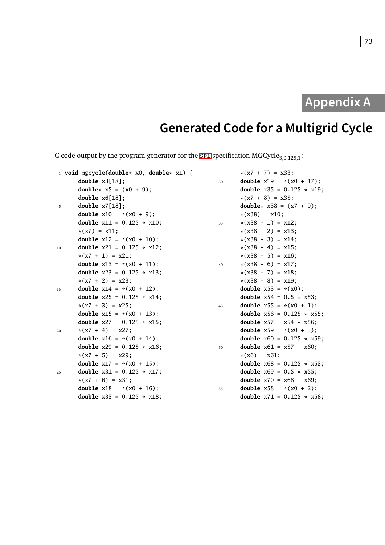# **Appendix A**

# **Generated Code for a Multigrid Cycle**

<span id="page-82-0"></span>C code output by the program generator for the [spl](#page-92-3) specification  $MGCycle<sub>3,0.125,1</sub>$ :

|    | 1 <b>void</b> mgcycle( <b>double</b> * $x0$ , <b>double</b> * $x1$ ) { |    | $*(x7 + 7) = x33;$                  |
|----|------------------------------------------------------------------------|----|-------------------------------------|
|    | double $x3[18]$ ;                                                      | 30 | <b>double</b> $x19 = x(x0 + 17)$ ;  |
|    | <b>double</b> * $x5 = (x0 + 9)$ ;                                      |    | <b>double</b> $x35 = 0.125 * x19$ ; |
|    | double $x6[18]$ ;                                                      |    | $*(x7 + 8) = x35;$                  |
| 5  | double $x7[18]$ ;                                                      |    | <b>double</b> * $x38 = (x7 + 9)$ ;  |
|    | <b>double</b> $x10 = x(x0 + 9)$ ;                                      |    | $*(x38) = x10;$                     |
|    | <b>double</b> $x11 = 0.125 * x10$ ;                                    | 35 | $*(x38 + 1) = x12;$                 |
|    | $*(x7) = x11;$                                                         |    | $*(x38 + 2) = x13;$                 |
|    | <b>double</b> $x12 = x(x0 + 10)$ ;                                     |    | $*(x38 + 3) = x14;$                 |
| 10 | <b>double</b> $x21 = 0.125 * x12$ ;                                    |    | $*(x38 + 4) = x15;$                 |
|    | $*(x7 + 1) = x21;$                                                     |    | $*(x38 + 5) = x16;$                 |
|    | <b>double</b> $x13 = x(x0 + 11)$ ;                                     | 40 | $*(x38 + 6) = x17;$                 |
|    | <b>double</b> $x23 = 0.125 \times x13$ ;                               |    | $*(x38 + 7) = x18;$                 |
|    | $*(x7 + 2) = x23;$                                                     |    | $*(x38 + 8) = x19;$                 |
| 15 | <b>double</b> $x14 = x(x0 + 12)$ ;                                     |    | <b>double</b> $x53 = x(x0)$ ;       |
|    | <b>double</b> $x25 = 0.125 \times x14$ ;                               |    | <b>double</b> $x54 = 0.5 * x53$ ;   |
|    | $*(x7 + 3) = x25;$                                                     | 45 | <b>double</b> $x55 = *(x0 + 1);$    |
|    | <b>double</b> $x15 = x(x0 + 13)$ ;                                     |    | <b>double</b> $x56 = 0.125 * x55$ ; |
|    | <b>double</b> $x27 = 0.125 * x15$ ;                                    |    | <b>double</b> $x57 = x54 + x56$ ;   |
| 20 | $*(x7 + 4) = x27;$                                                     |    | <b>double</b> $x59 = x(x0 + 3)$ ;   |
|    | <b>double</b> $x16 = x(x0 + 14)$ ;                                     |    | <b>double</b> $x60 = 0.125 * x59$ ; |
|    | <b>double</b> $x29 = 0.125 * x16$ ;                                    | 50 | <b>double</b> $x61 = x57 + x60$ ;   |
|    | $*(x7 + 5) = x29;$                                                     |    | $*(x6) = x61;$                      |
|    | <b>double</b> $x17 = x(x0 + 15)$ ;                                     |    | <b>double</b> $x68 = 0.125 * x53;$  |
| 25 | <b>double</b> $x31 = 0.125 * x17$ ;                                    |    | <b>double</b> $x69 = 0.5 * x55$ ;   |
|    | $*(x7 + 6) = x31;$                                                     |    | <b>double</b> $x70 = x68 + x69$ ;   |
|    | <b>double</b> $x18 = x(x0 + 16)$ ;                                     | 55 | <b>double</b> $x58 = x(x0 + 2)$ ;   |
|    | double $x33 = 0.125 * x18$ ;                                           |    | <b>double</b> $x71 = 0.125 * x58$ ; |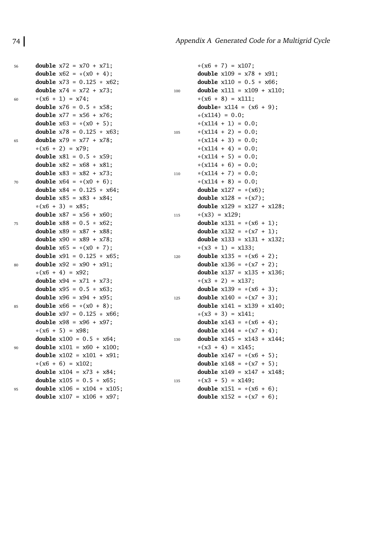| 56 | <b>double</b> $x72 = x70 + x71$ ;    |     |
|----|--------------------------------------|-----|
|    | <b>double</b> $x62 = x(x0 + 4)$ ;    |     |
|    | double $x73 = 0.125 * x62$ ;         |     |
|    | <b>double</b> $x74 = x72 + x73$ ;    | 100 |
| 60 | $*(x6 + 1) = x74;$                   |     |
|    | <b>double</b> $x76 = 0.5 * x58$ ;    |     |
|    | <b>double</b> $x77 = x56 + x76$ ;    |     |
|    | <b>double</b> $x63 = x(x0 + 5)$ ;    |     |
|    | double $x78 = 0.125 * x63$ ;         | 105 |
| 65 | <b>double</b> $x79 = x77 + x78$ ;    |     |
|    | $*(x6 + 2) = x79;$                   |     |
|    | double $x81 = 0.5 * x59$ ;           |     |
|    | double $x82 = x68 + x81$ ;           |     |
|    | <b>double</b> $x83 = x82 + x73$ ;    | 110 |
| 70 | <b>double</b> $x64 = x(x0 + 6)$ ;    |     |
|    | double $x84 = 0.125 * x64$ ;         |     |
|    | double $x85 = x83 + x84$ ;           |     |
|    | $*(x6 + 3) = x85;$                   |     |
|    | <b>double</b> $x87 = x56 + x60$ ;    | 115 |
| 75 | double $x88 = 0.5 * x62$ ;           |     |
|    | double $x89 = x87 + x88$ ;           |     |
|    | <b>double</b> $x90 = x89 + x78$ ;    |     |
|    | <b>double</b> $x65 = x(x0 + 7)$ ;    |     |
|    | double $x91 = 0.125 * x65$ ;         | 120 |
| 80 | double $x92 = x90 + x91$ ;           |     |
|    | $*(x6 + 4) = x92;$                   |     |
|    | double $x94 = x71 + x73$ ;           |     |
|    | <b>double</b> $x95 = 0.5 * x63$ ;    |     |
|    | <b>double</b> $x96 = x94 + x95$ ;    | 125 |
| 85 | double $x66 = * (x0 + 8);$           |     |
|    | double $x97 = 0.125 * x66$ ;         |     |
|    | <b>double</b> $x98 = x96 + x97$ ;    |     |
|    | $*(x6 + 5) = x98;$                   |     |
|    | double $x100 = 0.5 * x64$ ;          | 130 |
| 90 | double $x101 = x60 + x100$ ;         |     |
|    | double $x102 = x101 + x91$ ;         |     |
|    | $*(x6 + 6) = x102;$                  |     |
|    | <b>double</b> $x104 = x73 + x84$ ;   |     |
|    | double $x105 = 0.5 * x65$ ;          | 135 |
| 95 | <b>double</b> $x106 = x104 + x105$ ; |     |
|    | <b>double</b> $x107 = x106 + x97$ ;  |     |

```
*(x6 + 7) = x107;double x109 = x78 + x91;
double x110 = 0.5 * x66;
double x111 = x109 + x110;
*(x6 + 8) = x111;double* x114 = (x6 + 9);
*(x114) = 0.0;*(x114 + 1) = 0.0;*(x114 + 2) = 0.0;*(x114 + 3) = 0.0;*(x114 + 4) = 0.0;*(x114 + 5) = 0.0;*(x114 + 6) = 0.0;*(x114 + 7) = 0.0;*(x114 + 8) = 0.0double x127 = x(x6);
double x128 = x(x7);
double x129 = x127 + x128;
*(x3) = x129;double x131 = x(x6 + 1);
double x132 = x(x7 + 1);
double x133 = x131 + x132;
*(x3 + 1) = x133;double x135 = x(x6 + 2);
double x136 = x(x7 + 2);
double x137 = x135 + x136;
*(x3 + 2) = x137;double x139 = x(x6 + 3);
double x140 = x(x7 + 3);
double x141 = x139 + x140;
*(x3 + 3) = x141;double x143 = x(x6 + 4);
double x144 = x(x7 + 4);
double x145 = x143 + x144;
*(x3 + 4) = x145;double x147 = x(x6 + 5);
double x148 = x(x7 + 5);
double x149 = x147 + x148;
*(x3 + 5) = x149;double x151 = x(x6 + 6);
double x152 = x(x7 + 6);
```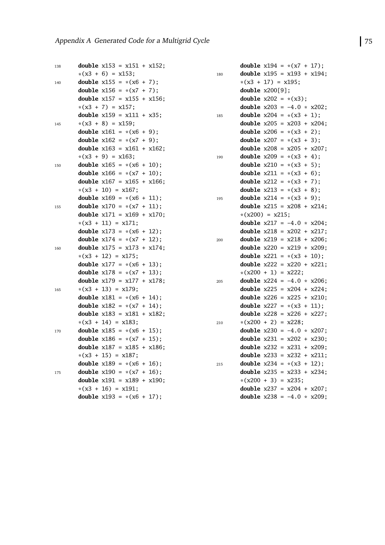| 138 | <b>double</b> $x153 = x151 + x152$ ; |
|-----|--------------------------------------|
|     | $*(x3 + 6) = x153;$                  |
| 140 | <b>double</b> $x155 = x(x6 + 7)$ ;   |
|     | double $x156 = *(x7 + 7);$           |
|     | double $x157 = x155 + x156$ ;        |
|     | $*(x3 + 7) = x157;$                  |
|     | double $x159 = x111 + x35$ ;         |
| 145 | $*(x3 + 8) = x159;$                  |
|     | <b>double</b> $x161 = x(x6 + 9)$ ;   |
|     | <b>double</b> $x162 = x(x7 + 9)$ ;   |
|     | <b>double</b> $x163 = x161 + x162$ ; |
|     | $*(x3 + 9) = x163;$                  |
| 150 | double $x165 = *(x6 + 10);$          |
|     | double $x166 = x(x7 + 10)$ ;         |
|     | double $x167 = x165 + x166$ ;        |
|     | $*(x3 + 10) = x167;$                 |
|     | double $x169 = x(x6 + 11);$          |
| 155 | double $x170 = x(x7 + 11)$ ;         |
|     | double $x171 = x169 + x170$ ;        |
|     | $*(x3 + 11) = x171;$                 |
|     | double $x173 = x(x6 + 12)$ ;         |
|     | double $x174 = x(x7 + 12)$ ;         |
| 160 | double $x175 = x173 + x174$ ;        |
|     | $*(x3 + 12) = x175;$                 |
|     | double $x177 = x(x6 + 13);$          |
|     | double $x178 = * (x7 + 13);$         |
|     | double $x179 = x177 + x178$ ;        |
| 165 | $*(x3 + 13) = x179;$                 |
|     | double $x181 = x(x6 + 14)$ ;         |
|     | double $x182 = x(x7 + 14)$ ;         |
|     | double $x183 = x181 + x182$ ;        |
|     | $*(x3 + 14) = x183;$                 |
| 170 | double $x185 = * (x6 + 15);$         |
|     | <b>double</b> $x186 = x(x7 + 15)$ ;  |
|     | double $x187 = x185 + x186$ ;        |
|     | $*(x3 + 15) = x187;$                 |
|     | double $x189 = x(x6 + 16)$ ;         |
| 175 | double $x190 = x(x7 + 16)$ ;         |
|     | double $x191 = x189 + x190$ ;        |
|     | $*(x3 + 16) = x191;$                 |
|     | double $x193 = * (x6 + 17);$         |

|     | <b>double</b> $x194 = x(x7 + 17)$ ;  |  |  |       |
|-----|--------------------------------------|--|--|-------|
| 180 | double $x195 = x193 + x194$ ;        |  |  |       |
|     | $*(x3 + 17) = x195;$                 |  |  |       |
|     | double x200[9];                      |  |  |       |
|     | <b>double</b> $x202 = x(x3)$ ;       |  |  |       |
|     | <b>double</b> $x203 = -4.0 * x202$ ; |  |  |       |
| 185 | double $x204 = x(x3 + 1);$           |  |  |       |
|     | double $x205 = x203 + x204$ ;        |  |  |       |
|     | <b>double</b> $x206 = x(x3 + 2)$ ;   |  |  |       |
|     | <b>double</b> $x207 = x(x3 + 3)$ ;   |  |  |       |
|     | <b>double</b> $x208 = x205 +$        |  |  | x207; |
| 190 | <b>double</b> $x209 = x(x3 + 4)$ ;   |  |  |       |
|     | <b>double</b> $x210 = x(x3 + 5)$ ;   |  |  |       |
|     | <b>double</b> $x211 = x(x3 + 6)$ ;   |  |  |       |
|     | <b>double</b> $x212 = x(x3 + 7);$    |  |  |       |
|     | <b>double</b> $x213 = x(x3 + 8)$ ;   |  |  |       |
| 195 | double $x214 = * (x3 + 9);$          |  |  |       |
|     | <b>double</b> $x215 = x208 +$        |  |  | x214; |
|     | $*(x200) = x215;$                    |  |  |       |
|     | double $x217 = -4.0 * x204$ ;        |  |  |       |
|     | double $x218 = x202 + x217$ ;        |  |  |       |
| 200 | double $x219 = x218 + x206$ ;        |  |  |       |
|     | double $x220 = x219 + x209$ ;        |  |  |       |
|     | double $x221 = * (x3 + 10);$         |  |  |       |
|     | <b>double</b> $x222 = x220 +$        |  |  | x221; |
|     | $*(x200 + 1) = x222;$                |  |  |       |
| 205 | double $x224 = -4.0 * x206$ ;        |  |  |       |
|     | <b>double</b> $x225 = x204 + x224$ ; |  |  |       |
|     | double $x226 = x225 + x210$ ;        |  |  |       |
|     | <b>double</b> $x227 = x(x3 +$        |  |  | 11);  |
|     | <b>double</b> $x228 = x226 +$        |  |  | x227; |
| 210 | $*(x200 + 2) = x228;$                |  |  |       |
|     | double $x230 = -4.0 * x207$ ;        |  |  |       |
|     | double $x231 = x202 + x230$ ;        |  |  |       |
|     | <b>double</b> $x232 = x231 +$        |  |  | x209; |
|     | <b>double</b> $x233 = x232 + x211$ ; |  |  |       |
| 215 | <b>double</b> $x234 = x(x3 + 12)$ ;  |  |  |       |
|     | double $x235 = x233 + x234$ ;        |  |  |       |
|     | $*(x200 + 3) = x235;$                |  |  |       |
|     | double $x237 = x204 + x207$ ;        |  |  |       |
|     | double $x238 = -4.0 * x209$ ;        |  |  |       |
|     |                                      |  |  |       |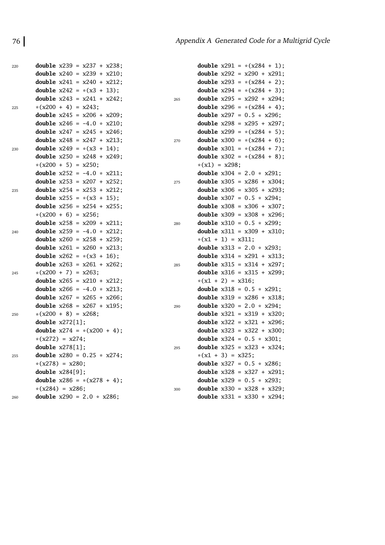| 220 | <b>double</b> $x239 = x237 + x238$ ;      |     | <b>double</b> $x291 = x(x284 + 1)$ ; |
|-----|-------------------------------------------|-----|--------------------------------------|
|     | <b>double</b> $x240 = x239 + x210$ ;      |     | <b>double</b> $x292 = x290 + x291$ ; |
|     | <b>double</b> $x241 = x240 + x212$ ;      |     | <b>double</b> $x293 = x(x284 + 2)$ ; |
|     | <b>double</b> $x242 = x(x3 + 13)$ ;       |     | <b>double</b> $x294 = x(x284 + 3)$ ; |
|     | <b>double</b> $x243 = x241 + x242$ ;      | 265 | <b>double</b> $x295 = x292 + x294$ ; |
| 225 | $*(x200 + 4) = x243;$                     |     | <b>double</b> $x296 = x(x284 + 4)$ ; |
|     | <b>double</b> $x245 = x206 + x209$ ;      |     | <b>double</b> $x297 = 0.5 * x296;$   |
|     | <b>double</b> $x246 = -4.0 * x210$ ;      |     | <b>double</b> $x298 = x295 + x297$ ; |
|     | <b>double</b> $x247 = x245 + x246$ ;      |     | <b>double</b> $x299 = x(x284 + 5)$ ; |
|     | <b>double</b> $x248 = x247 + x213$ ;      | 270 | <b>double</b> $x300 = x(x284 + 6)$ ; |
| 230 | <b>double</b> $x249 = x(x3 + 14)$ ;       |     | <b>double</b> $x301 = x(x284 + 7)$ ; |
|     | <b>double</b> $x250 = x248 + x249$ ;      |     | <b>double</b> $x302 = x(x284 + 8)$ ; |
|     | $*(x200 + 5) = x250;$                     |     | $*(x1) = x298;$                      |
|     | <b>double</b> $x252 = -4.0 \times x211$ ; |     | <b>double</b> $x304 = 2.0 * x291;$   |
|     | <b>double</b> $x253 = x207 + x252$ ;      | 275 | <b>double</b> $x305 = x286 + x304$ ; |
| 235 | <b>double</b> $x254 = x253 + x212$ ;      |     | <b>double</b> $x306 = x305 + x293$ ; |
|     | <b>double</b> $x255 = x(x3 + 15)$ ;       |     | <b>double</b> $x307 = 0.5 * x294;$   |
|     | <b>double</b> $x256 = x254 + x255$ ;      |     | <b>double</b> $x308 = x306 + x307$ ; |
|     | $*(x200 + 6) = x256;$                     |     | <b>double</b> $x309 = x308 + x296$ ; |
|     | <b>double</b> $x258 = x209 + x211$ ;      | 280 | <b>double</b> $x310 = 0.5 * x299$ ;  |
| 240 | <b>double</b> $x259 = -4.0 * x212$ ;      |     | <b>double</b> $x311 = x309 + x310$ ; |
|     | <b>double</b> $x260 = x258 + x259$ ;      |     | $*(x1 + 1) = x311;$                  |
|     | <b>double</b> $x261 = x260 + x213$ ;      |     | <b>double</b> $x313 = 2.0 * x293;$   |
|     | <b>double</b> $x262 = x(x3 + 16)$ ;       |     | <b>double</b> $x314 = x291 + x313$ ; |
|     | <b>double</b> $x263 = x261 + x262$ ;      | 285 | <b>double</b> $x315 = x314 + x297$ ; |
| 245 | $*(x200 + 7) = x263;$                     |     | <b>double</b> $x316 = x315 + x299$ ; |
|     | <b>double</b> $x265 = x210 + x212$ ;      |     | $*(x1 + 2) = x316;$                  |
|     | <b>double</b> $x266 = -4.0 * x213$ ;      |     | <b>double</b> $x318 = 0.5 * x291;$   |
|     | <b>double</b> $x267 = x265 + x266$ ;      |     | <b>double</b> $x319 = x286 + x318$ ; |
|     | <b>double</b> $x268 = x267 + x195$ ;      | 290 | <b>double</b> $x320 = 2.0 * x294;$   |
| 250 | $*(x200 + 8) = x268;$                     |     | <b>double</b> $x321 = x319 + x320$ ; |
|     | double $x272[1]$ ;                        |     | <b>double</b> $x322 = x321 + x296$ ; |
|     | <b>double</b> $x274 = x(x200 + 4)$ ;      |     | <b>double</b> $x323 = x322 + x300$ ; |
|     | $*(x272) = x274;$                         |     | <b>double</b> $x324 = 0.5 * x301$ ;  |
|     | double $x278[1]$ ;                        | 295 | <b>double</b> $x325 = x323 + x324$ ; |
| 255 | <b>double</b> $x280 = 0.25 * x274$ ;      |     | $*(x1 + 3) = x325;$                  |
|     | $*(x278) = x280;$                         |     | <b>double</b> $x327 = 0.5 * x286$ ;  |
|     | double $x284[9]$ ;                        |     | double $x328 = x327 + x291$ ;        |
|     | double $x286 = x(x278 + 4)$ ;             |     | <b>double</b> $x329 = 0.5 * x293$ ;  |
|     | $*(x284) = x286;$                         | 300 | <b>double</b> $x330 = x328 + x329$ ; |
| 260 | <b>double</b> $x290 = 2.0 * x286$ ;       |     | double $x331 = x330 + x294$ ;        |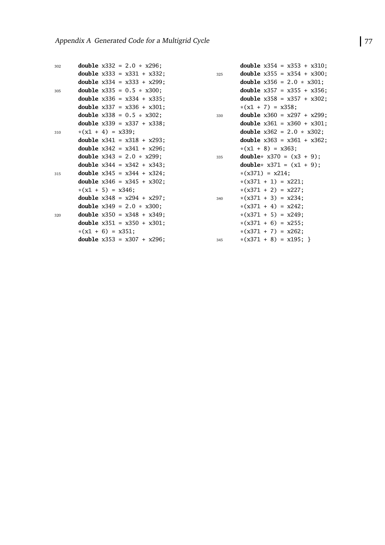| 302 |                     | <b>double</b> $x332 = 2.0 * x296$ ;  |
|-----|---------------------|--------------------------------------|
|     |                     | <b>double</b> $x333 = x331 + x332$ ; |
|     |                     | <b>double</b> $x334 = x333 + x299$ ; |
| 305 |                     | double $x335 = 0.5 * x300$ ;         |
|     |                     | <b>double</b> $x336 = x334 + x335$ ; |
|     |                     | <b>double</b> $x337 = x336 + x301$ ; |
|     |                     | double $x338 = 0.5 * x302$ ;         |
|     |                     | <b>double</b> $x339 = x337 + x338$ ; |
| 310 | $*(x1 + 4) = x339;$ |                                      |
|     |                     | double $x341 = x318 + x293$ ;        |
|     |                     | <b>double</b> $x342 = x341 + x296$ ; |
|     |                     | <b>double</b> $x343 = 2.0 * x299$ ;  |
|     |                     | <b>double</b> $x344 = x342 + x343$ ; |
| 315 |                     | <b>double</b> $x345 = x344 + x324$ ; |
|     |                     | <b>double</b> $x346 = x345 + x302$ ; |
|     | $*(x1 + 5) = x346;$ |                                      |
|     |                     | <b>double</b> $x348 = x294 + x297$ ; |
|     |                     | <b>double</b> $x349 = 2.0 * x300$ ;  |
| 320 |                     | double $x350 = x348 + x349$ ;        |
|     |                     | <b>double</b> $x351 = x350 + x301$ ; |
|     | $*(x1 + 6) = x351;$ |                                      |
|     |                     | <b>double</b> $x353 = x307 + x296$ ; |

|     | double $x354 = x353 + x310$ ;            |
|-----|------------------------------------------|
| 325 | <b>double</b> $x355 = x354 + x300$ ;     |
|     | <b>double</b> $x356 = 2.0 \times x301$ ; |
|     | <b>double</b> $x357 = x355 + x356$ ;     |
|     | <b>double</b> $x358 = x357 + x302$ ;     |
|     | $*(x1 + 7) = x358;$                      |
| 330 | double $x360 = x297 + x299$ ;            |
|     | double $x361 = x360 + x301$ ;            |
|     | <b>double</b> $x362 = 2.0 * x302$ ;      |
|     | <b>double</b> $x363 = x361 + x362$ ;     |
|     | $*(x1 + 8) = x363;$                      |
| 335 | <b>double</b> * $x370 = (x3 + 9)$ ;      |
|     | <b>double</b> * $x371 = (x1 + 9)$ ;      |
|     | $*(x371) = x214;$                        |
|     | $*(x371 + 1) = x221;$                    |
|     | $*(x371 + 2) = x227;$                    |
| 340 | $*(x371 + 3) = x234;$                    |
|     | $*(x371 + 4) = x242;$                    |
|     | $*(x371 + 5) = x249;$                    |
|     | $*(x371 + 6) = x255;$                    |
|     | $*(x371 + 7) = x262;$                    |
| 345 | $*(x371 + 8) = x195;$                    |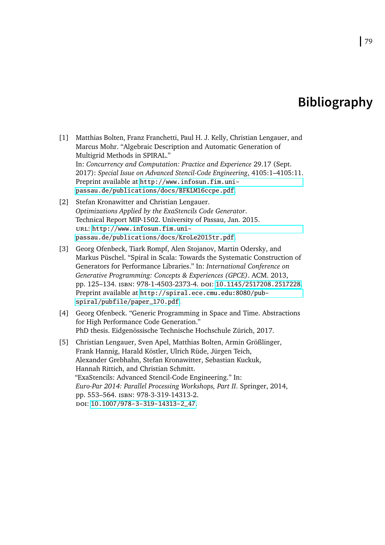## **Bibliography**

- <span id="page-88-1"></span>[1] Matthias Bolten, Franz Franchetti, Paul H. J. Kelly, Christian Lengauer, and Marcus Mohr. "Algebraic Description and Automatic Generation of Multigrid Methods in SPIRAL." In: *Concurrency and Computation: Practice and Experience* 29.17 (Sept. 2017): *Special Issue on Advanced Stencil-Code Engineering*, 4105:1–4105:11. Preprint available at [http://www.infosun.fim.uni](http://www.infosun.fim.uni-passau.de/publications/docs/BFKLM16ccpe.pdf)[passau.de/publications/docs/BFKLM16ccpe.pdf](http://www.infosun.fim.uni-passau.de/publications/docs/BFKLM16ccpe.pdf).
- [2] Stefan Kronawitter and Christian Lengauer. *Optimizations Applied by the ExaStencils Code Generator*. Technical Report MIP-1502. University of Passau, Jan. 2015. url: [http://www.infosun.fim.uni](http://www.infosun.fim.uni-passau.de/publications/docs/KroLe2015tr.pdf)[passau.de/publications/docs/KroLe2015tr.pdf](http://www.infosun.fim.uni-passau.de/publications/docs/KroLe2015tr.pdf).
- <span id="page-88-0"></span>[3] Georg Ofenbeck, Tiark Rompf, Alen Stojanov, Martin Odersky, and Markus Püschel. "Spiral in Scala: Towards the Systematic Construction of Generators for Performance Libraries." In: *International Conference on Generative Programming: Concepts & Experiences (GPCE)*. ACM. 2013, pp. 125–134. isbn: 978-1-4503-2373-4. doi: [10.1145/2517208.2517228](http://dx.doi.org/10.1145/2517208.2517228). Preprint available at [http://spiral.ece.cmu.edu:8080/pub](http://spiral.ece.cmu.edu:8080/pub-spiral/pubfile/paper_170.pdf)[spiral/pubfile/paper\\_170.pdf](http://spiral.ece.cmu.edu:8080/pub-spiral/pubfile/paper_170.pdf).
- <span id="page-88-2"></span>[4] Georg Ofenbeck. "Generic Programming in Space and Time. Abstractions for High Performance Code Generation." PhD thesis. Eidgenössische Technische Hochschule Zürich, 2017.
- [5] Christian Lengauer, Sven Apel, Matthias Bolten, Armin Größlinger, Frank Hannig, Harald Köstler, Ulrich Rüde, Jürgen Teich, Alexander Grebhahn, Stefan Kronawitter, Sebastian Kuckuk, Hannah Rittich, and Christian Schmitt. "ExaStencils: Advanced Stencil-Code Engineering." In: *Euro-Par 2014: Parallel Processing Workshops, Part II*. Springer, 2014, pp. 553–564. isbn: 978-3-319-14313-2. doi: [10.1007/978-3-319-14313-2\\_47](http://dx.doi.org/10.1007/978-3-319-14313-2_47).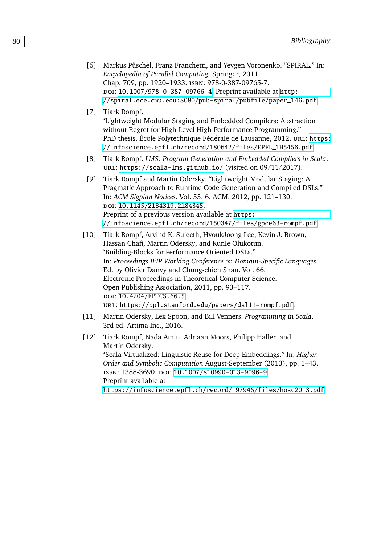- [6] Markus Püschel, Franz Franchetti, and Yevgen Voronenko. "SPIRAL." In: *Encyclopedia of Parallel Computing*. Springer, 2011. Chap. 709, pp. 1920–1933. isbn: 978-0-387-09765-7. doi: [10.1007/978-0-387-09766-4](http://dx.doi.org/10.1007/978-0-387-09766-4). Preprint available at [http:](http://spiral.ece.cmu.edu:8080/pub-spiral/pubfile/paper_146.pdf) [//spiral.ece.cmu.edu:8080/pub-spiral/pubfile/paper\\_146.pdf](http://spiral.ece.cmu.edu:8080/pub-spiral/pubfile/paper_146.pdf).
- [7] Tiark Rompf. "Lightweight Modular Staging and Embedded Compilers: Abstraction without Regret for High-Level High-Performance Programming." PhD thesis. École Polytechnique Fédérale de Lausanne, 2012. URL: [https:](https://infoscience.epfl.ch/record/180642/files/EPFL_TH5456.pdf) [//infoscience.epfl.ch/record/180642/files/EPFL\\_TH5456.pdf](https://infoscience.epfl.ch/record/180642/files/EPFL_TH5456.pdf).
- [8] Tiark Rompf. *LMS: Program Generation and Embedded Compilers in Scala*. url: <https://scala-lms.github.io/> (visited on 09/11/2017).
- [9] Tiark Rompf and Martin Odersky. "Lightweight Modular Staging: A Pragmatic Approach to Runtime Code Generation and Compiled DSLs." In: *ACM Sigplan Notices*. Vol. 55. 6. ACM. 2012, pp. 121–130. doi: [10.1145/2184319.2184345](http://dx.doi.org/10.1145/2184319.2184345). Preprint of a previous version available at [https:](https://infoscience.epfl.ch/record/150347/files/gpce63-rompf.pdf) [//infoscience.epfl.ch/record/150347/files/gpce63-rompf.pdf](https://infoscience.epfl.ch/record/150347/files/gpce63-rompf.pdf).
- [10] Tiark Rompf, Arvind K. Sujeeth, HyoukJoong Lee, Kevin J. Brown, Hassan Chafi, Martin Odersky, and Kunle Olukotun. "Building-Blocks for Performance Oriented DSLs." In: *Proceedings IFIP Working Conference on Domain-Specific Languages*. Ed. by Olivier Danvy and Chung-chieh Shan. Vol. 66. Electronic Proceedings in Theoretical Computer Science. Open Publishing Association, 2011, pp. 93–117. doi: [10.4204/EPTCS.66.5](http://dx.doi.org/10.4204/EPTCS.66.5). url: <https://ppl.stanford.edu/papers/dsl11-rompf.pdf>.
- [11] Martin Odersky, Lex Spoon, and Bill Venners. *Programming in Scala*. 3rd ed. Artima Inc., 2016.
- [12] Tiark Rompf, Nada Amin, Adriaan Moors, Philipp Haller, and Martin Odersky. "Scala-Virtualized: Linguistic Reuse for Deep Embeddings." In: *Higher Order and Symbolic Computation* August-September (2013), pp. 1–43. issn: 1388-3690. doi: [10.1007/s10990-013-9096-9](http://dx.doi.org/10.1007/s10990-013-9096-9). Preprint available at <https://infoscience.epfl.ch/record/197945/files/hosc2013.pdf>.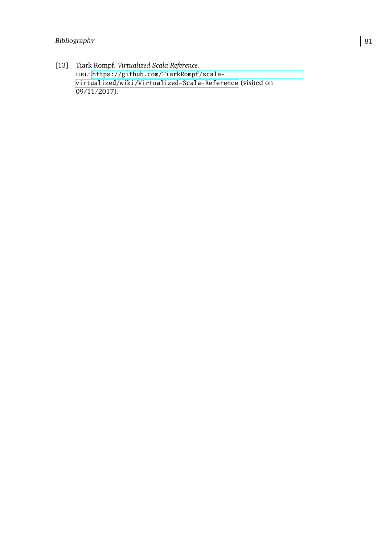### Bibliography 81

[13] Tiark Rompf. *Virtualized Scala Reference*. url: [https://github.com/TiarkRompf/scala](https://github.com/TiarkRompf/scala-virtualized/wiki/Virtualized-Scala-Reference)[virtualized/wiki/Virtualized-Scala-Reference](https://github.com/TiarkRompf/scala-virtualized/wiki/Virtualized-Scala-Reference) (visited on 09/11/2017).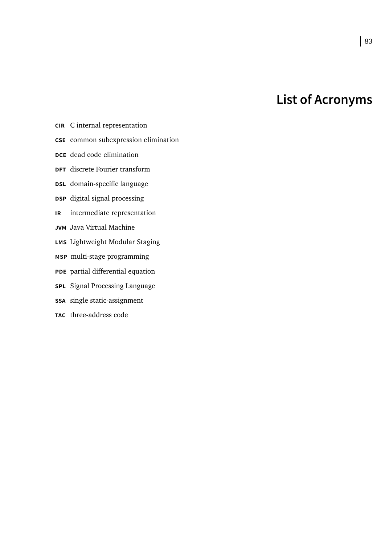# **List of Acronyms**

- <span id="page-92-1"></span>**CIR** C internal representation
- <span id="page-92-7"></span>**CSE** common subexpression elimination
- <span id="page-92-6"></span>**DCE** dead code elimination
- **DFT** discrete Fourier transform
- <span id="page-92-2"></span>**DSL** domain-specific language
- **DSP** digital signal processing
- <span id="page-92-0"></span>**IR** intermediate representation
- **JVM** Java Virtual Machine
- **LMS** Lightweight Modular Staging
- **MSP** multi-stage programming
- **PDE** partial differential equation
- <span id="page-92-3"></span>**SPL** Signal Processing Language
- <span id="page-92-4"></span>**SSA** single static-assignment
- <span id="page-92-5"></span>**TAC** three-address code